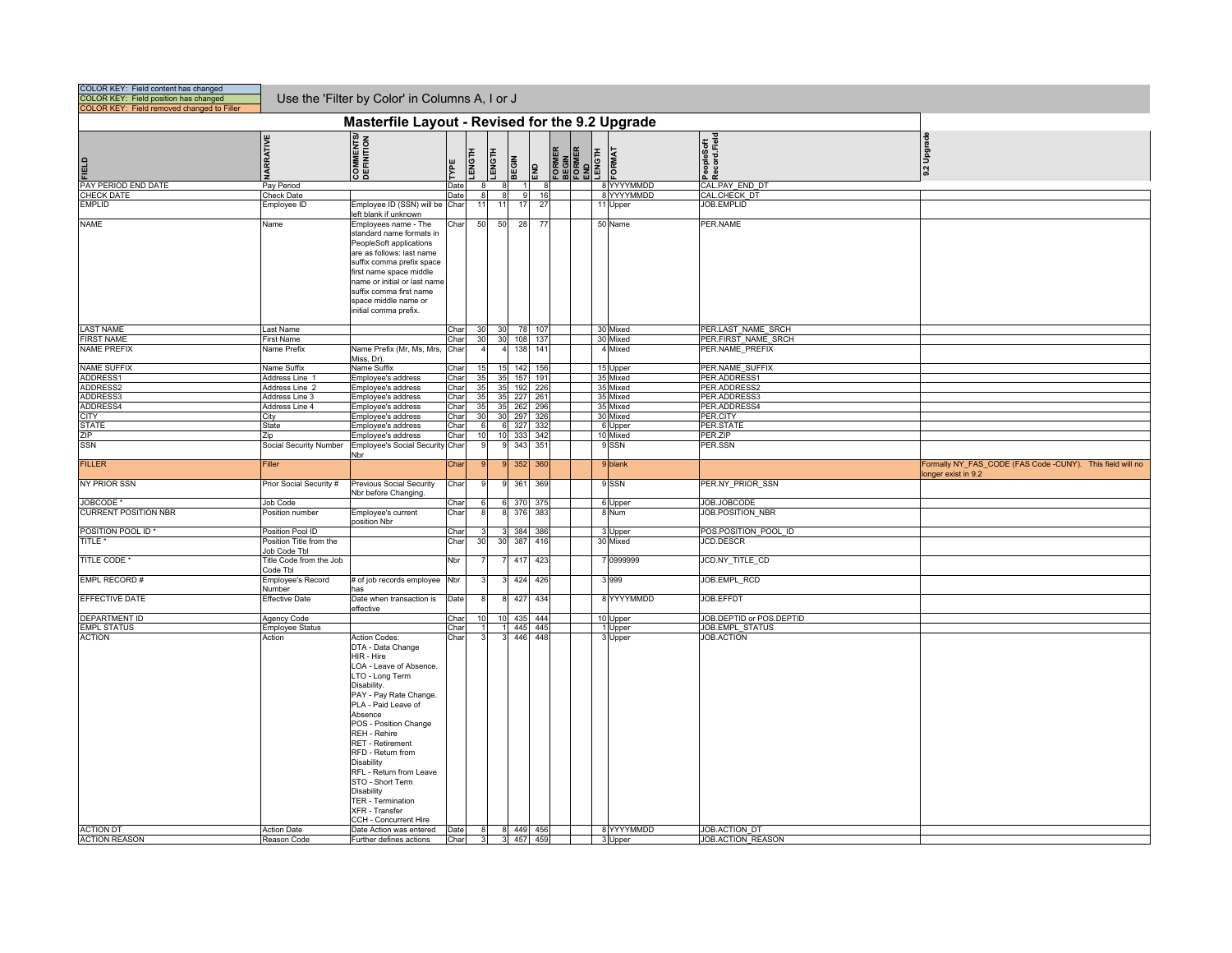| COLOR KEY: Field content has changed<br>COLOR KEY: Field position has changed<br>COLOR KEY: Field removed changed to Filler |                                         | Use the 'Filter by Color' in Columns A, I or J                                                                                                                                                                                                                                                                                                                                                                                                               |                |               |          |                  |                 |    |                                                     |                              |                          |                                             |                                                                                  |
|-----------------------------------------------------------------------------------------------------------------------------|-----------------------------------------|--------------------------------------------------------------------------------------------------------------------------------------------------------------------------------------------------------------------------------------------------------------------------------------------------------------------------------------------------------------------------------------------------------------------------------------------------------------|----------------|---------------|----------|------------------|-----------------|----|-----------------------------------------------------|------------------------------|--------------------------|---------------------------------------------|----------------------------------------------------------------------------------|
|                                                                                                                             |                                         | Masterfile Layout - Revised for the 9.2 Upgrade                                                                                                                                                                                                                                                                                                                                                                                                              |                |               |          |                  |                 |    |                                                     |                              |                          |                                             |                                                                                  |
| 山                                                                                                                           | <b>VARRATIVE</b>                        | COMMENTS/<br>DEFINITION                                                                                                                                                                                                                                                                                                                                                                                                                                      | TYPE           | <b>LENGTH</b> | LENGTH   | <b>BEGIN</b>     | 욺               |    | <b>FORMER</b><br>BEGIN<br>FORMER<br>ENGTH<br>LENGTH | <b>FORMAT</b>                |                          | PeopleSoft<br>Record.Field                  | 9.2 Upgrade                                                                      |
| PAY PERIOD END DATE<br><b>CHECK DATE</b>                                                                                    | Pay Period<br>Check Date                |                                                                                                                                                                                                                                                                                                                                                                                                                                                              | Date<br>Date   | $\mathbf{R}$  |          |                  |                 | 16 |                                                     |                              | 8 YYYYMMDD<br>8 YYYYMMDD | CAL.PAY END DT<br>CAL.CHECK DT              |                                                                                  |
| <b>EMPLID</b>                                                                                                               | <b>Employee ID</b>                      | Employee ID (SSN) will be                                                                                                                                                                                                                                                                                                                                                                                                                                    | Char           | 11            | 11       | 17               | 27              |    |                                                     | 11 Upper                     |                          | JOB.EMPLID                                  |                                                                                  |
|                                                                                                                             |                                         | left blank if unknown                                                                                                                                                                                                                                                                                                                                                                                                                                        |                |               |          |                  |                 |    |                                                     |                              |                          |                                             |                                                                                  |
| <b>NAME</b>                                                                                                                 | Name                                    | Employees name - The<br>standard name formats in<br>PeopleSoft applications<br>are as follows: last name<br>suffix comma prefix space<br>first name space middle<br>name or initial or last name<br>suffix comma first name<br>space middle name or<br>initial comma prefix.                                                                                                                                                                                 | Char           | 50            | 50       | 28               | $\overline{77}$ |    |                                                     | 50 Name                      |                          | PER.NAME                                    |                                                                                  |
| <b>LAST NAME</b>                                                                                                            | Last Name                               |                                                                                                                                                                                                                                                                                                                                                                                                                                                              | Char           | 30            | 30       | 78               | 107             |    |                                                     | 30 Mixed                     |                          | PER.LAST NAME SRCH                          |                                                                                  |
| <b>FIRST NAME</b>                                                                                                           | <b>First Name</b>                       |                                                                                                                                                                                                                                                                                                                                                                                                                                                              | Char           | 30            | 30       | 108              | 137             |    |                                                     | 30 Mixed                     |                          | PER.FIRST NAME SRCH                         |                                                                                  |
| <b>NAME PREFIX</b>                                                                                                          | Name Prefix                             | Name Prefix (Mr, Ms, Mrs,<br>Miss, Dr).                                                                                                                                                                                                                                                                                                                                                                                                                      | Char           |               |          | 138              | 141             |    |                                                     | 4 Mixed                      |                          | PER.NAME PREFIX                             |                                                                                  |
| <b>NAME SUFFIX</b>                                                                                                          | Name Suffix                             | Name Suffix                                                                                                                                                                                                                                                                                                                                                                                                                                                  | Char           | 15            | 15       |                  | 142 156         |    |                                                     | 15 Upper                     |                          | PER.NAME SUFFIX                             |                                                                                  |
| ADDRESS1                                                                                                                    | Address Line 1                          | Employee's address                                                                                                                                                                                                                                                                                                                                                                                                                                           | Char           | 35            | 35       | 157              | 191             |    |                                                     |                              | 35 Mixed                 | <b>PER.ADDRESS1</b>                         |                                                                                  |
| ADDRESS2<br>ADDRESS3                                                                                                        | Address Line 2<br>Address Line 3        | Employee's address<br>Employee's address                                                                                                                                                                                                                                                                                                                                                                                                                     | Char<br>Char   | 35<br>35      | 35<br>35 | 192              | 226<br>227 261  |    |                                                     |                              | 35 Mixed<br>35 Mixed     | PER.ADDRESS2<br>PER.ADDRESS3                |                                                                                  |
| ADDRESS4                                                                                                                    | Address Line 4                          | Employee's address                                                                                                                                                                                                                                                                                                                                                                                                                                           | Char           | 35            | 35       | 262              | 296             |    |                                                     | 35 Mixed                     |                          | PER.ADDRESS4                                |                                                                                  |
| <b>CITY</b>                                                                                                                 | City                                    | Employee's address                                                                                                                                                                                                                                                                                                                                                                                                                                           | Char           | 30            | 30       | 297              | 326             |    |                                                     |                              | 30 Mixed                 | PER.CITY                                    |                                                                                  |
| <b>STATE</b>                                                                                                                | State                                   | Employee's address                                                                                                                                                                                                                                                                                                                                                                                                                                           | Char           | 6             |          | 6 327            | 332             |    |                                                     | 6 Upper                      |                          | PER.STATE                                   |                                                                                  |
| ZIP<br><b>SSN</b>                                                                                                           | Zip<br>Social Security Number           | Employee's address<br>Employee's Social Security                                                                                                                                                                                                                                                                                                                                                                                                             | Char<br>/ Char | 10            |          | 10 333<br>343    | 342<br>351      |    |                                                     | 10 Mixed<br>9 <sub>SSN</sub> |                          | PER.ZIP<br>PER.SSN                          |                                                                                  |
|                                                                                                                             |                                         | Nbr                                                                                                                                                                                                                                                                                                                                                                                                                                                          |                |               |          |                  |                 |    |                                                     |                              |                          |                                             |                                                                                  |
| <b>FILLER</b>                                                                                                               | Filler                                  |                                                                                                                                                                                                                                                                                                                                                                                                                                                              | Char           |               |          | 352              | 360             |    |                                                     | 9 blank                      |                          |                                             | Formally NY_FAS_CODE (FAS Code -CUNY). This field will no<br>longer exist in 9.2 |
| NY PRIOR SSN<br>JOBCODE <sup>*</sup>                                                                                        | Prior Social Security #                 | <b>Previous Social Security</b><br>Nbr before Changing.                                                                                                                                                                                                                                                                                                                                                                                                      | Char           |               |          | 361<br>370       | 369<br>375      |    |                                                     | 9 <sub>SSN</sub>             |                          | PER.NY PRIOR SSN                            |                                                                                  |
| <b>CURRENT POSITION NBR</b>                                                                                                 | Job Code<br>Position number             | Employee's current                                                                                                                                                                                                                                                                                                                                                                                                                                           | Char<br>Char   |               |          | 376              | 383             |    |                                                     | 6 Upper<br>8 Num             |                          | JOB.JOBCODE<br>JOB.POSITION NBR             |                                                                                  |
|                                                                                                                             |                                         | oosition Nbr                                                                                                                                                                                                                                                                                                                                                                                                                                                 |                |               |          |                  |                 |    |                                                     |                              |                          |                                             |                                                                                  |
| POSITION POOL ID*                                                                                                           | Position Pool ID                        |                                                                                                                                                                                                                                                                                                                                                                                                                                                              | Char           |               | 31       | 384              | 386             |    |                                                     | 3 Upper                      |                          | POS.POSITION POOL ID                        |                                                                                  |
| TITLE <sup>*</sup>                                                                                                          | Position Title from the<br>Job Code Tbl |                                                                                                                                                                                                                                                                                                                                                                                                                                                              | Char           | 30            | 30       | 387              | 416             |    |                                                     | 30 Mixed                     |                          | <b>JCD.DESCR</b>                            |                                                                                  |
| <b>TITLE CODE</b>                                                                                                           | Title Code from the Job<br>Code Tbl     |                                                                                                                                                                                                                                                                                                                                                                                                                                                              | Nbr            |               |          | 417              | 423             |    |                                                     |                              | 7 0999999                | JCD.NY_TITLE_CD                             |                                                                                  |
| EMPL RECORD #                                                                                                               | <b>Employee's Record</b><br>Number      | # of job records employee<br>าลร                                                                                                                                                                                                                                                                                                                                                                                                                             | Nbr            |               |          | 424              | 426             |    |                                                     | 3 9 9 9                      |                          | JOB.EMPL_RCD                                |                                                                                  |
| EFFECTIVE DATE                                                                                                              | <b>Effective Date</b>                   | Date when transaction is<br>effective                                                                                                                                                                                                                                                                                                                                                                                                                        | Date           |               |          | 427              | 434             |    |                                                     |                              | 8 YYYYMMDD               | JOB.EFFDT                                   |                                                                                  |
| <b>DEPARTMENT ID</b><br><b>EMPL STATUS</b>                                                                                  | Agency Code<br><b>Employee Status</b>   |                                                                                                                                                                                                                                                                                                                                                                                                                                                              | Char<br>Char   | 10            |          | 10 435           | 444<br>445 445  |    |                                                     |                              | 10 Upper<br>1 Upper      | JOB.DEPTID or POS.DEPTID<br>JOB.EMPL STATUS |                                                                                  |
| <b>ACTION</b><br><b>ACTION DT</b>                                                                                           | Action<br><b>Action Date</b>            | <b>Action Codes:</b><br>DTA - Data Change<br>HIR - Hire<br>LOA - Leave of Absence.<br>LTO - Long Term<br>Disability.<br>PAY - Pay Rate Change.<br>PLA - Paid Leave of<br>Absence<br>POS - Position Change<br>REH - Rehire<br>RET - Retirement<br>RFD - Return from<br><b>Disability</b><br>RFL - Return from Leave<br>STO - Short Term<br><b>Disability</b><br>TER - Termination<br>XFR - Transfer<br>CCH - Concurrent Hire<br>Date Action was entered  Date | Char           | 8             |          | 446<br>8 449 456 | 448             |    |                                                     | 3 Upper                      | 8 YYYYMMDD               | <b>JOB.ACTION</b><br>JOB.ACTION DT          |                                                                                  |
| <b>ACTION REASON</b>                                                                                                        | Reason Code                             | Further defines actions                                                                                                                                                                                                                                                                                                                                                                                                                                      | Char           |               |          | 3 457 459        |                 |    |                                                     | 3 Upper                      |                          | JOB.ACTION REASON                           |                                                                                  |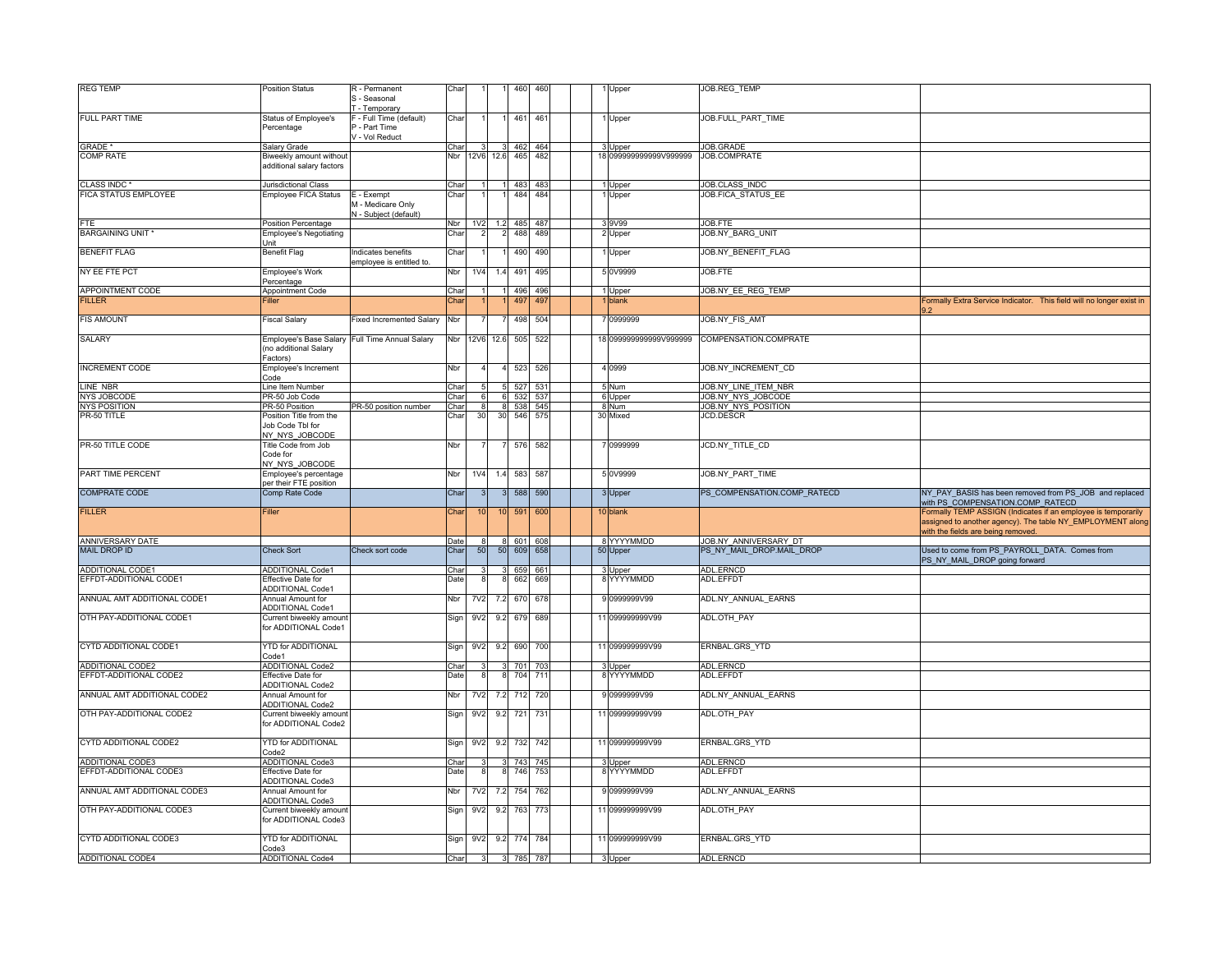| <b>REG TEMP</b>             | <b>Position Status</b>                                        | R - Permanent                                            | Char |                  |               | 460         | 460     |  | 1 Upper                | JOB.REG_TEMP                |                                                                                                                                                                   |
|-----------------------------|---------------------------------------------------------------|----------------------------------------------------------|------|------------------|---------------|-------------|---------|--|------------------------|-----------------------------|-------------------------------------------------------------------------------------------------------------------------------------------------------------------|
|                             |                                                               | S - Seasonal<br>- Temporary                              |      |                  |               |             |         |  |                        |                             |                                                                                                                                                                   |
| FULL PART TIME              | Status of Employee's<br>Percentage                            | - Full Time (default)<br>- Part Time<br>- Vol Reduct     | Char |                  |               |             | 461 461 |  | 1 Upper                | JOB.FULL_PART_TIME          |                                                                                                                                                                   |
| <b>GRADE</b>                | Salary Grade                                                  |                                                          | Cha  |                  |               |             | 462 464 |  | 3 Upper                | JOB.GRADE                   |                                                                                                                                                                   |
| <b>COMP RATE</b>            | Biweekly amount without<br>additional salary factors          |                                                          |      | Nbr 12V6         | 12.6          | 465         | 482     |  | 18 099999999999V999999 | JOB.COMPRATE                |                                                                                                                                                                   |
| CLASS INDC <sup>*</sup>     | Jurisdictional Class                                          |                                                          | Char |                  |               |             | 483 483 |  | 1 Upper                | JOB.CLASS INDC              |                                                                                                                                                                   |
| FICA STATUS EMPLOYEE        | Employee FICA Status                                          | E - Exempt<br>M - Medicare Only<br>N - Subject (default) | Char |                  |               | 484         | 484     |  | 1 Upper                | JOB.FICA STATUS EE          |                                                                                                                                                                   |
| FTE.                        | Position Percentage                                           |                                                          | Nbr  | 1 <sub>V</sub> 2 |               | 1.2 485     | 487     |  | 3 9 V 9 9              | JOB.FTE                     |                                                                                                                                                                   |
| <b>BARGAINING UNIT *</b>    | <b>Employee's Negotiating</b><br>Unit                         |                                                          | Char |                  |               | 488         | 489     |  | 2 Upper                | JOB.NY BARG UNIT            |                                                                                                                                                                   |
| <b>BENEFIT FLAG</b>         | <b>Benefit Flag</b>                                           | Indicates benefits<br>mployee is entitled to.            | Char |                  |               |             | 490 490 |  | 1 Upper                | JOB.NY BENEFIT FLAG         |                                                                                                                                                                   |
| NY EE FTE PCT               | Employee's Work<br>Percentage                                 |                                                          | Nbr  | 1 <sub>V</sub> 4 | 14            | 491         | 495     |  | 5 0V9999               | JOB.FTE                     |                                                                                                                                                                   |
| <b>APPOINTMENT CODE</b>     | Appointment Code                                              |                                                          | Char |                  |               | 496         | 496     |  | 1 Upper                | JOB.NY EE REG TEMP          |                                                                                                                                                                   |
| <b>FILLER</b>               | iller                                                         |                                                          | Chai |                  |               | 497         | 49      |  | blank                  |                             | ormally Extra Service Indicator. This field will no longer exist in                                                                                               |
| <b>FIS AMOUNT</b>           | <b>Fiscal Salary</b>                                          | Fixed Incremented Salary                                 | Nbr  |                  |               | 498         | 504     |  | 7 0999999              | JOB.NY_FIS_AMT              |                                                                                                                                                                   |
| <b>SALARY</b>               | Employee's Base Salary<br>(no additional Salary<br>Factors)   | Full Time Annual Salary                                  |      |                  | Nbr 12V6 12.6 | 505         | 522     |  | 18 099999999999V999999 | COMPENSATION.COMPRATE       |                                                                                                                                                                   |
| <b>INCREMENT CODE</b>       | Employee's Increment<br>Code                                  |                                                          | Nbr  |                  |               |             | 523 526 |  | 4 0 9 9 9              | JOB.NY INCREMENT CD         |                                                                                                                                                                   |
| LINE NBR                    | Line Item Number                                              |                                                          | Cha  |                  |               | 527         | 53'     |  | 5 Num                  | JOB.NY LINE ITEM NBR        |                                                                                                                                                                   |
| <b>NYS JOBCODE</b>          | PR-50 Job Code                                                |                                                          | Char |                  |               | 6 532       | 537     |  | 6 Upper                | JOB.NY NYS JOBCODE          |                                                                                                                                                                   |
| <b>NYS POSITION</b>         | PR-50 Position                                                | PR-50 position number                                    | Char |                  |               | 8 538       | 545     |  | 8 Num                  | JOB.NY NYS POSITION         |                                                                                                                                                                   |
| PR-50 TITLE                 | Position Title from the<br>Job Code Tbl for<br>NY_NYS_JOBCODE |                                                          | Char | 30               | 30            | 546         | 575     |  | 30 Mixed               | <b>JCD.DESCR</b>            |                                                                                                                                                                   |
| PR-50 TITLE CODE            | Title Code from Job<br>Code for<br>NY_NYS_JOBCODE             |                                                          | Nbr  |                  |               | 576         | 582     |  | 7 0999999              | JCD.NY_TITLE_CD             |                                                                                                                                                                   |
| PART TIME PERCENT           | Employee's percentage<br>per their FTE position               |                                                          | Nbr  | <b>1V4</b>       | 1.4           | 583         | 587     |  | 5 0 V 9 9 9 9          | JOB.NY PART TIME            |                                                                                                                                                                   |
| <b>COMPRATE CODE</b>        | Comp Rate Code                                                |                                                          | Char |                  |               |             | 588 590 |  | 3 Upper                | PS COMPENSATION.COMP RATECD | NY_PAY_BASIS has been removed from PS_JOB and replaced<br>with PS COMPENSATION.COMP_RATECD                                                                        |
| <b>FILLER</b>               | Filler                                                        |                                                          | Char | 10               |               | 10 591      | 600     |  | 10 blank               |                             | Formally TEMP ASSIGN (Indicates if an employee is temporarily<br>assigned to another agency). The table NY_EMPLOYMENT along<br>with the fields are being removed. |
| <b>ANNIVERSARY DATE</b>     |                                                               |                                                          |      |                  |               | 8 601       | 608     |  | 8 YYYYMMDD             | JOB.NY ANNIVERSARY DT       |                                                                                                                                                                   |
| <b>MAIL DROP ID</b>         | <b>Check Sort</b>                                             | Check sort code                                          | Char | 50               |               | 50 609      | 658     |  | 50 Upper               | PS NY MAIL DROP.MAIL DROP   | Used to come from PS_PAYROLL_DATA. Comes from<br><b>PS NY MAIL DROP</b> going forward                                                                             |
| <b>ADDITIONAL CODE1</b>     | <b>ADDITIONAL Code1</b>                                       |                                                          | Char |                  |               | 659         | 661     |  | 3 Upper                | <b>ADL.ERNCD</b>            |                                                                                                                                                                   |
| EFFDT-ADDITIONAL CODE1      | <b>Effective Date for</b><br>AD <u>DITIONAL Code1</u>         |                                                          | Date |                  |               |             | 662 669 |  | 8 YYYYMMDD             | ADL.EFFDT                   |                                                                                                                                                                   |
| ANNUAL AMT ADDITIONAL CODE1 | Annual Amount for<br><b>ADDITIONAL Code1</b>                  |                                                          | Nbr  | <b>7V2</b>       |               | 7.2 670     | 678     |  | 9 0999999V99           | ADL.NY ANNUAL EARNS         |                                                                                                                                                                   |
| OTH PAY-ADDITIONAL CODE1    | Current biweekly amour<br>for ADDITIONAL Code1                |                                                          | Sign | 9V <sub>2</sub>  |               | 9.2 679 689 |         |  | 11 099999999V99        | ADL.OTH_PAY                 |                                                                                                                                                                   |
| CYTD ADDITIONAL CODE1       | <b>YTD for ADDITIONAL</b><br>Code1                            |                                                          | Sign | 9V <sub>2</sub>  | 9.2           | 690         | 700     |  | 11 099999999V99        | ERNBAL.GRS_YTD              |                                                                                                                                                                   |
| <b>ADDITIONAL CODE2</b>     | <b>ADDITIONAL Code2</b>                                       |                                                          | Char |                  |               |             | 701 703 |  | 3 Upper                | <b>ADL.ERNCD</b>            |                                                                                                                                                                   |
| EFFDT-ADDITIONAL CODE2      | Effective Date for<br><b>ADDITIONAL Code2</b>                 |                                                          | Date |                  |               | 704         | 711     |  | 8 YYYYMMDD             | ADL.EFFDT                   |                                                                                                                                                                   |
| ANNUAL AMT ADDITIONAL CODE2 | Annual Amount for<br><b>ADDITIONAL Code2</b>                  |                                                          | Nbr  | 7V <sub>2</sub>  | 7.2           | 712         | 720     |  | 9 0999999V99           | ADL.NY ANNUAL EARNS         |                                                                                                                                                                   |
| OTH PAY-ADDITIONAL CODE2    | Current biweekly amour<br>for ADDITIONAL Code2                |                                                          | Sign | 9V2              | 9.2           | 721         | 731     |  | 11 099999999V99        | ADL.OTH PAY                 |                                                                                                                                                                   |
| CYTD ADDITIONAL CODE2       | <b>YTD for ADDITIONAL</b><br>Code2                            |                                                          | Sign | 9V2              | 9.2           |             | 732 742 |  | 11 099999999V99        | ERNBAL.GRS_YTD              |                                                                                                                                                                   |
| ADDITIONAL CODE3            | <b>ADDITIONAL Code3</b>                                       |                                                          | Char |                  |               |             | 743 745 |  | 3 Upper                | ADL.ERNCD                   |                                                                                                                                                                   |
| EFFDT-ADDITIONAL CODE3      | Effective Date for<br><b>ADDITIONAL Code3</b>                 |                                                          | Date |                  |               | 746         | 753     |  | 8 YYYYMMDD             | ADL.EFFDT                   |                                                                                                                                                                   |
| ANNUAL AMT ADDITIONAL CODE3 | Annual Amount for<br><b>ADDITIONAL Code3</b>                  |                                                          | Nbr  | 7V <sub>2</sub>  | 7.2           | 754         | 762     |  | 9 0999999V99           | ADL.NY ANNUAL EARNS         |                                                                                                                                                                   |
| OTH PAY-ADDITIONAL CODE3    | Current biweekly amount<br>for ADDITIONAL Code3               |                                                          | Sign | 9V <sub>2</sub>  | 9.2           |             | 763 773 |  | 11 099999999V99        | ADL.OTH PAY                 |                                                                                                                                                                   |
| CYTD ADDITIONAL CODE3       | <b>YTD for ADDITIONAL</b><br>Code3                            |                                                          | Sign | 9 <sub>V2</sub>  |               | 9.2 774 784 |         |  | 11 099999999V99        | ERNBAL.GRS_YTD              |                                                                                                                                                                   |
| <b>ADDITIONAL CODE4</b>     | <b>ADDITIONAL Code4</b>                                       |                                                          | Char |                  | 3 3 785 787   |             |         |  | 3 Upper                | ADL.ERNCD                   |                                                                                                                                                                   |
|                             |                                                               |                                                          |      |                  |               |             |         |  |                        |                             |                                                                                                                                                                   |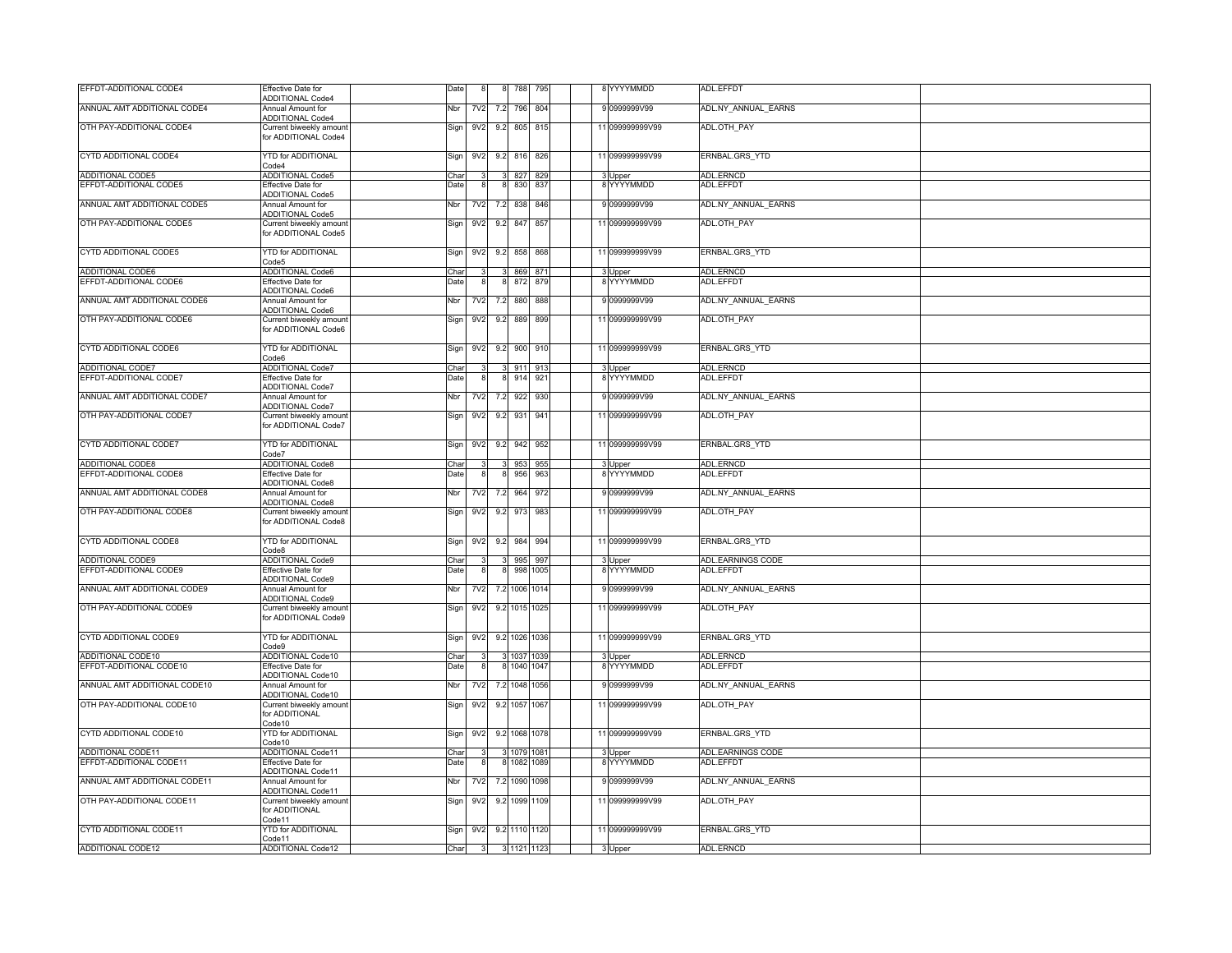| EFFDT-ADDITIONAL CODE4       | <b>Effective Date for</b><br><b>ADDITIONAL Code4</b>                      | Date |                 |               | 788           | 795  |  | 8 YYYYMMDD            | ADL.EFFDT           |  |
|------------------------------|---------------------------------------------------------------------------|------|-----------------|---------------|---------------|------|--|-----------------------|---------------------|--|
| ANNUAL AMT ADDITIONAL CODE4  | Annual Amount for                                                         | Nbr  | 7V2             | 7.2           | 796           | 804  |  | 9 0999999V99          | ADL.NY_ANNUAL_EARNS |  |
| OTH PAY-ADDITIONAL CODE4     | <b>ADDITIONAL Code4</b><br>Current biweekly amoun<br>for ADDITIONAL Code4 | Sign | 9V2             | 9.2           | 805 815       |      |  | 11 099999999V99       | ADL.OTH_PAY         |  |
| CYTD ADDITIONAL CODE4        | <b>YTD for ADDITIONAL</b><br>ode4                                         | Sign | 9V <sub>2</sub> | 9.2           | 816           | 826  |  | 11 099999999V99       | ERNBAL.GRS_YTD      |  |
| ADDITIONAL CODE5             | <b>ADDITIONAL Code5</b>                                                   | Char |                 |               | 827 829       |      |  | 3 Upper               | ADL.ERNCD           |  |
| EFFDT-ADDITIONAL CODE5       | Effective Date for<br><b>ADDITIONAL Code5</b>                             | Date |                 |               | 830           | 837  |  | 8 YYYYMMDD            | ADL.EFFDT           |  |
| ANNUAL AMT ADDITIONAL CODE5  | Annual Amount for<br><b>ADDITIONAL Code5</b>                              | Nbr  | 7V2             | 7.2           | 838           | 846  |  | 9 0999999V99          | ADL.NY_ANNUAL_EARNS |  |
| OTH PAY-ADDITIONAL CODE5     | Current biweekly amoun<br>for ADDITIONAL Code5                            | Sign | 9V <sub>2</sub> | 9.2           | 847           | 857  |  | 11 099999999V99       | ADL.OTH_PAY         |  |
| CYTD ADDITIONAL CODE5        | <b>YTD for ADDITIONAL</b><br>code <sub>5</sub>                            | Sign | 9V2             | 9.2           | 858           | 868  |  | 11 099999999V99       | ERNBAL.GRS_YTD      |  |
| <b>ADDITIONAL CODE6</b>      | <b>ADDITIONAL Code6</b>                                                   | Char |                 |               | 869           | 871  |  | 3 Upper<br>8 YYYYMMDD | ADL.ERNCD           |  |
| EFFDT-ADDITIONAL CODE6       | Effective Date for<br><b>ADDITIONAL Code6</b>                             | Date |                 |               | 872           | 879  |  |                       | ADL.EFFDT           |  |
| ANNUAL AMT ADDITIONAL CODE6  | Annual Amount for                                                         | Nbr  | 7V2             | 7.2           | 880           | 888  |  | 9 0999999V99          | ADL.NY_ANNUAL_EARNS |  |
| OTH PAY-ADDITIONAL CODE6     | <b>ADDITIONAL Code6</b><br>Current biweekly amour<br>for ADDITIONAL Code6 | Sign | 9V2             | 9.2           | 889           | 899  |  | 11 099999999V99       | ADL.OTH_PAY         |  |
| CYTD ADDITIONAL CODE6        | YTD for ADDITIONAL<br>Code6                                               | Sign | 9V2             | 9.2           | 900           | 910  |  | 11 099999999V99       | ERNBAL.GRS_YTD      |  |
| ADDITIONAL CODE7             | <b>ADDITIONAL Code7</b>                                                   | Char |                 |               | 911           | 91   |  | 3 Upper               | ADL FRNCE           |  |
| EFFDT-ADDITIONAL CODE7       | <b>Effective Date for</b><br><b>ADDITIONAL Code7</b>                      | Date |                 |               | 914           | 921  |  | 8 YYYYMMDD            | ADL.EFFDT           |  |
| ANNUAL AMT ADDITIONAL CODE7  | Annual Amount for                                                         | Nbr  | <b>7V2</b>      | 72            | 922           | 930  |  | 9 0999999V99          | ADL.NY_ANNUAL_EARNS |  |
| OTH PAY-ADDITIONAL CODE7     | <b>ADDITIONAL Code7</b><br>Current biweekly amoun<br>for ADDITIONAL Code7 | Sign | 9V <sub>2</sub> | 9.2           | 931           | 941  |  | 11 099999999V99       | ADL.OTH_PAY         |  |
| CYTD ADDITIONAL CODE7        | YTD for ADDITIONAL<br>code7                                               | Sign | 9V <sub>2</sub> | 9.2           | 942           | 952  |  | 11 099999999V99       | ERNBAL.GRS_YTD      |  |
| <b>ADDITIONAL CODE8</b>      | <b>ADDITIONAL Code8</b>                                                   | Char |                 |               | 953           | 955  |  | 3 Upper               | ADL.ERNCD           |  |
| EFFDT-ADDITIONAL CODE8       | Effective Date for<br><b>ADDITIONAL Code8</b>                             | Date |                 |               | 956           | 963  |  | 8 YYYYMMDD            | ADL.EFFDT           |  |
| ANNUAL AMT ADDITIONAL CODE8  | Annual Amount for<br><b>ADDITIONAL Code8</b>                              | Nbr  | 7V2             | 7.2           | 964           | 972  |  | 9 0999999V99          | ADL.NY_ANNUAL_EARNS |  |
| OTH PAY-ADDITIONAL CODE8     | Current biweekly amoun<br>for ADDITIONAL Code8                            | Sign | 9V <sub>2</sub> | 9.2           | 973           | 983  |  | 11 099999999V99       | ADL.OTH_PAY         |  |
| CYTD ADDITIONAL CODE8        | <b>YTD for ADDITIONAL</b><br>code8                                        | Sign | 9V <sub>2</sub> | 9.2           | 984           | 994  |  | 11 099999999V99       | ERNBAL.GRS_YTD      |  |
| ADDITIONAL CODE9             | ADDITIONAL Code9                                                          | Char |                 |               | 995           | 997  |  | 3 Upper               | ADL.EARNINGS CODE   |  |
| EFFDT-ADDITIONAL CODE9       | Effective Date for<br><b>ADDITIONAL Code9</b>                             | Date |                 | 8             | 998           | 1005 |  | 8 YYYYMMDD            | ADL.EFFDT           |  |
| ANNUAL AMT ADDITIONAL CODE9  | Annual Amount for<br><b>ADDITIONAL Code9</b>                              | Nbr  | 7V <sub>2</sub> |               | 7.2 1006 1014 |      |  | 9 0999999V99          | ADL.NY_ANNUAL_EARNS |  |
| OTH PAY-ADDITIONAL CODE9     | Current biweekly amour<br>for ADDITIONAL Code9                            | Sign | 9V2             |               | 9.2 1015 1025 |      |  | 11 099999999V99       | ADL.OTH_PAY         |  |
| CYTD ADDITIONAL CODE9        | YTD for ADDITIONAL<br>Code9                                               | Sign | 9V2             |               | 9.2 1026 1036 |      |  | 11 099999999V99       | ERNBAL.GRS_YTD      |  |
| ADDITIONAL CODE10            | <b>ADDITIONAL Code10</b>                                                  | Char |                 |               | 1037          |      |  | 3 Upper               | ADL.ERNCD           |  |
| EFFDT-ADDITIONAL CODE10      | Effective Date for<br><b>ADDITIONAL Code10</b>                            | Date |                 |               | 8 1040 1047   |      |  | 8 YYYYMMDD            | ADL.EFFDT           |  |
| ANNUAL AMT ADDITIONAL CODE10 | Annual Amount for<br>ADDITIONAL Code10                                    | Nbr  | <b>7V2</b>      |               | 7.2 1048 1056 |      |  | 9 0999999V99          | ADL.NY_ANNUAL_EARNS |  |
| OTH PAY-ADDITIONAL CODE10    | Current biweekly amoun<br>for ADDITIONAL<br>Code 10                       | Sign | 9 <sub>V2</sub> |               | 9.2 1057 1067 |      |  | 11 099999999V99       | ADL.OTH_PAY         |  |
| CYTD ADDITIONAL CODE10       | YTD for ADDITIONAL<br>Code10                                              | Sign | 9V <sub>2</sub> |               | 9.2 1068 1078 |      |  | 11 099999999V99       | ERNBAL.GRS_YTD      |  |
| ADDITIONAL CODE11            | <b>ADDITIONAL Code11</b>                                                  | Char |                 |               | 3 1079 1081   |      |  | 3 Upper               | ADL.EARNINGS CODE   |  |
| EFFDT-ADDITIONAL CODE11      | Effective Date for<br><b>ADDITIONAL Code11</b>                            | Date |                 |               | 8 1082        | 1089 |  | 8 YYYYMMDD            | ADL.EFFDT           |  |
| ANNUAL AMT ADDITIONAL CODE11 | Annual Amount for<br><b>ADDITIONAL Code11</b>                             | Nbr  | 7V2             |               | 7.2 1090 1098 |      |  | 9 0999999V99          | ADL.NY_ANNUAL_EARNS |  |
| OTH PAY-ADDITIONAL CODE11    | Current biweekly amoun<br>for ADDITIONAL<br>Code11                        | Sign | 9V <sub>2</sub> |               | 9.2 1099 1109 |      |  | 11 099999999V99       | ADL.OTH_PAY         |  |
| CYTD ADDITIONAL CODE11       | <b>YTD for ADDITIONAL</b><br>code11                                       | Sign | 9V2             |               | 9.2 1110 1120 |      |  | 11 099999999V99       | ERNBAL.GRS_YTD      |  |
| ADDITIONAL CODE12            | ADDITIONAL Code12                                                         | Char |                 | 3 3 1121 1123 |               |      |  | 3 Upper               | <b>ADL.ERNCD</b>    |  |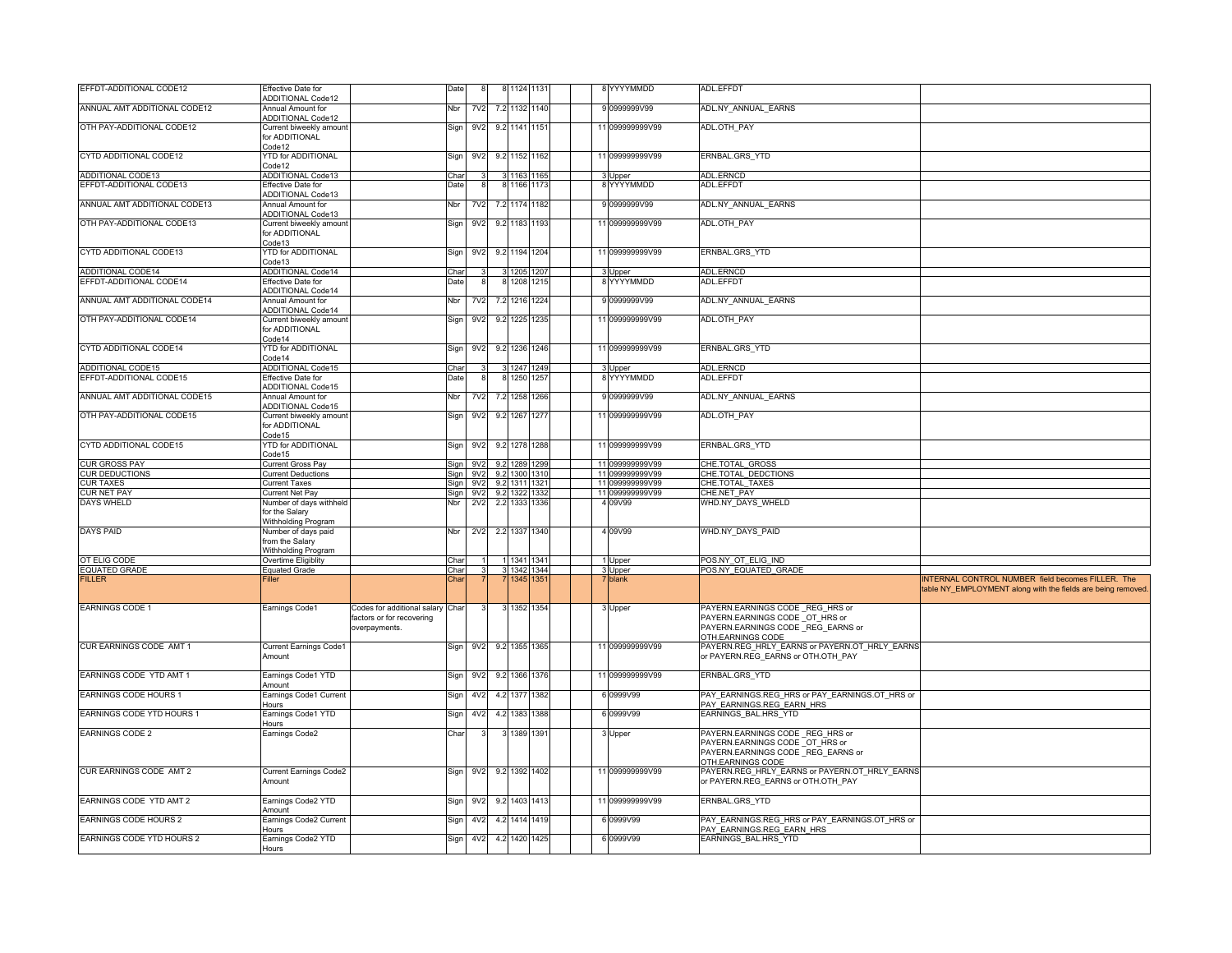| EFFDT-ADDITIONAL CODE12      | <b>Effective Date for</b><br><b>ADDITIONAL Code12</b>            |                                                                                | Date        |                 | 8 1124 1131   |               |      |  | 8 YYYYMMDD      | ADL.EFFDT                                                                                                                   |                                                                                                                  |
|------------------------------|------------------------------------------------------------------|--------------------------------------------------------------------------------|-------------|-----------------|---------------|---------------|------|--|-----------------|-----------------------------------------------------------------------------------------------------------------------------|------------------------------------------------------------------------------------------------------------------|
| ANNUAL AMT ADDITIONAL CODE12 | Annual Amount for<br><b>ADDITIONAL Code12</b>                    |                                                                                | Nbr         | <b>7V2</b>      | 7.2 1132 1140 |               |      |  | 9 0999999V99    | ADL.NY ANNUAL EARNS                                                                                                         |                                                                                                                  |
| OTH PAY-ADDITIONAL CODE12    | Current biweekly amoun<br>for ADDITIONAL<br>Code12               |                                                                                | Sign        | 9V <sub>2</sub> | 9.2 1141 1151 |               |      |  | 11 099999999V99 | ADL.OTH PAY                                                                                                                 |                                                                                                                  |
| CYTD ADDITIONAL CODE12       | <b>YTD for ADDITIONAL</b><br>Code12                              |                                                                                | Sign        | 9V <sub>2</sub> | 9.2 1152 1162 |               |      |  | 11 099999999V99 | ERNBAL.GRS_YTD                                                                                                              |                                                                                                                  |
| ADDITIONAL CODE13            | ADDITIONAL Code13                                                |                                                                                | Char        |                 | 3 1163 1165   |               |      |  | 3 Upper         | <b>ADL.ERNCD</b>                                                                                                            |                                                                                                                  |
| EFFDT-ADDITIONAL CODE13      | Effective Date for                                               |                                                                                | <b>Date</b> |                 | 1166          | 1173          |      |  | YYYYMMDD        | ADL.EFFD1                                                                                                                   |                                                                                                                  |
|                              | ADDITIONAL Code13                                                |                                                                                |             |                 |               |               |      |  |                 |                                                                                                                             |                                                                                                                  |
| ANNUAL AMT ADDITIONAL CODE13 | Annual Amount for<br>ADDITIONAL Code13                           |                                                                                | Nbr         | 7V2             | 7.2 1174 1182 |               |      |  | 9 0999999V99    | ADL.NY ANNUAL EARNS                                                                                                         |                                                                                                                  |
| OTH PAY-ADDITIONAL CODE13    | Current biweekly amoun<br>for ADDITIONAL<br>Code13               |                                                                                | Sign        | 9V <sub>2</sub> | 9.2 1183 1193 |               |      |  | 11 099999999V99 | ADL.OTH PAY                                                                                                                 |                                                                                                                  |
| CYTD ADDITIONAL CODE13       | <b>YTD for ADDITIONAL</b><br>code13                              |                                                                                | Sign        | 9 <sub>V2</sub> | 9.2 1194 1204 |               |      |  | 11 099999999V99 | ERNBAL.GRS_YTD                                                                                                              |                                                                                                                  |
| ADDITIONAL CODE14            | ADDITIONAL Code14                                                |                                                                                | Char        |                 | 3 1205 1207   |               |      |  | 3 Upper         | ADL.ERNCD                                                                                                                   |                                                                                                                  |
| EFFDT-ADDITIONAL CODE14      | Effective Date for                                               |                                                                                | Date        |                 | 8 1208        | 1215          |      |  | 8 YYYYMMDD      | ADL.EFFDT                                                                                                                   |                                                                                                                  |
| ANNUAL AMT ADDITIONAL CODE14 | <b>ADDITIONAL Code14</b><br>Annual Amount for                    |                                                                                | Nbr         | <b>7V2</b>      | 7.2 1216 1224 |               |      |  | 9 0999999V99    | ADL.NY_ANNUAL_EARNS                                                                                                         |                                                                                                                  |
|                              | ADDITIONAL Code14                                                |                                                                                |             |                 |               |               |      |  |                 |                                                                                                                             |                                                                                                                  |
| OTH PAY-ADDITIONAL CODE14    | Current biweekly amoun<br>for ADDITIONAL<br>Code14               |                                                                                | Sign        | 9 <sub>V2</sub> | 9.2 1225 1235 |               |      |  | 11 099999999V99 | ADL.OTH_PAY                                                                                                                 |                                                                                                                  |
| CYTD ADDITIONAL CODE14       | <b>YTD for ADDITIONAL</b><br>Code14                              |                                                                                | Sign        | 9V <sub>2</sub> | 9.2 1236 1246 |               |      |  | 11 099999999V99 | ERNBAL.GRS_YTD                                                                                                              |                                                                                                                  |
| ADDITIONAL CODE15            | ADDITIONAL Code15                                                |                                                                                | Char        |                 | 1247 124      |               |      |  | Upper           | ADL.ERNCD                                                                                                                   |                                                                                                                  |
| EFFDT-ADDITIONAL CODE15      | Effective Date for<br>ADDITIONAL Code15                          |                                                                                | Date        |                 | 1250          |               | 1257 |  | 8 YYYYMMDD      | ADL.EFFDT                                                                                                                   |                                                                                                                  |
| ANNUAL AMT ADDITIONAL CODE15 | Annual Amount for                                                |                                                                                | Nbr         | 7V2             | 7.2 1258      | 1266          |      |  | 9 0999999V99    | ADL.NY ANNUAL EARNS                                                                                                         |                                                                                                                  |
|                              | <b>ADDITIONAL Code15</b>                                         |                                                                                |             |                 |               |               |      |  |                 |                                                                                                                             |                                                                                                                  |
| OTH PAY-ADDITIONAL CODE15    | Current biweekly amoun<br>for ADDITIONAL<br>Code 15              |                                                                                | Sign        | 9 <sub>V2</sub> | 9.2 1267 1277 |               |      |  | 11 099999999V99 | ADL.OTH PAY                                                                                                                 |                                                                                                                  |
| CYTD ADDITIONAL CODE15       | <b>YTD for ADDITIONAL</b><br>ode15                               |                                                                                | Sign        | 9V2             | 9.2 1278      | 1288          |      |  | 11 099999999V99 | ERNBAL.GRS_YTD                                                                                                              |                                                                                                                  |
| <b>CUR GROSS PAY</b>         | Current Gross Pay                                                |                                                                                | Sian        | 9V2             | 9.2 1289 1299 |               |      |  | 11 099999999V99 | CHE.TOTAL GROSS                                                                                                             |                                                                                                                  |
| <b>CUR DEDUCTIONS</b>        | Current Deductions                                               |                                                                                | Sign        | 9V2             | 9.2 1300 1310 |               |      |  | 11 099999999V99 | <b>CHE.TOTAL DEDCTIONS</b>                                                                                                  |                                                                                                                  |
| <b>CUR TAXES</b>             | urrent Taxes                                                     |                                                                                | Sign        | 9 <sub>V2</sub> | 9.2 1311      | 1321          |      |  | 11 099999999V99 | CHE.TOTAL TAXES                                                                                                             |                                                                                                                  |
| <b>CUR NET PAY</b>           | Current Net Pay                                                  |                                                                                | <b>Sign</b> | 9V <sub>2</sub> | 9.2 1322 1332 |               |      |  | 11 099999999V99 | CHE.NET PAY                                                                                                                 |                                                                                                                  |
| DAYS WHELD                   | Number of days withheld<br>for the Salary<br>Withholding Program |                                                                                | Nbr         | 2V <sub>2</sub> | 2.2 1333      | 1336          |      |  | 4 09V99         | WHD.NY DAYS WHELD                                                                                                           |                                                                                                                  |
| <b>DAYS PAID</b>             | Number of days paid<br>from the Salary<br>Withholding Program    |                                                                                | Nbr         | 2V <sub>2</sub> | 2.2 1337 1340 |               |      |  | 4 0 9 V 9 9     | WHD.NY_DAYS_PAID                                                                                                            |                                                                                                                  |
| OT ELIG CODE                 | Overtime Eligiblity                                              |                                                                                | Char        |                 | 1341 1341     |               |      |  | 1 Upper         | POS.NY OT ELIG IND                                                                                                          |                                                                                                                  |
| <b>EQUATED GRADE</b>         | <b>Equated Grade</b>                                             |                                                                                | Char        |                 | 3 1342 1344   |               |      |  | 3 Upper         | POS.NY EQUATED GRADE                                                                                                        |                                                                                                                  |
| <b>FILLER</b>                | Filler                                                           |                                                                                | Char        |                 | 1345          | $135^{\circ}$ |      |  | 7 blank         |                                                                                                                             | NTERNAL CONTROL NUMBER field becomes FILLER. The<br>table NY_EMPLOYMENT along with the fields are being removed. |
| <b>EARNINGS CODE 1</b>       | Earnings Code1                                                   | Codes for additional salary Char<br>factors or for recovering<br>overpayments. |             |                 | 3 1352 1354   |               |      |  | 3 Upper         | PAYERN.EARNINGS CODE REG HRS or<br>PAYERN.EARNINGS CODE OT HRS or<br>PAYERN.EARNINGS CODE REG EARNS or<br>OTH.EARNINGS CODE |                                                                                                                  |
| CUR EARNINGS CODE AMT 1      | Current Earnings Code1<br>Amount                                 |                                                                                | Sign        | 9 <sub>V2</sub> | 9.2 1355 1365 |               |      |  | 11 099999999V99 | PAYERN.REG HRLY EARNS or PAYERN.OT HRLY EARNS<br>or PAYERN.REG_EARNS or OTH.OTH_PAY                                         |                                                                                                                  |
| EARNINGS CODE YTD AMT 1      | Earnings Code1 YTD<br>Amount                                     |                                                                                | Sign        | 9V2             | 9.2 1366 1376 |               |      |  | 11 099999999V99 | ERNBAL.GRS_YTD                                                                                                              |                                                                                                                  |
| EARNINGS CODE HOURS 1        | Earnings Code1 Current<br>Hours                                  |                                                                                | Sign        | 4V <sub>2</sub> | 4.2 1377 1382 |               |      |  | 6 0999V99       | PAY EARNINGS.REG HRS or PAY EARNINGS.OT HRS or<br>PAY EARNINGS.REG EARN HRS                                                 |                                                                                                                  |
| EARNINGS CODE YTD HOURS 1    | Earnings Code1 YTD<br>lours                                      |                                                                                | Sign        | 4V <sub>2</sub> | 4.2 1383      | 1388          |      |  | 6 0999V99       | EARNINGS BAL.HRS YTD                                                                                                        |                                                                                                                  |
| <b>EARNINGS CODE 2</b>       | Earnings Code2                                                   |                                                                                | Char        |                 | 3 1389 1391   |               |      |  | 3 Upper         | PAYERN.EARNINGS CODE REG HRS or<br>PAYERN.EARNINGS CODE OT_HRS or<br>PAYERN.EARNINGS CODE REG EARNS or<br>OTH.EARNINGS CODE |                                                                                                                  |
| CUR EARNINGS CODE AMT 2      | <b>Current Earnings Code2</b><br>Amount                          |                                                                                | Sign        | 9V <sub>2</sub> | 9.2 1392 1402 |               |      |  | 11 099999999V99 | PAYERN.REG_HRLY_EARNS or PAYERN.OT_HRLY_EARNS<br>or PAYERN.REG EARNS or OTH.OTH PAY                                         |                                                                                                                  |
| EARNINGS CODE YTD AMT 2      | Earnings Code2 YTD<br>Amount                                     |                                                                                | Sign        | 9V2             | 9.2 1403 1413 |               |      |  | 11 099999999V99 | ERNBAL.GRS_YTD                                                                                                              |                                                                                                                  |
| EARNINGS CODE HOURS 2        | Earnings Code2 Current                                           |                                                                                | Sign        | 4V <sub>2</sub> | 4.2 1414 1419 |               |      |  | 6 0999V99       | PAY EARNINGS.REG HRS or PAY EARNINGS.OT HRS or                                                                              |                                                                                                                  |
| EARNINGS CODE YTD HOURS 2    | lours                                                            |                                                                                |             |                 |               |               |      |  |                 | PAY EARNINGS.REG EARN HRS                                                                                                   |                                                                                                                  |
|                              | Earnings Code2 YTD<br>Hours                                      |                                                                                | Sign        | 4V <sub>2</sub> | 4.2 1420 1425 |               |      |  | 6 0999V99       | EARNINGS BAL.HRS YTD                                                                                                        |                                                                                                                  |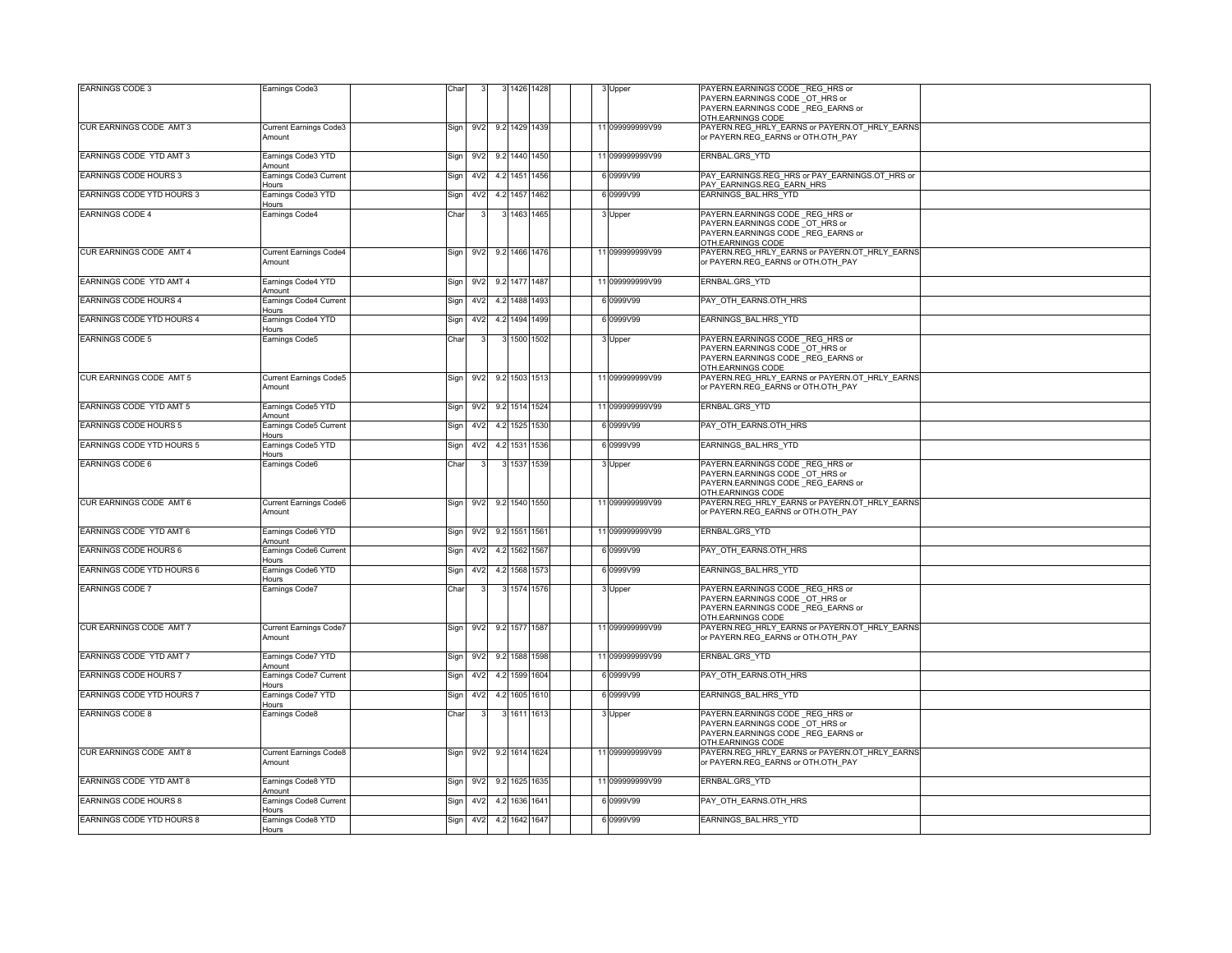| <b>EARNINGS CODE 3</b>           | Earnings Code3                          | Char |                 |                 |                   | 1426 1428   |      |  | 3 Upper         | PAYERN.EARNINGS CODE REG HRS or<br>PAYERN.EARNINGS CODE OT HRS or                                                             |
|----------------------------------|-----------------------------------------|------|-----------------|-----------------|-------------------|-------------|------|--|-----------------|-------------------------------------------------------------------------------------------------------------------------------|
|                                  |                                         |      |                 |                 |                   |             |      |  |                 | PAYERN.EARNINGS CODE REG EARNS or<br>OTH.EARNINGS CODE                                                                        |
| CUR EARNINGS CODE AMT 3          | Current Earnings Code3<br>Amount        | Sign |                 |                 | 9V2 9.2 1429 1439 |             |      |  | 11 099999999V99 | PAYERN.REG_HRLY_EARNS or PAYERN.OT_HRLY_EARNS<br>or PAYERN.REG_EARNS or OTH.OTH_PAY                                           |
| EARNINGS CODE YTD AMT 3          | Earnings Code3 YTD<br>Amount            | Sign | 9V2             |                 | 9.2 1440 1450     |             |      |  | 11 099999999V99 | ERNBAL.GRS_YTD                                                                                                                |
| EARNINGS CODE HOURS 3            | Earnings Code3 Current<br>Hours         | Sign |                 | 4V <sub>2</sub> | 4.2 1451 1456     |             |      |  | 6 0999V99       | PAY EARNINGS.REG HRS or PAY EARNINGS.OT HRS or<br>PAY EARNINGS.REG EARN HRS                                                   |
| EARNINGS CODE YTD HOURS 3        | Earnings Code3 YTD<br>Hours             | Sign |                 | 4V <sub>2</sub> | 4.2 1457 1462     |             |      |  | 6 0999V99       | EARNINGS BAL.HRS YTD                                                                                                          |
| EARNINGS CODE 4                  | Earnings Code4                          | Char |                 |                 |                   | 3 1463 1465 |      |  | 3 Upper         | PAYERN.EARNINGS CODE REG HRS or                                                                                               |
|                                  |                                         |      |                 |                 |                   |             |      |  |                 | PAYERN.EARNINGS CODE OT HRS or<br>PAYERN.EARNINGS CODE REG EARNS or<br>OTH.EARNINGS CODE                                      |
| CUR EARNINGS CODE AMT 4          | <b>Current Earnings Code4</b><br>Amount | Sign |                 | 9V <sub>2</sub> | 9.2 1466 1476     |             |      |  | 11 099999999V99 | PAYERN.REG HRLY EARNS or PAYERN.OT HRLY EARNS<br>or PAYERN.REG EARNS or OTH.OTH PAY                                           |
| EARNINGS CODE YTD AMT 4          | Earnings Code4 YTD<br>Amount            | Sign |                 | 9V <sub>2</sub> | 9.2 1477 1487     |             |      |  | 11 099999999V99 | ERNBAL.GRS YTD                                                                                                                |
| EARNINGS CODE HOURS 4            | Earnings Code4 Current<br>Hours         | Sign | 4V <sub>2</sub> |                 | 4.2 1488 1493     |             |      |  | 6 0999V99       | PAY OTH EARNS.OTH HRS                                                                                                         |
| EARNINGS CODE YTD HOURS 4        | Earnings Code4 YTD<br>Hours             | Sign |                 | 4V <sub>2</sub> | 4.2 1494 1499     |             |      |  | 6 0999V99       | EARNINGS BAL.HRS YTD                                                                                                          |
| <b>EARNINGS CODE 5</b>           | Earnings Code5                          | Char |                 |                 |                   | 1500 1502   |      |  | 3 Upper         | PAYERN.EARNINGS CODE REG HRS or<br>PAYERN.EARNINGS CODE OT HRS or<br>PAYERN.EARNINGS CODE _REG_EARNS or<br>OTH.EARNINGS CODE  |
| CUR EARNINGS CODE AMT 5          | <b>Current Earnings Code5</b><br>Amount | Sign | 9 <sub>V2</sub> |                 | 9.2 1503 1513     |             |      |  | 11 099999999V99 | PAYERN.REG HRLY EARNS or PAYERN.OT HRLY EARNS<br>or PAYERN.REG EARNS or OTH.OTH_PAY                                           |
| EARNINGS CODE YTD AMT 5          | Earnings Code5 YTD<br>Amount            | Sign | 9V2             |                 | 9.2 1514 1524     |             |      |  | 11 099999999V99 | ERNBAL.GRS YTD                                                                                                                |
| EARNINGS CODE HOURS 5            | Earnings Code5 Current<br>lours         | Sign |                 | 4V <sub>2</sub> | 4.2 1525 1530     |             |      |  | 6 0999V99       | PAY_OTH_EARNS.OTH_HRS                                                                                                         |
| EARNINGS CODE YTD HOURS 5        | Earnings Code5 YTD<br><b>Hours</b>      | Sign |                 | 4V <sub>2</sub> | 4.2 1531 1536     |             |      |  | 6 0999V99       | EARNINGS BAL.HRS YTD                                                                                                          |
| <b>EARNINGS CODE 6</b>           | Earnings Code6                          | Char |                 |                 |                   | 3 1537 1539 |      |  | 3 Upper         | PAYERN.EARNINGS CODE _REG_HRS or<br>PAYERN.EARNINGS CODE _OT_HRS or<br>PAYERN.EARNINGS CODE REG EARNS or<br>OTH.EARNINGS CODE |
| CUR EARNINGS CODE AMT 6          | Current Earnings Code6<br>Amount        |      | Sign 9V2        |                 | 9.2 1540 1550     |             |      |  | 11 099999999V99 | PAYERN.REG_HRLY_EARNS or PAYERN.OT_HRLY_EARNS<br>or PAYERN.REG_EARNS or OTH.OTH_PAY                                           |
| EARNINGS CODE YTD AMT 6          | Earnings Code6 YTD<br>Amount            | Sign |                 | 9 <sub>V2</sub> | 9.2 1551 1561     |             |      |  | 11 099999999V99 | ERNBAL.GRS YTD                                                                                                                |
| EARNINGS CODE HOURS 6            | Earnings Code6 Current<br>Hours         | Sign | 4V <sub>2</sub> |                 | 4.2 1562 1567     |             |      |  | 6 0999V99       | PAY OTH EARNS.OTH HRS                                                                                                         |
| EARNINGS CODE YTD HOURS 6        | Earnings Code6 YTD<br>lours             | Sign |                 | 4V <sub>2</sub> | 4.2 1568 1573     |             |      |  | 6 0999V99       | EARNINGS BAL.HRS YTD                                                                                                          |
| <b>EARNINGS CODE 7</b>           | Earnings Code7                          | Char |                 |                 |                   | 3 1574 1576 |      |  | 3 Upper         | PAYERN.EARNINGS CODE REG HRS or<br>PAYERN.EARNINGS CODE OT HRS or<br>PAYERN.EARNINGS CODE REG EARNS or<br>OTH.EARNINGS CODE   |
| CUR EARNINGS CODE AMT 7          | <b>Current Earnings Code7</b><br>Amount | Sign | 9 <sub>V2</sub> |                 | 9.2 1577 1587     |             |      |  | 11 099999999V99 | PAYERN.REG_HRLY_EARNS or PAYERN.OT_HRLY_EARNS<br>or PAYERN.REG_EARNS or OTH.OTH_PAY                                           |
| EARNINGS CODE YTD AMT 7          | Earnings Code7 YTD<br>Amount            | Sign | 9V <sub>2</sub> |                 | 9.2 1588 1598     |             |      |  | 11 099999999V99 | ERNBAL.GRS YTD                                                                                                                |
| EARNINGS CODE HOURS 7            | Earnings Code7 Current<br>Hours         | Sign |                 | 4V2             | 4.2 1599          |             | 1604 |  | 6 0999V99       | PAY OTH EARNS.OTH HRS                                                                                                         |
| EARNINGS CODE YTD HOURS 7        | Earnings Code7 YTD<br>Hours             | Sign |                 | 4V <sub>2</sub> | 4.2 1605 1610     |             |      |  | 6 0999V99       | EARNINGS BAL.HRS YTD                                                                                                          |
| <b>EARNINGS CODE 8</b>           | Earnings Code8                          | Char |                 |                 |                   | 3 1611 1613 |      |  | 3 Upper         | PAYERN.EARNINGS CODE _REG_HRS or<br>PAYERN.EARNINGS CODE OT HRS or<br>PAYERN.EARNINGS CODE REG EARNS or<br>OTH.EARNINGS CODE  |
| CUR EARNINGS CODE AMT 8          | <b>Current Earnings Code8</b><br>Amount | Sign |                 | 9V <sub>2</sub> | 9.2 1614 1624     |             |      |  | 11 099999999V99 | PAYERN.REG HRLY EARNS or PAYERN.OT HRLY EARNS<br>or PAYERN.REG EARNS or OTH.OTH PAY                                           |
| EARNINGS CODE YTD AMT 8          | Earnings Code8 YTD<br>Amount            | Sign | 9V <sub>2</sub> |                 | 9.2 1625 1635     |             |      |  | 11 099999999V99 | ERNBAL.GRS_YTD                                                                                                                |
| EARNINGS CODE HOURS 8            | Earnings Code8 Current<br>Hours         | Sign | 4V2             |                 | 4.2 1636 1641     |             |      |  | 6 0999V99       | PAY OTH EARNS.OTH HRS                                                                                                         |
| <b>EARNINGS CODE YTD HOURS 8</b> | Earnings Code8 YTD<br>Hours             | Sign |                 | 4V <sub>2</sub> | 4.2 1642 1647     |             |      |  | 6 0999V99       | EARNINGS BAL.HRS YTD                                                                                                          |
|                                  |                                         |      |                 |                 |                   |             |      |  |                 |                                                                                                                               |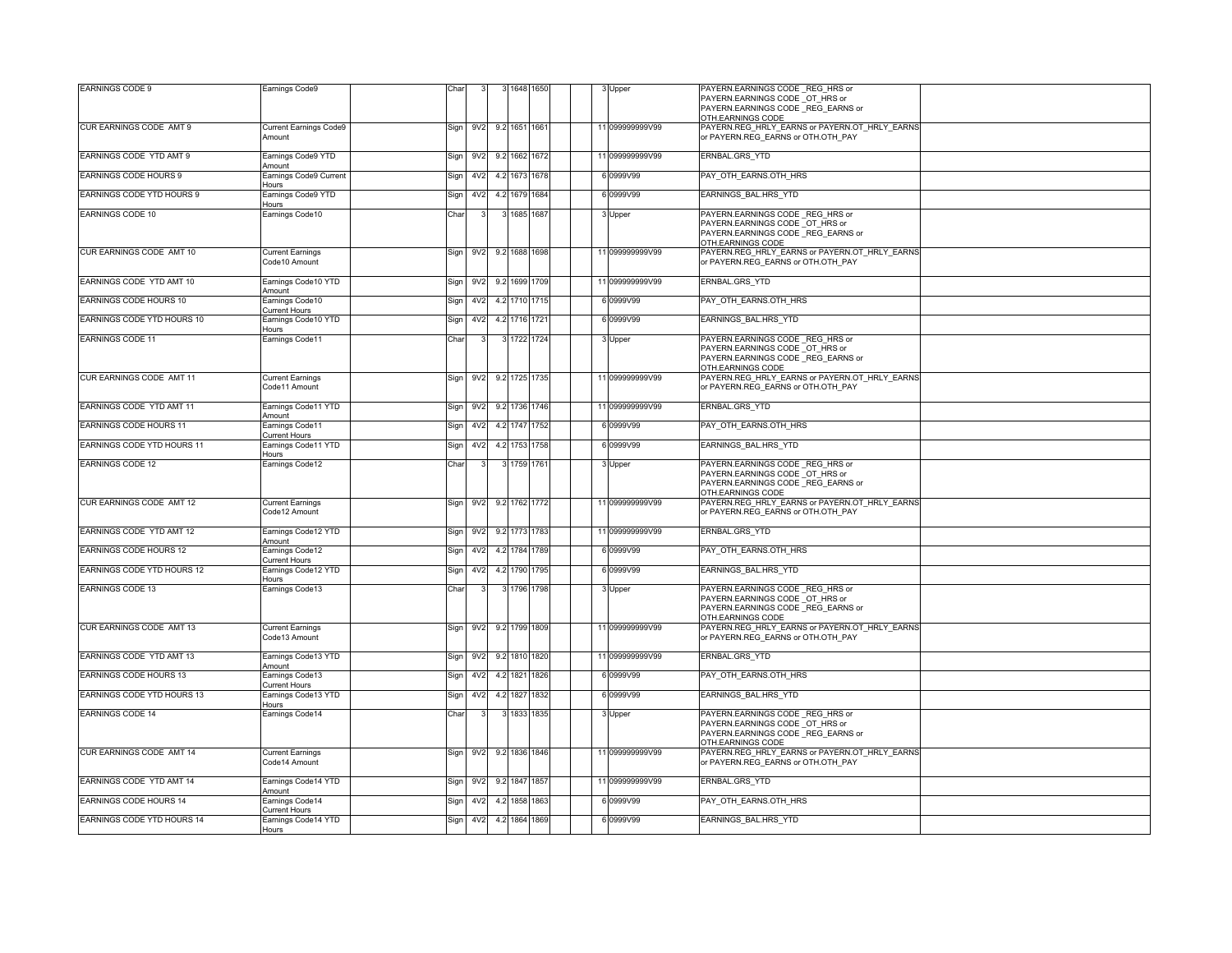| <b>EARNINGS CODE 9</b>        | Earnings Code9                            | Char |                 |     |               | 1648 1650 |  | 3 Upper         | PAYERN.EARNINGS CODE REG HRS or<br>PAYERN.EARNINGS CODE OT HRS or                                                           |
|-------------------------------|-------------------------------------------|------|-----------------|-----|---------------|-----------|--|-----------------|-----------------------------------------------------------------------------------------------------------------------------|
|                               |                                           |      |                 |     |               |           |  |                 | PAYERN.EARNINGS CODE REG EARNS or<br>OTH.EARNINGS CODE                                                                      |
| CUR EARNINGS CODE AMT 9       | Current Earnings Code9                    | Sign | 9V2             |     | 9.2 1651 1661 |           |  | 11 099999999V99 | PAYERN.REG_HRLY_EARNS or PAYERN.OT_HRLY_EARNS<br>or PAYERN.REG_EARNS or OTH.OTH_PAY                                         |
|                               | Amount                                    |      |                 |     |               |           |  |                 |                                                                                                                             |
| EARNINGS CODE YTD AMT 9       | Earnings Code9 YTD<br>Amount              | Sign | 9V2             |     | 9.2 1662 1672 |           |  | 11 099999999V99 | ERNBAL.GRS YTD                                                                                                              |
| EARNINGS CODE HOURS 9         | Earnings Code9 Current<br>Hours           | Sign | 4V <sub>2</sub> |     | 4.2 1673 1678 |           |  | 6 0999V99       | PAY OTH EARNS.OTH HRS                                                                                                       |
| EARNINGS CODE YTD HOURS 9     | Earnings Code9 YTD                        | Sign | 4V <sub>2</sub> |     | 4.2 1679 1684 |           |  | 6 0999V99       | EARNINGS BAL.HRS YTD                                                                                                        |
| EARNINGS CODE 10              | Hours<br>Earnings Code10                  | Char |                 |     | 3 1685 1687   |           |  | 3 Upper         | PAYERN.EARNINGS CODE _REG_HRS or                                                                                            |
|                               |                                           |      |                 |     |               |           |  |                 | PAYERN.EARNINGS CODE OT HRS or<br>PAYERN.EARNINGS CODE REG EARNS or<br>OTH.EARNINGS CODE                                    |
| CUR EARNINGS CODE AMT 10      | <b>Current Earnings</b><br>Code10 Amount  | Sign | 9V <sub>2</sub> |     | 9.2 1688 1698 |           |  | 11 099999999V99 | PAYERN.REG HRLY EARNS or PAYERN.OT HRLY EARNS<br>or PAYERN.REG EARNS or OTH.OTH PAY                                         |
| EARNINGS CODE YTD AMT 10      | Earnings Code10 YTD<br>Amount             | Sign | 9V <sub>2</sub> |     | 9.2 1699 1709 |           |  | 11 099999999V99 | ERNBAL.GRS_YTD                                                                                                              |
| EARNINGS CODE HOURS 10        | Earnings Code10<br>Current Hours          | Sign | 4V <sub>2</sub> |     | 4.2 1710 1715 |           |  | 6 0999V99       | PAY OTH EARNS.OTH HRS                                                                                                       |
| EARNINGS CODE YTD HOURS 10    | Earnings Code10 YTD                       | Sign | 4V <sub>2</sub> |     | 4.2 1716 1721 |           |  | 6 0999V99       | EARNINGS_BAL.HRS_YTD                                                                                                        |
| <b>EARNINGS CODE 11</b>       | Hours<br>Earnings Code11                  | Char |                 |     | 3 1722 1724   |           |  | 3 Upper         | PAYERN.EARNINGS CODE REG HRS or<br>PAYERN.EARNINGS CODE OT HRS or<br>PAYERN.EARNINGS CODE REG_EARNS or                      |
|                               |                                           |      |                 |     |               |           |  |                 | OTH.EARNINGS CODE                                                                                                           |
| CUR EARNINGS CODE AMT 11      | <b>Current Earnings</b><br>Code11 Amount  | Sign | 9 <sub>V2</sub> |     | 9.2 1725 1735 |           |  | 11 099999999V99 | PAYERN.REG HRLY EARNS or PAYERN.OT HRLY EARNS<br>or PAYERN.REG EARNS or OTH.OTH PAY                                         |
| EARNINGS CODE YTD AMT 11      | Earnings Code11 YTD<br>Amount             | Sign | 9V2             |     | 9.2 1736 1746 |           |  | 11 099999999V99 | ERNBAL.GRS_YTD                                                                                                              |
| EARNINGS CODE HOURS 11        | Earnings Code11<br>Current Hours          | Sign | 4 <sub>V2</sub> |     | 4.2 1747 1752 |           |  | 6 0999V99       | PAY OTH EARNS.OTH HRS                                                                                                       |
| EARNINGS CODE YTD HOURS 11    | Earnings Code11 YTD<br>Hours              | Sign | 4V2             |     | 4.2 1753 1758 |           |  | 6 0999V99       | EARNINGS_BAL.HRS_YTD                                                                                                        |
| <b>EARNINGS CODE 12</b>       | Earnings Code12                           | Char |                 |     | 3 1759 1761   |           |  | 3 Upper         | PAYERN.EARNINGS CODE REG HRS or<br>PAYERN.EARNINGS CODE OT HRS or<br>PAYERN.EARNINGS CODE REG EARNS or<br>OTH.EARNINGS CODE |
| CUR EARNINGS CODE AMT 12      | <b>Current Earnings</b><br>Code12 Amount  |      | Sign 9V2        |     | 9.2 1762 1772 |           |  | 11 099999999V99 | PAYERN.REG_HRLY_EARNS or PAYERN.OT_HRLY_EARNS<br>or PAYERN.REG_EARNS or OTH.OTH_PAY                                         |
| EARNINGS CODE YTD AMT 12      | Earnings Code12 YTD<br>Amount             | Sign | 9 <sub>V2</sub> |     | 9.2 1773 1783 |           |  | 11 099999999V99 | ERNBAL.GRS_YTD                                                                                                              |
| <b>EARNINGS CODE HOURS 12</b> | Earnings Code12<br>Current Hours          | Sign | 4V <sub>2</sub> |     | 4.2 1784 1789 |           |  | 6 0999V99       | PAY OTH EARNS.OTH HRS                                                                                                       |
| EARNINGS CODE YTD HOURS 12    | Earnings Code12 YTD                       | Sign | 4V <sub>2</sub> |     | 4.2 1790 1795 |           |  | 6 0999V99       | EARNINGS_BAL.HRS_YTD                                                                                                        |
| <b>EARNINGS CODE 13</b>       | lours<br>Earnings Code13                  | Char |                 |     | 3 1796 1798   |           |  | 3 Upper         | PAYERN.EARNINGS CODE REG HRS or<br>PAYERN.EARNINGS CODE OT HRS or<br>PAYERN.EARNINGS CODE REG EARNS or<br>OTH.EARNINGS CODE |
| CUR EARNINGS CODE AMT 13      | <b>Current Earnings</b><br>Code13 Amount  | Sign | 9 <sub>V2</sub> |     | 9.2 1799 1809 |           |  | 11 099999999V99 | PAYERN.REG_HRLY_EARNS or PAYERN.OT_HRLY_EARNS<br>or PAYERN.REG EARNS or OTH.OTH PAY                                         |
| EARNINGS CODE YTD AMT 13      | Earnings Code13 YTD<br>Amount             | Sign | 9V2             |     | 9.2 1810 1820 |           |  | 11 099999999V99 | ERNBAL.GRS_YTD                                                                                                              |
| EARNINGS CODE HOURS 13        | Earnings Code13<br>Current Hours          | Sign | 4V <sub>2</sub> |     | 4.2 1821 1826 |           |  | 6 0999V99       | PAY OTH EARNS.OTH HRS                                                                                                       |
| EARNINGS CODE YTD HOURS 13    | Earnings Code13 YTD                       | Sign | 4V2             | 4.2 | 1827          | 1832      |  | 6 0999V99       | EARNINGS BAL.HRS YTD                                                                                                        |
| <b>EARNINGS CODE 14</b>       | lours<br>Earnings Code14                  | Char |                 |     | 3 1833 1835   |           |  | 3 Upper         | PAYERN.EARNINGS CODE REG HRS or                                                                                             |
|                               |                                           |      |                 |     |               |           |  |                 | PAYERN.EARNINGS CODE OT HRS or<br>PAYERN.EARNINGS CODE _REG_EARNS or<br>OTH.EARNINGS CODE                                   |
| CUR EARNINGS CODE AMT 14      | <b>Current Earnings</b><br>Code 14 Amount | Sign | 9 <sub>V2</sub> |     | 9.2 1836 1846 |           |  | 11 099999999V99 | PAYERN.REG_HRLY_EARNS or PAYERN.OT_HRLY_EARNS<br>or PAYERN.REG_EARNS or OTH.OTH_PAY                                         |
| EARNINGS CODE YTD AMT 14      | Earnings Code14 YTD<br>Amount             | Sign | 9V <sub>2</sub> |     | 9.2 1847 1857 |           |  | 11 099999999V99 | ERNBAL.GRS_YTD                                                                                                              |
| EARNINGS CODE HOURS 14        | Earnings Code14<br>urrent Hours           | Sign | 4V <sub>2</sub> |     | 4.2 1858 1863 |           |  | 6 0999V99       | PAY OTH EARNS.OTH HRS                                                                                                       |
| EARNINGS CODE YTD HOURS 14    | Earnings Code14 YTD                       | Sign | 4V <sub>2</sub> |     | 4.2 1864 1869 |           |  | 6 0999V99       | EARNINGS BAL.HRS YTD                                                                                                        |
|                               | Hours                                     |      |                 |     |               |           |  |                 |                                                                                                                             |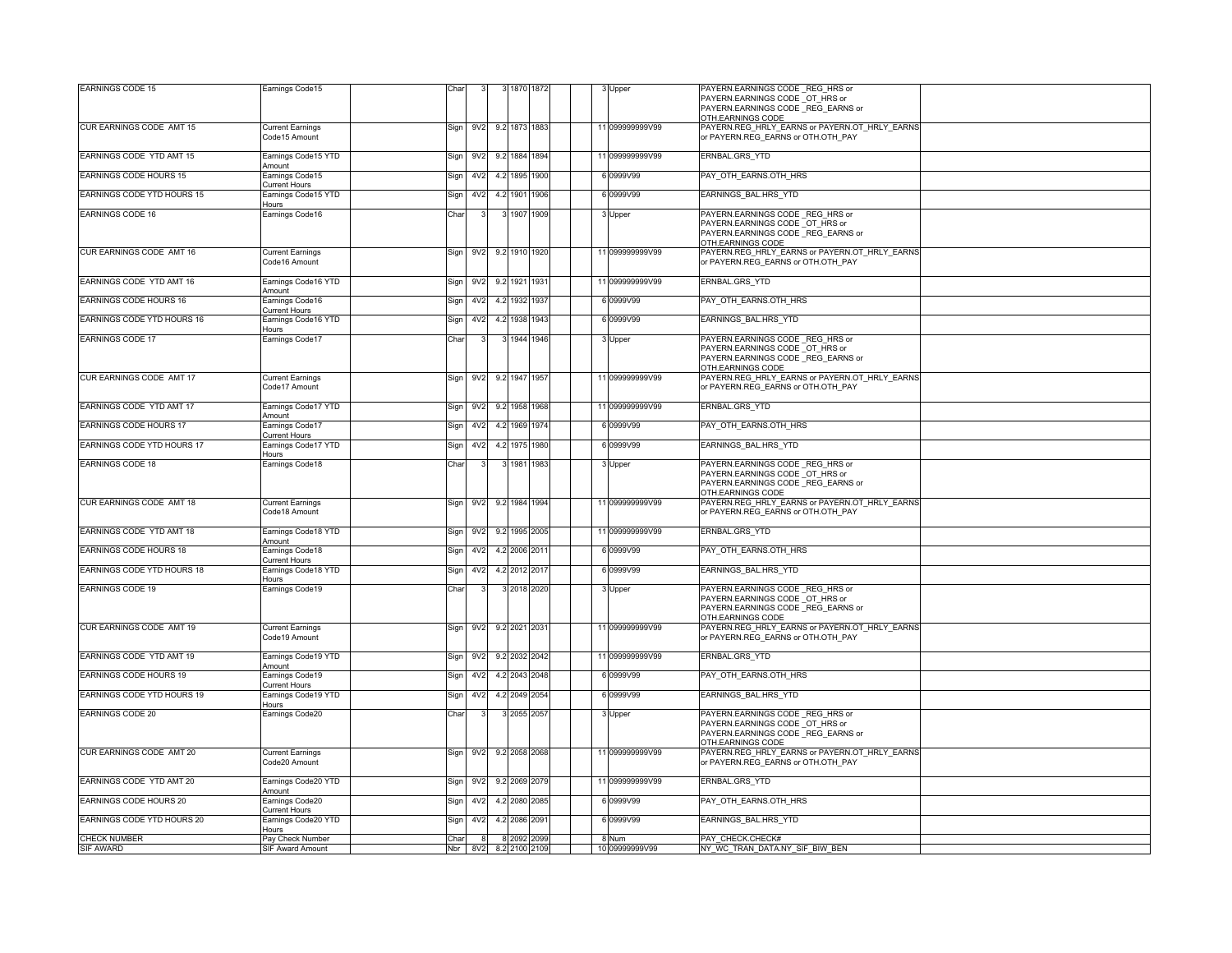| <b>EARNINGS CODE 15</b>    | Earnings Code15                          | Char |                  |     |                        | 1870 1872 |      |  | 3 Upper         | PAYERN.EARNINGS CODE REG HRS or                                                     |
|----------------------------|------------------------------------------|------|------------------|-----|------------------------|-----------|------|--|-----------------|-------------------------------------------------------------------------------------|
|                            |                                          |      |                  |     |                        |           |      |  |                 | PAYERN.EARNINGS CODE OT HRS or<br>PAYERN.EARNINGS CODE _REG_EARNS or                |
|                            |                                          |      |                  |     |                        |           |      |  |                 | OTH.EARNINGS CODE                                                                   |
| CUR EARNINGS CODE AMT 15   | <b>Current Earnings</b>                  | Sign | 9V <sub>2</sub>  |     | 9.2 1873 1883          |           |      |  | 11 099999999V99 | PAYERN.REG HRLY EARNS or PAYERN.OT HRLY EARNS                                       |
|                            | Code15 Amount                            |      |                  |     |                        |           |      |  |                 | or PAYERN.REG_EARNS or OTH.OTH_PAY                                                  |
| EARNINGS CODE YTD AMT 15   | Earnings Code15 YTD                      | Sign | 9V <sub>2</sub>  |     | 9.2 1884 1894          |           |      |  | 11 099999999V99 | ERNBAL.GRS_YTD                                                                      |
|                            | Amount                                   |      |                  |     |                        |           |      |  |                 |                                                                                     |
| EARNINGS CODE HOURS 15     | Earnings Code15<br>urrent Hours          | Sign | 4V <sub>2</sub>  | 4.2 | 1895                   |           | 1900 |  | 6 0999V99       | PAY_OTH_EARNS.OTH_HRS                                                               |
| EARNINGS CODE YTD HOURS 15 | Earnings Code15 YTD                      | Sign | 4V2              |     | 4.2 1901 1906          |           |      |  | 6 0999V99       | EARNINGS BAL.HRS YTD                                                                |
| <b>EARNINGS CODE 16</b>    | <b>Hours</b><br>Earnings Code16          | Char |                  |     |                        | 1907 1909 |      |  |                 | PAYERN.EARNINGS CODE REG HRS or                                                     |
|                            |                                          |      |                  |     |                        |           |      |  | 3 Upper         | PAYERN.EARNINGS CODE OT HRS or                                                      |
|                            |                                          |      |                  |     |                        |           |      |  |                 | PAYERN.EARNINGS CODE REG EARNS or                                                   |
| CUR EARNINGS CODE AMT 16   |                                          |      |                  |     |                        |           |      |  | 11 099999999V99 | OTH.EARNINGS CODE<br>PAYERN.REG HRLY EARNS or PAYERN.OT HRLY EARNS                  |
|                            | <b>Current Earnings</b><br>Code16 Amount | Sign | 9V <sub>2</sub>  |     | 9.2 1910 1920          |           |      |  |                 | or PAYERN.REG_EARNS or OTH.OTH_PAY                                                  |
|                            |                                          |      |                  |     |                        |           |      |  |                 |                                                                                     |
| EARNINGS CODE YTD AMT 16   | Earnings Code16 YTD<br>Amount            | Sign | 9V <sub>2</sub>  |     | 9.2 1921 1931          |           |      |  | 11 099999999V99 | ERNBAL.GRS_YTD                                                                      |
| EARNINGS CODE HOURS 16     | Earnings Code16                          | Sign | 4V2              |     | 4.2 1932 1937          |           |      |  | 6 0999V99       | PAY OTH EARNS.OTH HRS                                                               |
|                            | Current Hours                            |      |                  |     |                        |           |      |  |                 |                                                                                     |
| EARNINGS CODE YTD HOURS 16 | Earnings Code16 YTD<br>Hours             | Sign | 4V2              |     | 4.2 1938 1943          |           |      |  | 6 0999V99       | EARNINGS BAL.HRS YTD                                                                |
| <b>EARNINGS CODE 17</b>    | Earnings Code17                          | Char |                  |     | 3 1944 1946            |           |      |  | 3 Upper         | PAYERN.EARNINGS CODE_REG_HRS or                                                     |
|                            |                                          |      |                  |     |                        |           |      |  |                 | PAYERN.EARNINGS CODE OT HRS or                                                      |
|                            |                                          |      |                  |     |                        |           |      |  |                 | PAYERN.EARNINGS CODE REG EARNS or                                                   |
| CUR EARNINGS CODE AMT 17   | <b>Current Earnings</b>                  | Sign | 9V2              |     | 9.2 1947 1957          |           |      |  | 11 099999999V99 | OTH.EARNINGS CODE<br>PAYERN.REG_HRLY_EARNS or PAYERN.OT_HRLY_EARNS                  |
|                            | Code17 Amount                            |      |                  |     |                        |           |      |  |                 | or PAYERN.REG EARNS or OTH.OTH PAY                                                  |
|                            |                                          |      |                  |     |                        |           |      |  |                 |                                                                                     |
| EARNINGS CODE YTD AMT 17   | Earnings Code17 YTD<br>Amount            | Sign | 9V <sub>2</sub>  |     | 9.2 1958 1968          |           |      |  | 11 099999999V99 | ERNBAL.GRS_YTD                                                                      |
| EARNINGS CODE HOURS 17     | Earnings Code17                          | Sign | 4 <sub>V</sub> 2 |     | 4.2 1969 1974          |           |      |  | 6 0999V99       | PAY OTH EARNS.OTH HRS                                                               |
| EARNINGS CODE YTD HOURS 17 | urrent Hours<br>Earnings Code17 YTD      | Sign | 4V <sub>2</sub>  |     | 4.2 1975               |           | 1980 |  | 6 0999V99       | EARNINGS BAL.HRS YTD                                                                |
|                            | lours                                    |      |                  |     |                        |           |      |  |                 |                                                                                     |
| <b>EARNINGS CODE 18</b>    | Earnings Code18                          | Char |                  |     | 3 1981 1983            |           |      |  | 3 Upper         | PAYERN.EARNINGS CODE REG HRS or                                                     |
|                            |                                          |      |                  |     |                        |           |      |  |                 | PAYERN.EARNINGS CODE _OT_HRS or<br>PAYERN.EARNINGS CODE _REG_EARNS or               |
|                            |                                          |      |                  |     |                        |           |      |  |                 | OTH.EARNINGS CODE                                                                   |
| CUR EARNINGS CODE AMT 18   | <b>Current Earnings</b>                  |      |                  |     | Sign 9V2 9.2 1984 1994 |           |      |  | 11 099999999V99 | PAYERN.REG_HRLY_EARNS or PAYERN.OT_HRLY_EARNS                                       |
|                            | Code18 Amount                            |      |                  |     |                        |           |      |  |                 | or PAYERN.REG_EARNS or OTH.OTH_PAY                                                  |
| EARNINGS CODE YTD AMT 18   | Earnings Code18 YTD                      | Sign | 9V <sub>2</sub>  |     | 9.2 1995 2005          |           |      |  | 11 099999999V99 | ERNBAL.GRS_YTD                                                                      |
|                            | Amount                                   |      |                  |     |                        |           |      |  |                 |                                                                                     |
| EARNINGS CODE HOURS 18     | Earnings Code18<br>urrent Hours          | Sign | 4V <sub>2</sub>  |     | 4.2 2006 201           |           |      |  | 6 0999V99       | PAY_OTH_EARNS.OTH_HRS                                                               |
| EARNINGS CODE YTD HOURS 18 | Earnings Code18 YTD                      | Sign | 4V <sub>2</sub>  |     | 4.2 2012 2017          |           |      |  | 6 0999V99       | EARNINGS BAL.HRS YTD                                                                |
|                            | Hours                                    |      |                  |     |                        |           |      |  |                 | PAYERN.EARNINGS CODE REG HRS or                                                     |
| <b>EARNINGS CODE 19</b>    | Earnings Code19                          | Char |                  |     | 3 2018 2020            |           |      |  | 3 Upper         | PAYERN.EARNINGS CODE OT HRS or                                                      |
|                            |                                          |      |                  |     |                        |           |      |  |                 | PAYERN.EARNINGS CODE _REG_EARNS or                                                  |
|                            |                                          |      |                  |     |                        |           |      |  |                 | OTH.EARNINGS CODE                                                                   |
| CUR EARNINGS CODE AMT 19   | <b>Current Earnings</b><br>Code19 Amount | Sign | 9V2              |     | 9.2 2021 2031          |           |      |  | 11 099999999V99 | PAYERN.REG HRLY EARNS or PAYERN.OT HRLY EARNS<br>or PAYERN.REG_EARNS or OTH.OTH_PAY |
|                            |                                          |      |                  |     |                        |           |      |  |                 |                                                                                     |
| EARNINGS CODE YTD AMT 19   | Earnings Code19 YTD                      | Sign | 9 <sub>V2</sub>  |     | 9.2 2032 2042          |           |      |  | 11 099999999V99 | ERNBAL.GRS YTD                                                                      |
| EARNINGS CODE HOURS 19     | Amount<br>Earnings Code19                | Sign | 4V2              |     | 4.2 2043 2048          |           |      |  | 6 0999V99       | PAY_OTH_EARNS.OTH_HRS                                                               |
|                            | Current Hours                            |      |                  |     |                        |           |      |  |                 |                                                                                     |
| EARNINGS CODE YTD HOURS 19 | Earnings Code19 YTD                      | Sign | 4V2              |     | 4.2 2049 2054          |           |      |  | 6 0999V99       | EARNINGS BAL.HRS YTD                                                                |
| <b>EARNINGS CODE 20</b>    | Hours<br>Earnings Code20                 | Char |                  |     | 3 2055 2057            |           |      |  | 3 Upper         | PAYERN.EARNINGS CODE REG HRS or                                                     |
|                            |                                          |      |                  |     |                        |           |      |  |                 | PAYERN.EARNINGS CODE OT HRS or                                                      |
|                            |                                          |      |                  |     |                        |           |      |  |                 | PAYERN.EARNINGS CODE REG EARNS or                                                   |
|                            |                                          |      |                  |     |                        |           |      |  |                 | OTH.EARNINGS CODE<br>PAYERN.REG HRLY EARNS or PAYERN.OT HRLY EARNS                  |
| CUR EARNINGS CODE AMT 20   | <b>Current Earnings</b><br>Code20 Amount | Sign | 9V2              |     | 9.2 2058 2068          |           |      |  | 11 099999999V99 | or PAYERN.REG EARNS or OTH.OTH PAY                                                  |
|                            |                                          |      |                  |     |                        |           |      |  |                 |                                                                                     |
| EARNINGS CODE YTD AMT 20   | Earnings Code20 YTD<br>Amount            | Sign | 9V2              |     | 9.2 2069 2079          |           |      |  | 11 099999999V99 | ERNBAL.GRS_YTD                                                                      |
| EARNINGS CODE HOURS 20     | Earnings Code20                          | Sign | 4V <sub>2</sub>  |     | 4.2 2080               |           | 2085 |  | 6 0999V99       | PAY_OTH_EARNS.OTH_HRS                                                               |
|                            | urrent Hours                             |      |                  |     |                        |           |      |  |                 |                                                                                     |
| EARNINGS CODE YTD HOURS 20 | Earnings Code20 YTD<br>Hours             | Sign | 4V <sub>2</sub>  |     | 4.2 2086 2091          |           |      |  | 6 0999V99       | EARNINGS_BAL.HRS_YTD                                                                |
| <b>CHECK NUMBER</b>        | Pay Check Number                         | Char | -8               |     | 8 2092 2099            |           |      |  | 8 Num           | PAY CHECK.CHECK#                                                                    |
| SIF AWARD                  | SIF Award Amount                         |      | Nbr 8V2          |     | 8.2 2100 2109          |           |      |  | 10 09999999V99  | NY WC TRAN DATA.NY SIF BIW BEN                                                      |
|                            |                                          |      |                  |     |                        |           |      |  |                 |                                                                                     |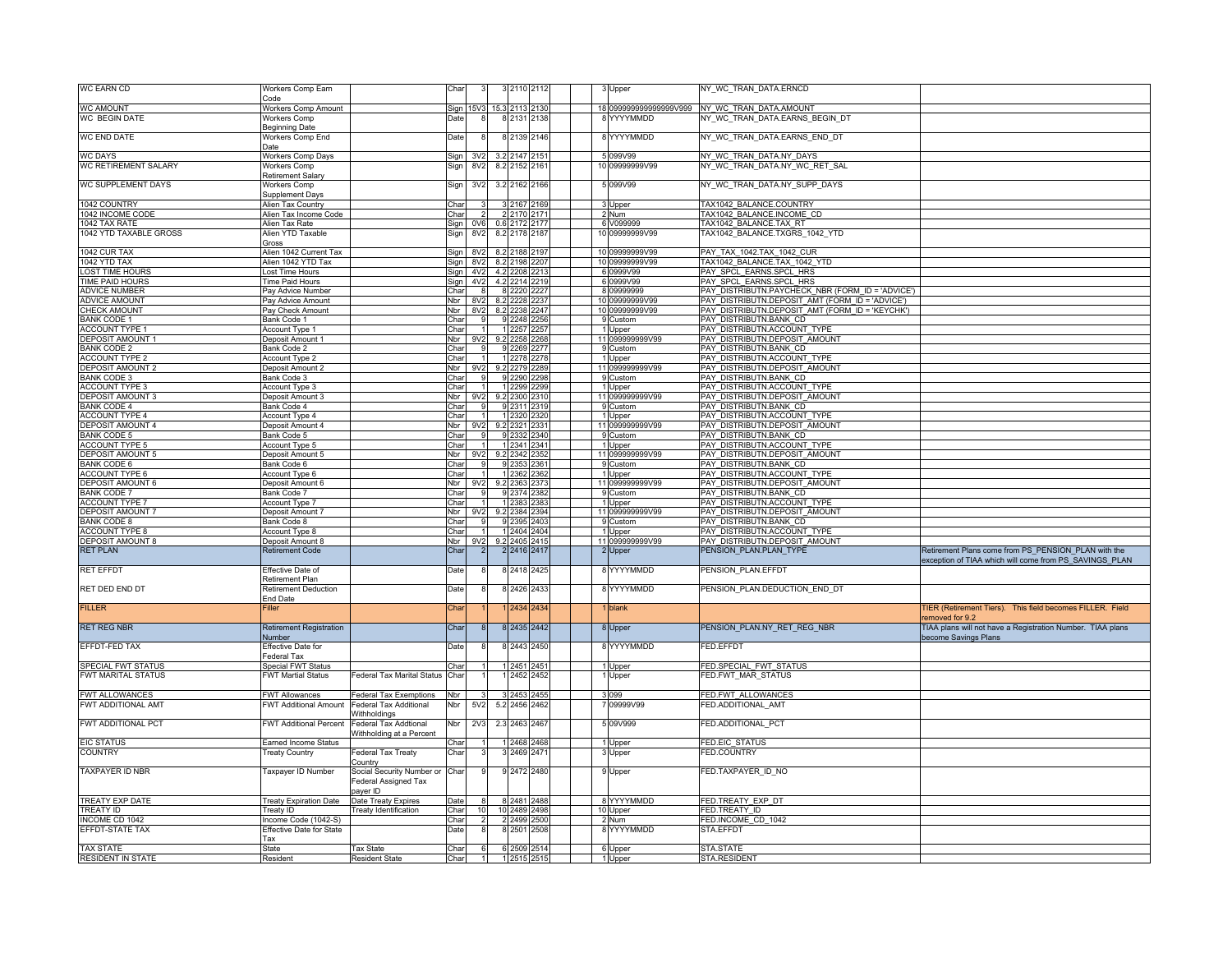| <b>WC EARN CD</b>                                | Workers Comp Earn<br>Code                        |                                                          | Char         |                        |     | 3 2110 2112               |              |  | Upper                            | NY_WC_TRAN_DATA.ERNCD                                                                              |                                                                   |
|--------------------------------------------------|--------------------------------------------------|----------------------------------------------------------|--------------|------------------------|-----|---------------------------|--------------|--|----------------------------------|----------------------------------------------------------------------------------------------------|-------------------------------------------------------------------|
| <b>WC AMOUNT</b>                                 | <b>Norkers Comp Amount</b>                       |                                                          | Sign         |                        |     |                           |              |  |                                  | 0999999999999999V999 NY WC TRAN DATA.AMOUNT                                                        |                                                                   |
| <b>WC BEGIN DATE</b>                             | <b>Workers Comp</b>                              |                                                          | Date         |                        |     | 8 2131 2138               |              |  | 8 YYYYMMDD                       | NY WC TRAN DATA.EARNS BEGIN DT                                                                     |                                                                   |
|                                                  | Beginning Date                                   |                                                          |              |                        |     |                           |              |  |                                  |                                                                                                    |                                                                   |
| <b>WC END DATE</b>                               | Workers Comp End                                 |                                                          | Date         |                        |     | 8 2139 2146               |              |  | 8 YYYYMMDD                       | NY WC TRAN DATA.EARNS END DT                                                                       |                                                                   |
|                                                  | Date                                             |                                                          |              |                        |     | 322147                    |              |  |                                  |                                                                                                    |                                                                   |
| <b>WC DAYS</b><br>WC RETIREMENT SALARY           | Workers Comp Days<br><b>Norkers Comp</b>         |                                                          | Sign         | 3V <sub>2</sub><br>8V2 |     | 8.2 2152                  | 216'         |  | 5 099V99<br>10 09999999V99       | NY WC TRAN DATA.NY DAYS<br>NY WC TRAN DATA.NY WC RET SAL                                           |                                                                   |
|                                                  | Retirement Salary                                |                                                          | Sign         |                        |     |                           |              |  |                                  |                                                                                                    |                                                                   |
| WC SUPPLEMENT DAYS                               | Workers Comp                                     |                                                          | Sign         | 3V <sub>2</sub>        |     | 3.2 2162 2166             |              |  | 5 099V99                         | NY WC TRAN DATA.NY SUPP DAYS                                                                       |                                                                   |
|                                                  | Supplement Days                                  |                                                          |              |                        |     |                           |              |  |                                  |                                                                                                    |                                                                   |
| 1042 COUNTRY                                     | Alien Tax Country                                |                                                          | Char         |                        |     | 3 2167 2169               |              |  | 3 Upper                          | TAX1042 BALANCE.COUNTRY                                                                            |                                                                   |
| 1042 INCOME CODE                                 | Alien Tax Income Code                            |                                                          | Char         |                        |     | 2 2170 2171               |              |  | 2 Num                            | TAX1042 BALANCE.INCOME CD                                                                          |                                                                   |
| 1042 TAX RATE                                    | Alien Tax Rate                                   |                                                          | Sign         | 0V <sub>6</sub>        |     | 0.6 2172                  |              |  | 6 V099999                        | TAX1042 BALANCE.TAX RT                                                                             |                                                                   |
| 1042 YTD TAXABLE GROSS                           | Alien YTD Taxable<br>Gross                       |                                                          | Sign         | 8V <sub>2</sub>        |     | 8.2 2178                  | 2187         |  | 10 09999999V99                   | TAX1042 BALANCE.TXGRS 1042 YTD                                                                     |                                                                   |
| 1042 CUR TAX                                     | Alien 1042 Current Tax                           |                                                          | Sign         | 8V2                    |     | 8.2 2188                  | 2197         |  | 10 09999999V99                   | PAY TAX 1042.TAX 1042 CUR                                                                          |                                                                   |
| 1042 YTD TAX                                     | Alien 1042 YTD Tax                               |                                                          | Sign         | 8V2                    |     | 8.2 2198                  | 2207         |  | 10 09999999V99                   | TAX1042 BALANCE.TAX 1042 YTD                                                                       |                                                                   |
| <b>LOST TIME HOURS</b>                           | ost Time Hours                                   |                                                          | Sign         | 4V <sub>2</sub>        |     | 4.2 2208                  | 221          |  | 6 0999V99                        | PAY SPCL EARNS.SPCL HRS                                                                            |                                                                   |
| TIME PAID HOURS                                  | <b>Time Paid Hours</b>                           |                                                          | Sign         | 4 <sub>V</sub> 2       |     | 4.2 2214                  | 2219         |  | 6 0999V99                        | PAY SPCL EARNS.SPCL HRS                                                                            |                                                                   |
| <b>ADVICE NUMBER</b>                             | Pay Advice Number                                |                                                          | Char         |                        |     | 8 2 2 2 1                 |              |  | 8 09999999                       | PAY DISTRIBUTN.PAYCHECK NBR (FORM ID = 'ADVICE')                                                   |                                                                   |
| <b>ADVICE AMOUNT</b><br><b>CHECK AMOUNT</b>      | Pay Advice Amount<br>Pay Check Amount            |                                                          | Nbr<br>Nbr   | 8V2<br>8V <sub>2</sub> |     | 8.2 2228 2237<br>8.2 2238 | 2247         |  | 10 09999999V99<br>10 09999999V99 | PAY DISTRIBUTN.DEPOSIT AMT (FORM ID = 'ADVICE')<br>PAY DISTRIBUTN.DEPOSIT AMT (FORM ID = 'KEYCHK') |                                                                   |
| <b>BANK CODE 1</b>                               | Bank Code 1                                      |                                                          | Char         |                        |     | 9 2248 2256               |              |  | 9 Custom                         | PAY DISTRIBUTN.BANK CD                                                                             |                                                                   |
| <b>ACCOUNT TYPE 1</b>                            | Account Type 1                                   |                                                          | Char         |                        |     | 1 2257 2257               |              |  | 1 Upper                          | PAY_DISTRIBUTN.ACCOUNT_TYPE                                                                        |                                                                   |
| <b>DEPOSIT AMOUNT 1</b>                          | Deposit Amount 1                                 |                                                          | <b>Nbr</b>   | 9V2                    |     | 9.2 2258                  | 2268         |  | 11 099999999V99                  | PAY DISTRIBUTN.DEPOSIT AMOUNT                                                                      |                                                                   |
| <b>BANK CODE 2</b>                               | 3ank Code 2                                      |                                                          | Char         |                        |     | 9 2 2 6 9                 |              |  | 9 Custom                         | PAY DISTRIBUTN.BANK CD                                                                             |                                                                   |
| <b>ACCOUNT TYPE 2</b>                            | Account Type 2                                   |                                                          | Char         |                        |     | 1 2278 2278               |              |  | 1 Upper                          | PAY DISTRIBUTN.ACCOUNT TYPE                                                                        |                                                                   |
| <b>DEPOSIT AMOUNT 2</b>                          | Deposit Amount 2                                 |                                                          | Nbr          | 9V <sub>2</sub>        |     | 9.2 2279 2289             |              |  | 11 099999999V99                  | PAY DISTRIBUTN.DEPOSIT AMOUNT                                                                      |                                                                   |
| <b>BANK CODE 3</b>                               | Bank Code 3                                      |                                                          | Char         |                        |     | 9 2 2 9 0                 | 2298         |  | 9 Custom                         | PAY DISTRIBUTN.BANK CD                                                                             |                                                                   |
| <b>ACCOUNT TYPE 3</b>                            | Account Type 3                                   |                                                          | Char         | 9 <sub>2</sub>         |     | 1 2299                    | 2299<br>2310 |  | 1 Upper                          | PAY_DISTRIBUTN.ACCOUNT_TYPE                                                                        |                                                                   |
| <b>DEPOSIT AMOUNT 3</b><br><b>BANK CODE 4</b>    | Deposit Amount 3<br><b>Bank Code 4</b>           |                                                          | Nbr<br>Char  |                        |     | 9.2 2300<br>9 231         |              |  | 11 099999999V99<br>9 Custom      | PAY DISTRIBUTN.DEPOSIT AMOUNT<br>PAY DISTRIBUTN.BANK CD                                            |                                                                   |
| <b>ACCOUNT TYPE 4</b>                            | <b>Account Type 4</b>                            |                                                          | Char         |                        |     | 1 2320                    | 320          |  | 1 Upper                          | PAY DISTRIBUTN.ACCOUNT TYPE                                                                        |                                                                   |
| <b>DEPOSIT AMOUNT 4</b>                          | Deposit Amount 4                                 |                                                          | Nbr          | 9V <sub>2</sub>        |     | 9.2 2321                  | 233'         |  | 11 099999999V99                  | PAY DISTRIBUTN.DEPOSIT AMOUNT                                                                      |                                                                   |
| <b>BANK CODE 5</b>                               | Bank Code 5                                      |                                                          | Char         |                        |     | 9 2332                    | 2340         |  | 9 Custom                         | PAY DISTRIBUTN.BANK CD                                                                             |                                                                   |
| <b>ACCOUNT TYPE 5</b>                            | Account Type 5                                   |                                                          | Char         |                        |     | 1 2341 2341               |              |  | 1 Upper                          | PAY DISTRIBUTN.ACCOUNT TYPE                                                                        |                                                                   |
| <b>DEPOSIT AMOUNT 5</b>                          | Deposit Amount 5                                 |                                                          | Nbr          | 9V <sub>2</sub>        |     | 9.2 2342                  | 2352         |  | 11 099999999V99                  | PAY DISTRIBUTN.DEPOSIT AMOUNT                                                                      |                                                                   |
| <b>BANK CODE 6</b>                               | Bank Code 6                                      |                                                          | Char         |                        |     | 9 2353                    | 36'          |  | 9 Custom                         | PAY DISTRIBUTN.BANK CD                                                                             |                                                                   |
| <b>ACCOUNT TYPE 6</b><br><b>DEPOSIT AMOUNT 6</b> | Account Type 6                                   |                                                          | Char         |                        |     | 1 2362                    | 362<br>2373  |  | 1 Upper<br>11 099999999V99       | PAY DISTRIBUTN.ACCOUNT TYPE<br>PAY DISTRIBUTN.DEPOSIT AMOUNT                                       |                                                                   |
| <b>BANK CODE 7</b>                               | Deposit Amount 6<br>Bank Code 7                  |                                                          | Nbr<br>Cha   | 9V <sub>2</sub>        |     | 9.2 2363<br>9 2374        | 382          |  | 9 Custom                         | PAY DISTRIBUTN, BANK CD                                                                            |                                                                   |
| <b>ACCOUNT TYPE 7</b>                            | Account Type 7                                   |                                                          | Cha          |                        |     | 1 2383                    | 2383         |  | 1 Upper                          | PAY_DISTRIBUTN.ACCOUNT_TYPE                                                                        |                                                                   |
| <b>DEPOSIT AMOUNT 7</b>                          | Deposit Amount 7                                 |                                                          | Nbr          | 9V2                    |     | 9.2 2384                  | 2394         |  | 11 099999999V99                  | PAY DISTRIBUTN.DEPOSIT AMOUNT                                                                      |                                                                   |
| <b>BANK CODE 8</b>                               | Bank Code 8                                      |                                                          | Char         |                        |     | 9 2 3 9 5                 | 2403         |  | 9 Custom                         | PAY DISTRIBUTN, BANK CD                                                                            |                                                                   |
| <b>ACCOUNT TYPE 8</b>                            | <b>Account Type 8</b>                            |                                                          | Char         |                        |     | 1 2404 2404               |              |  | 1 Upper                          | PAY DISTRIBUTN.ACCOUNT TYPE                                                                        |                                                                   |
| <b>DEPOSIT AMOUNT 8</b>                          | Deposit Amount 8                                 |                                                          | Nbr          | 9V <sub>2</sub>        |     | 9.2 2405 2415             |              |  | 11 099999999V99                  | PAY DISTRIBUTN.DEPOSIT AMOUNT                                                                      |                                                                   |
| <b>RET PLAN</b>                                  | <b>Retirement Code</b>                           |                                                          | Char         |                        |     | 2 2416 2417               |              |  | 2 Upper                          | PENSION_PLAN.PLAN_TYPE                                                                             | Retirement Plans come from PS PENSION PLAN with the               |
| <b>RET EFFDT</b>                                 | Effective Date of                                |                                                          | Date         |                        |     | 8 2418 2425               |              |  | 8 YYYYMMDD                       | PENSION PLAN.EFFDT                                                                                 | exception of TIAA which will come from PS SAVINGS PLAN            |
|                                                  | Retirement Plan                                  |                                                          |              |                        |     |                           |              |  |                                  |                                                                                                    |                                                                   |
| RET DED END DT                                   | Retirement Deduction                             |                                                          | Date         |                        |     | 8 2426                    | 2433         |  | 8 YYYYMMDD                       | PENSION PLAN.DEDUCTION END DT                                                                      |                                                                   |
|                                                  | <b>End Date</b>                                  |                                                          |              |                        |     |                           |              |  |                                  |                                                                                                    |                                                                   |
| <b>FILLER</b>                                    | Filler                                           |                                                          | Char         |                        |     |                           | 2434 2434    |  | blank                            |                                                                                                    | <b>FIER (Retirement Tiers). This field becomes FILLER. Field</b>  |
|                                                  |                                                  |                                                          |              |                        |     |                           |              |  |                                  |                                                                                                    | emoved for 9.2                                                    |
| <b>RET REG NBR</b>                               | <b>Retirement Registration</b>                   |                                                          | Char         |                        |     | 8 2435 2442               |              |  | 8 Upper                          | PENSION_PLAN.NY_RET_REG_NBR                                                                        | <b>TIAA plans will not have a Registration Number. TIAA plans</b> |
| EFFDT-FED TAX                                    | <b>Number</b><br>Effective Date for              |                                                          |              |                        |     | 8 2443 2450               |              |  | 8 YYYYMMDD                       | FED.EFFDT                                                                                          | become Savings Plans                                              |
|                                                  | ederal Tax                                       |                                                          | Date         |                        |     |                           |              |  |                                  |                                                                                                    |                                                                   |
| <b>SPECIAL FWT STATUS</b>                        | <b>Special FWT Status</b>                        |                                                          | Cha          |                        |     | 1 2451 2451               |              |  | 1 Upper                          | FED.SPECIAL FWT STATUS                                                                             |                                                                   |
| <b>FWT MARITAL STATUS</b>                        | <b>FWT Martial Status</b>                        | Federal Tax Marital Status                               | Char         |                        |     | 2452                      | 2452         |  | 1 Upper                          | <b>ED.FWT MAR STATUS</b>                                                                           |                                                                   |
|                                                  |                                                  |                                                          |              |                        |     |                           |              |  |                                  |                                                                                                    |                                                                   |
| FWT ALLOWANCES                                   | <b>FWT Allowances</b>                            | Federal Tax Exemptions                                   | Nbr          |                        |     | 3 2453                    | 2455         |  | 099                              | FED.FWT ALLOWANCES                                                                                 |                                                                   |
| FWT ADDITIONAL AMT                               | <b>WT Additional Amount</b>                      | Federal Tax Additional                                   | Nbr          | 5V <sub>2</sub>        | 5.2 | 2456                      | 2462         |  | 09999V99                         | <b>ED.ADDITIONAL AMT</b>                                                                           |                                                                   |
| <b>FWT ADDITIONAL PCT</b>                        |                                                  | <b>Nithholdings</b>                                      |              |                        |     |                           |              |  |                                  |                                                                                                    |                                                                   |
|                                                  | <b>FWT Additional Percent</b>                    | <b>Federal Tax Addtional</b><br>Vithholding at a Percent | Nbr          | <b>2V3</b>             |     | 2.3 2463 2467             |              |  | 5 09 V 999                       | FED.ADDITIONAL_PCT                                                                                 |                                                                   |
| <b>EIC STATUS</b>                                | Earned Income Status                             |                                                          | Cha          |                        |     | 12468                     | 2468         |  | Upper                            | <b>FED.EIC STATUS</b>                                                                              |                                                                   |
| <b>COUNTRY</b>                                   | <b>Treaty Country</b>                            | Federal Tax Treaty                                       | Char         |                        |     | 3 2469 2471               |              |  | 3 Upper                          | FED.COUNTRY                                                                                        |                                                                   |
|                                                  |                                                  | Country                                                  |              |                        |     |                           |              |  |                                  |                                                                                                    |                                                                   |
| <b>TAXPAYER ID NBR</b>                           | Taxpayer ID Number                               | Social Security Number or                                | Char         |                        |     | 9 2472 2480               |              |  | 9 Upper                          | FED.TAXPAYER ID NO                                                                                 |                                                                   |
|                                                  |                                                  | Federal Assigned Tax                                     |              |                        |     |                           |              |  |                                  |                                                                                                    |                                                                   |
|                                                  |                                                  | payer ID                                                 |              |                        |     |                           |              |  |                                  |                                                                                                    |                                                                   |
| TREATY EXP DATE                                  | <b>Treaty Expiration Date</b>                    | Date Treaty Expires                                      | Date         |                        |     | 8 2481                    | 2488         |  | 8 YYYYMMDD                       | FED.TREATY EXP DT                                                                                  |                                                                   |
| <b>TREATY ID</b><br>INCOME CD 1042               | Treaty ID                                        | Treaty Identification                                    | Char<br>Char | 10                     |     | 10 2489 2498<br>2 2 4 9 9 | 2500         |  | 10 Upper<br>2 Num                | FED.TREATY ID<br>FED.INCOME CD 1042                                                                |                                                                   |
| EFFDT-STATE TAX                                  | Income Code (1042-S)<br>Effective Date for State |                                                          | Date         |                        |     | 2501                      | 2508         |  | 8 YYYYMMDD                       | STA.EFFDT                                                                                          |                                                                   |
|                                                  | Tax                                              |                                                          |              |                        |     |                           |              |  |                                  |                                                                                                    |                                                                   |
| <b>TAX STATE</b>                                 | <b>State</b>                                     | <b>Tax State</b>                                         | Char         |                        |     | 6 25 09                   | 2514         |  | 6 Upper                          | STA.STATE                                                                                          |                                                                   |
| <b>RESIDENT IN STATE</b>                         | Resident                                         | <b>Resident State</b>                                    | Char         |                        |     | 1 2515 2515               |              |  | 1 Upper                          | STA.RESIDENT                                                                                       |                                                                   |
|                                                  |                                                  |                                                          |              |                        |     |                           |              |  |                                  |                                                                                                    |                                                                   |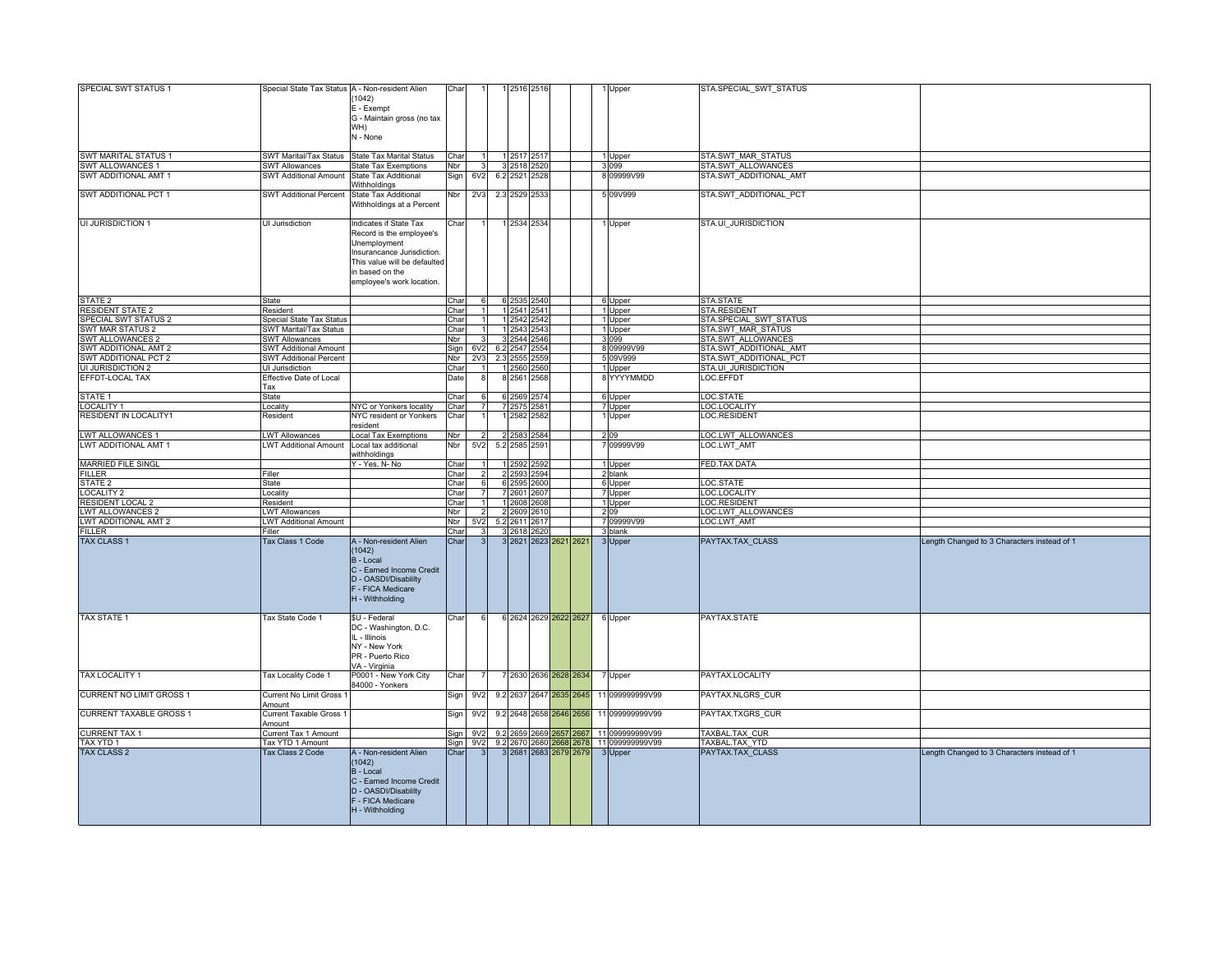| SPECIAL SWT STATUS 1            | Special State Tax Status A - Non-resident Alien |                                                 | Char |                 |     | 1 2516 2516   |      |                         |                                                   | STA.SPECIAL SWT STATUS    |                                             |
|---------------------------------|-------------------------------------------------|-------------------------------------------------|------|-----------------|-----|---------------|------|-------------------------|---------------------------------------------------|---------------------------|---------------------------------------------|
|                                 |                                                 | 1042)                                           |      |                 |     |               |      |                         | 1 Upper                                           |                           |                                             |
|                                 |                                                 |                                                 |      |                 |     |               |      |                         |                                                   |                           |                                             |
|                                 |                                                 | E - Exempt                                      |      |                 |     |               |      |                         |                                                   |                           |                                             |
|                                 |                                                 | G - Maintain gross (no tax                      |      |                 |     |               |      |                         |                                                   |                           |                                             |
|                                 |                                                 | WH)                                             |      |                 |     |               |      |                         |                                                   |                           |                                             |
|                                 |                                                 | N - None                                        |      |                 |     |               |      |                         |                                                   |                           |                                             |
|                                 |                                                 |                                                 |      |                 |     |               |      |                         |                                                   |                           |                                             |
| <b>SWT MARITAL STATUS 1</b>     |                                                 | SWT Marital/Tax Status State Tax Marital Status | Char |                 |     | 1 2517 2517   |      |                         | 1 Upper                                           | <b>STA.SWT MAR STATUS</b> |                                             |
| SWT ALLOWANCES 1                | <b>SWT Allowances</b>                           | <b>State Tax Exemptions</b>                     | Nbr  |                 |     | 3 2518 2520   |      |                         | 3099                                              | STA.SWT ALLOWANCES        |                                             |
| SWT ADDITIONAL AMT 1            | <b>SWT Additional Amount</b>                    | State Tax Additional                            | Sign | 6V2             |     | 6.2 2521 2528 |      |                         | 8 09999V99                                        | STA.SWT ADDITIONAL AMT    |                                             |
|                                 |                                                 | Nithholdings                                    |      |                 |     |               |      |                         |                                                   |                           |                                             |
| SWT ADDITIONAL PCT 1            | <b>SWT Additional Percent</b>                   | <b>State Tax Additional</b>                     | Nbr  | 2V <sub>3</sub> |     | 2.3 2529 2533 |      |                         | 5 09 V 99 9                                       | STA.SWT ADDITIONAL PCT    |                                             |
|                                 |                                                 | Withholdings at a Percent                       |      |                 |     |               |      |                         |                                                   |                           |                                             |
| UI JURISDICTION 1               | UI Jurisdiction                                 | Indicates if State Tax                          | Char |                 |     | 1 2534 2534   |      |                         | 1 Upper                                           | STA.UI JURISDICTION       |                                             |
|                                 |                                                 | Record is the employee's                        |      |                 |     |               |      |                         |                                                   |                           |                                             |
|                                 |                                                 | Unemployment                                    |      |                 |     |               |      |                         |                                                   |                           |                                             |
|                                 |                                                 |                                                 |      |                 |     |               |      |                         |                                                   |                           |                                             |
|                                 |                                                 | Insurancance Jurisdiction.                      |      |                 |     |               |      |                         |                                                   |                           |                                             |
|                                 |                                                 | This value will be defaulted                    |      |                 |     |               |      |                         |                                                   |                           |                                             |
|                                 |                                                 | in based on the                                 |      |                 |     |               |      |                         |                                                   |                           |                                             |
|                                 |                                                 | employee's work location.                       |      |                 |     |               |      |                         |                                                   |                           |                                             |
|                                 |                                                 |                                                 |      |                 |     |               |      |                         |                                                   |                           |                                             |
| STATE <sub>2</sub>              | <b>State</b>                                    |                                                 | Char |                 |     | 6 2535 2540   |      |                         | 6 Upper                                           | STA.STATE                 |                                             |
| <b>RESIDENT STATE 2</b>         | Resident                                        |                                                 | Char |                 |     | 1 2541 2541   |      |                         | 1 Upper                                           | STA.RESIDENT              |                                             |
| SPECIAL SWT STATUS 2            | Special State Tax Status                        |                                                 | Char |                 |     | 1 2542 2542   |      |                         | 1 Upper                                           | STA.SPECIAL SWT STATUS    |                                             |
| <b>SWT MAR STATUS 2</b>         | SWT Marital/Tax Status                          |                                                 | Char |                 |     | 1 2543 2543   |      |                         | 1 Upper                                           | <b>STA.SWT MAR STATUS</b> |                                             |
| SWT ALLOWANCES 2                | <b>SWT Allowances</b>                           |                                                 | Nbr  |                 |     | 3 2544 2546   |      |                         | 3099                                              | STA.SWT ALLOWANCES        |                                             |
| SWT ADDITIONAL AMT 2            | <b>SWT Additional Amount</b>                    |                                                 |      | 6V2             |     | 6.2 2547 2554 |      |                         | 8 09999V99                                        | STA.SWT ADDITIONAL AMT    |                                             |
| SWT ADDITIONAL PCT 2            | <b>SWT Additional Percent</b>                   |                                                 | Sign | 2V <sub>3</sub> | 2.3 | 2555          |      |                         | 5 09 V 999                                        | STA.SWT ADDITIONAL PCT    |                                             |
|                                 |                                                 |                                                 | Nbr  |                 |     |               | :559 |                         |                                                   |                           |                                             |
| UI JURISDICTION 2               | UI Jurisdiction                                 |                                                 | Char |                 |     | 1 2560        | 2560 |                         | 1 Upper                                           | STA.UI JURISDICTION       |                                             |
| EFFDT-LOCAL TAX                 | Effective Date of Local                         |                                                 | Date |                 |     | 8 2561        | 2568 |                         | 8 YYYYMMDD                                        | LOC.EFFDT                 |                                             |
|                                 | Гах                                             |                                                 |      |                 |     |               |      |                         |                                                   |                           |                                             |
| STATE 1                         | <b>State</b>                                    |                                                 | Char |                 |     | 6 2569        | 2574 |                         | 6 Upper                                           | LOC.STATE                 |                                             |
| LOCALITY 1                      | Locality                                        | NYC or Yonkers locality                         | Char |                 |     | 7 2575        | 2581 |                         | 7 Upper                                           | LOC.LOCALITY              |                                             |
| RESIDENT IN LOCALITY1           | Resident                                        | NYC resident or Yonkers                         | Char |                 |     | 2582          | 2582 |                         | 1 Upper                                           | <b>LOC.RESIDENT</b>       |                                             |
|                                 |                                                 | resident                                        |      |                 |     |               |      |                         |                                                   |                           |                                             |
| <b>LWT ALLOWANCES 1</b>         | <b>LWT Allowances</b>                           | Local Tax Exemptions                            | Nbr  |                 |     | 2 2583        | 2584 |                         | 2.09                                              | LOC.LWT ALLOWANCES        |                                             |
| LWT ADDITIONAL AMT 1            | <b>LWT Additional Amount</b>                    | Local tax additional                            | Nbr  | 5V <sub>2</sub> |     | 5.2 2585 2591 |      |                         | 7 09999V99                                        | LOC.LWT AMT               |                                             |
|                                 |                                                 | vithholdinas                                    |      |                 |     |               |      |                         |                                                   |                           |                                             |
|                                 |                                                 |                                                 |      |                 |     |               |      |                         |                                                   | FED.TAX DATA              |                                             |
| <b>MARRIED FILE SINGL</b>       |                                                 | Y - Yes, N- No                                  | Char |                 |     | 1 2592        | 2592 |                         | 1 Upper                                           |                           |                                             |
| <b>FILLER</b>                   | Filler                                          |                                                 | Char |                 |     | 2 2593        | 2594 |                         | 2 blank                                           |                           |                                             |
| STATE <sub>2</sub>              | <b>State</b>                                    |                                                 | Char |                 |     | 6 2595 2600   |      |                         | 6 Upper                                           | LOC.STATE                 |                                             |
| <b>LOCALITY 2</b>               | Locality                                        |                                                 | Char |                 |     | 7 2601 2607   |      |                         | 7 Upper                                           | LOC.LOCALITY              |                                             |
| <b>RESIDENT LOCAL 2</b>         | Resident                                        |                                                 | Char |                 |     | 1 2608 2608   |      |                         | 1 Upper                                           | LOC.RESIDENT              |                                             |
| <b>LWT ALLOWANCES 2</b>         | <b>LWT Allowances</b>                           |                                                 | Nbr  |                 |     | 2 2609 2610   |      |                         | 209                                               | LOC.LWT ALLOWANCES        |                                             |
| LWT ADDITIONAL AMT 2            | <b>LWT Additional Amount</b>                    |                                                 | Nbr  | 5V <sub>2</sub> |     | 5.2 2611 2617 |      |                         | 7 09999V99                                        | LOC.LWT AMT               |                                             |
| <b>FILLER</b>                   | Filler                                          |                                                 | Char |                 |     | 3 2618        | 2620 |                         | 3 blank                                           |                           |                                             |
| <b>TAX CLASS 1</b>              | <b>Tax Class 1 Code</b>                         | A - Non-resident Alien                          | Char |                 |     |               |      | 3 2621 2623 2621 2621   | 3 Upper                                           | PAYTAX.TAX_CLASS          | Length Changed to 3 Characters instead of 1 |
|                                 |                                                 | 1042)                                           |      |                 |     |               |      |                         |                                                   |                           |                                             |
|                                 |                                                 | B - Local                                       |      |                 |     |               |      |                         |                                                   |                           |                                             |
|                                 |                                                 |                                                 |      |                 |     |               |      |                         |                                                   |                           |                                             |
|                                 |                                                 | C - Earned Income Credit                        |      |                 |     |               |      |                         |                                                   |                           |                                             |
|                                 |                                                 | D - OASDI/Disablilty                            |      |                 |     |               |      |                         |                                                   |                           |                                             |
|                                 |                                                 | F - FICA Medicare                               |      |                 |     |               |      |                         |                                                   |                           |                                             |
|                                 |                                                 | H - Withholding                                 |      |                 |     |               |      |                         |                                                   |                           |                                             |
|                                 |                                                 |                                                 |      |                 |     |               |      |                         |                                                   |                           |                                             |
| <b>TAX STATE 1</b>              | Tax State Code 1                                | \$U - Federal                                   | Char |                 |     |               |      | 6 2624 2629 2622 2627   | 6 Upper                                           | PAYTAX.STATE              |                                             |
|                                 |                                                 | DC - Washington, D.C.                           |      |                 |     |               |      |                         |                                                   |                           |                                             |
|                                 |                                                 | IL - Illinois                                   |      |                 |     |               |      |                         |                                                   |                           |                                             |
|                                 |                                                 | NY - New York                                   |      |                 |     |               |      |                         |                                                   |                           |                                             |
|                                 |                                                 | PR - Puerto Rico                                |      |                 |     |               |      |                         |                                                   |                           |                                             |
|                                 |                                                 | VA - Virginia                                   |      |                 |     |               |      |                         |                                                   |                           |                                             |
|                                 |                                                 |                                                 |      |                 |     |               |      |                         |                                                   |                           |                                             |
| TAX LOCALITY 1                  | <b>Tax Locality Code 1</b>                      | P0001 - New York City<br>34000 - Yonkers        | Char |                 |     |               |      | 7 2630 2636 2628 2634   | 7 Upper                                           | PAYTAX.LOCALITY           |                                             |
|                                 |                                                 |                                                 |      |                 |     |               |      |                         |                                                   |                           |                                             |
| <b>CURRENT NO LIMIT GROSS 1</b> | Current No Limit Gross 1                        |                                                 | Sign | 9V <sub>2</sub> |     |               |      | 9.2 2637 2647 2635 2645 | 11 099999999V99                                   | PAYTAX.NLGRS CUR          |                                             |
|                                 | Amount                                          |                                                 |      |                 |     |               |      |                         |                                                   |                           |                                             |
| <b>CURRENT TAXABLE GROSS 1</b>  | Current Taxable Gross 1                         |                                                 | Sign | 9V <sub>2</sub> |     |               |      | 9.2 2648 2658 2646 2656 | 11 099999999V99                                   | PAYTAX.TXGRS CUR          |                                             |
|                                 | Amount                                          |                                                 |      |                 |     |               |      |                         |                                                   |                           |                                             |
| <b>CURRENT TAX 1</b>            | Current Tax 1 Amount                            |                                                 |      |                 |     |               |      |                         | Sign 9V2 9.2 2659 2669 2657 2667 11 099999999V99  | TAXBAL.TAX_CUR            |                                             |
| TAX YTD 1                       | Tax YTD 1 Amount                                |                                                 |      |                 |     |               |      |                         | Sign 9V2 9.2 2670 2680 2668 2678 11 0999999999V99 | TAXBAL.TAX_YTD            |                                             |
| <b>TAX CLASS 2</b>              | Tax Class 2 Code                                | A - Non-resident Alien                          | Char |                 |     |               |      | 3 2681 2683 2679 2679   | 3 Upper                                           | PAYTAX.TAX_CLASS          | Length Changed to 3 Characters instead of 1 |
|                                 |                                                 | (1042)                                          |      |                 |     |               |      |                         |                                                   |                           |                                             |
|                                 |                                                 | B - Local                                       |      |                 |     |               |      |                         |                                                   |                           |                                             |
|                                 |                                                 | C - Earned Income Credit                        |      |                 |     |               |      |                         |                                                   |                           |                                             |
|                                 |                                                 |                                                 |      |                 |     |               |      |                         |                                                   |                           |                                             |
|                                 |                                                 | D - OASDI/Disablilty                            |      |                 |     |               |      |                         |                                                   |                           |                                             |
|                                 |                                                 | F - FICA Medicare                               |      |                 |     |               |      |                         |                                                   |                           |                                             |
|                                 |                                                 | H - Withholding                                 |      |                 |     |               |      |                         |                                                   |                           |                                             |
|                                 |                                                 |                                                 |      |                 |     |               |      |                         |                                                   |                           |                                             |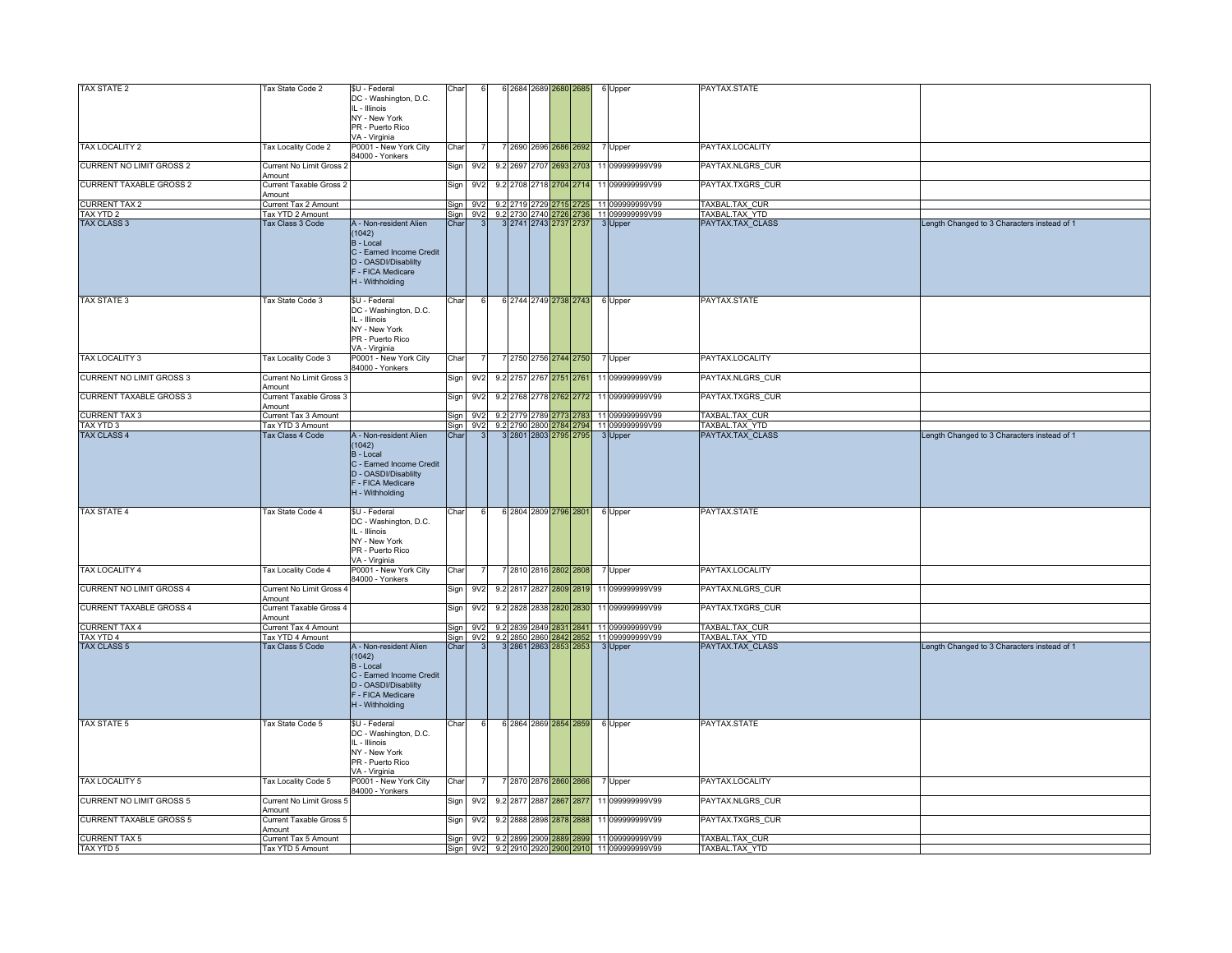| TAX STATE 2                     | Tax State Code 2                  | \$U - Federal                                    | Char   |                 |          | 2684 2689 2680 2685     |  | 6 Upper                                                                                                        | PAYTAX.STATE     |                                             |
|---------------------------------|-----------------------------------|--------------------------------------------------|--------|-----------------|----------|-------------------------|--|----------------------------------------------------------------------------------------------------------------|------------------|---------------------------------------------|
|                                 |                                   | DC - Washington, D.C.                            |        |                 |          |                         |  |                                                                                                                |                  |                                             |
|                                 |                                   | IL - Illinois                                    |        |                 |          |                         |  |                                                                                                                |                  |                                             |
|                                 |                                   | NY - New York                                    |        |                 |          |                         |  |                                                                                                                |                  |                                             |
|                                 |                                   | PR - Puerto Rico                                 |        |                 |          |                         |  |                                                                                                                |                  |                                             |
|                                 |                                   | VA - Virginia                                    |        |                 |          |                         |  |                                                                                                                |                  |                                             |
| <b>TAX LOCALITY 2</b>           | Tax Locality Code 2               | P0001 - New York City                            | Char   |                 |          | 7 2690 2696 2686 2692   |  | 7 Upper                                                                                                        | PAYTAX.LOCALITY  |                                             |
|                                 |                                   | 84000 - Yonkers                                  |        |                 |          |                         |  |                                                                                                                |                  |                                             |
| CURRENT NO LIMIT GROSS 2        | Current No Limit Gross :          |                                                  | Sign   | 9V <sub>2</sub> |          | 9.2 2697 2707 2693 2703 |  | 11 099999999V99                                                                                                | PAYTAX.NLGRS_CUR |                                             |
|                                 | Amount                            |                                                  |        |                 |          |                         |  |                                                                                                                |                  |                                             |
| <b>CURRENT TAXABLE GROSS 2</b>  | Current Taxable Gross 2           |                                                  | Sign   | 9V <sub>2</sub> |          | 9.2 2708 2718 2704 2714 |  | 11 099999999V99                                                                                                | PAYTAX.TXGRS_CUR |                                             |
|                                 | Amount                            |                                                  |        |                 |          |                         |  |                                                                                                                |                  |                                             |
| <b>CURRENT TAX 2</b>            | Current Tax 2 Amount              |                                                  | Sign   | 9V <sub>2</sub> |          |                         |  | 9.2 2719 2729 2715 2725 11 099999999 V99                                                                       | TAXBAL.TAX CUR   |                                             |
| TAX YTD 2                       | Tax YTD 2 Amount                  |                                                  | Sian I | 9V <sub>2</sub> | 9.2 2730 | 2740 2726 2736          |  | 11 099999999V99                                                                                                | TAXBAL.TAX_YTD   |                                             |
| <b>TAX CLASS 3</b>              | Tax Class 3 Code                  | A - Non-resident Alien                           | Char   |                 |          | 3 2741 2743 2737 2737   |  | 3 Upper                                                                                                        | PAYTAX.TAX CLASS | Length Changed to 3 Characters instead of 1 |
|                                 |                                   | (1042)                                           |        |                 |          |                         |  |                                                                                                                |                  |                                             |
|                                 |                                   | B - Local                                        |        |                 |          |                         |  |                                                                                                                |                  |                                             |
|                                 |                                   | C - Earned Income Credit                         |        |                 |          |                         |  |                                                                                                                |                  |                                             |
|                                 |                                   | D - OASDI/Disablilty                             |        |                 |          |                         |  |                                                                                                                |                  |                                             |
|                                 |                                   | F - FICA Medicare                                |        |                 |          |                         |  |                                                                                                                |                  |                                             |
|                                 |                                   | H - Withholding                                  |        |                 |          |                         |  |                                                                                                                |                  |                                             |
|                                 |                                   |                                                  |        |                 |          |                         |  |                                                                                                                |                  |                                             |
| <b>TAX STATE 3</b>              | Tax State Code 3                  | \$U - Federal                                    | Char   |                 |          | 6 2744 2749 2738 2743   |  | 6 Upper                                                                                                        | PAYTAX.STATE     |                                             |
|                                 |                                   | DC - Washington, D.C.                            |        |                 |          |                         |  |                                                                                                                |                  |                                             |
|                                 |                                   | IL - Illinois                                    |        |                 |          |                         |  |                                                                                                                |                  |                                             |
|                                 |                                   | NY - New York                                    |        |                 |          |                         |  |                                                                                                                |                  |                                             |
|                                 |                                   | PR - Puerto Rico                                 |        |                 |          |                         |  |                                                                                                                |                  |                                             |
|                                 |                                   | /A - Virginia                                    |        |                 |          |                         |  |                                                                                                                |                  |                                             |
| TAX LOCALITY 3                  | Tax Locality Code 3               | P0001 - New York City                            | Char   |                 |          | 2750 2756 2744 2750     |  | 7 Upper                                                                                                        | PAYTAX.LOCALITY  |                                             |
|                                 |                                   | 34000 - Yonkers                                  |        |                 |          |                         |  |                                                                                                                |                  |                                             |
| <b>CURRENT NO LIMIT GROSS 3</b> | Current No Limit Gross            |                                                  | Sign   | 9V <sub>2</sub> |          | 9.2 2757 2767 2751 2761 |  | 11 099999999V99                                                                                                | PAYTAX.NLGRS CUR |                                             |
|                                 | Amount                            |                                                  |        |                 |          |                         |  |                                                                                                                |                  |                                             |
| <b>CURRENT TAXABLE GROSS 3</b>  | Current Taxable Gross 3           |                                                  | Sign   | 9V <sub>2</sub> |          | 9.2 2768 2778 2762 2772 |  | 11 099999999V99                                                                                                | PAYTAX.TXGRS CUR |                                             |
|                                 | Amount                            |                                                  |        |                 |          |                         |  |                                                                                                                |                  |                                             |
| <b>CURRENT TAX 3</b>            | Current Tax 3 Amount              |                                                  | Sian   | 9V <sub>2</sub> |          |                         |  |                                                                                                                | TAXBAL.TAX_CUR   |                                             |
| TAX YTD 3                       | Tax YTD 3 Amount                  |                                                  | Sign   | 9V2             |          |                         |  | 9.2 2779 2789 <mark>2773 2783</mark> 11 0999999999999<br>9.2 2790 2800 <mark>2784</mark> 2794 11 099999999999  | TAXBAL.TAX_YTD   |                                             |
| <b>TAX CLASS 4</b>              | Tax Class 4 Code                  | A - Non-resident Alien                           | Char   |                 |          | 3 2801 2803 2795 2795   |  | 3 Upper                                                                                                        | PAYTAX.TAX_CLASS | Length Changed to 3 Characters instead of 1 |
|                                 |                                   | (1042)                                           |        |                 |          |                         |  |                                                                                                                |                  |                                             |
|                                 |                                   | B - Local                                        |        |                 |          |                         |  |                                                                                                                |                  |                                             |
|                                 |                                   |                                                  |        |                 |          |                         |  |                                                                                                                |                  |                                             |
|                                 |                                   | C - Earned Income Credit<br>D - OASDI/Disablilty |        |                 |          |                         |  |                                                                                                                |                  |                                             |
|                                 |                                   |                                                  |        |                 |          |                         |  |                                                                                                                |                  |                                             |
|                                 |                                   | F - FICA Medicare                                |        |                 |          |                         |  |                                                                                                                |                  |                                             |
|                                 |                                   | H - Withholding                                  |        |                 |          |                         |  |                                                                                                                |                  |                                             |
|                                 |                                   |                                                  |        |                 |          |                         |  |                                                                                                                |                  |                                             |
| <b>TAX STATE 4</b>              | Tax State Code 4                  | \$U - Federal                                    | Char   |                 |          | 6 2804 2809 2796 2801   |  | 6 Upper                                                                                                        | PAYTAX.STATE     |                                             |
|                                 |                                   | DC - Washington, D.C.                            |        |                 |          |                         |  |                                                                                                                |                  |                                             |
|                                 |                                   | IL - Illinois                                    |        |                 |          |                         |  |                                                                                                                |                  |                                             |
|                                 |                                   | NY - New York                                    |        |                 |          |                         |  |                                                                                                                |                  |                                             |
|                                 |                                   | PR - Puerto Rico                                 |        |                 |          |                         |  |                                                                                                                |                  |                                             |
|                                 |                                   | VA - Virginia                                    |        |                 |          |                         |  |                                                                                                                |                  |                                             |
| TAX LOCALITY 4                  | Tax Locality Code 4               | P0001 - New York City                            | Char   |                 |          | 7 2810 2816 2802 2808   |  | 7 Upper                                                                                                        | PAYTAX.LOCALITY  |                                             |
|                                 |                                   | 34000 - Yonkers                                  |        |                 |          |                         |  |                                                                                                                |                  |                                             |
| CURRENT NO LIMIT GROSS 4        | Current No Limit Gross            |                                                  | Sign   | 9V <sub>2</sub> |          | 9.2 2817 2827 2809 2819 |  | 11 099999999V99                                                                                                | PAYTAX.NLGRS_CUR |                                             |
|                                 | Amount                            |                                                  |        |                 |          |                         |  |                                                                                                                |                  |                                             |
| CURRENT TAXABLE GROSS 4         | Current Taxable Gross 4           |                                                  | Sign   | 9V2             |          | 9.2 2828 2838 2820 2830 |  | 11 099999999V99                                                                                                | PAYTAX.TXGRS_CUR |                                             |
|                                 | Amount                            |                                                  |        |                 |          |                         |  |                                                                                                                |                  |                                             |
| <b>CURRENT TAX 4</b>            | Current Tax 4 Amount              |                                                  |        | Sign 9V2        |          |                         |  |                                                                                                                | TAXBAL.TAX_CUR   |                                             |
| TAX YTD 4                       | Tax YTD 4 Amount                  |                                                  |        | Sign 9V2        |          |                         |  | 9.2 2839 2849 28 <mark>31 2841</mark> 11 0999999999999<br>9.2 2850 2860 <mark>2842 2852</mark> 11 099999999999 | TAXBAL.TAX_YTD   |                                             |
| <b>TAX CLASS 5</b>              | Tax Class 5 Code                  | A - Non-resident Alien                           | Char   |                 |          | 3 2861 2863 2853 2853   |  | 3 Upper                                                                                                        | PAYTAX.TAX_CLASS | Length Changed to 3 Characters instead of 1 |
|                                 |                                   | (1042)                                           |        |                 |          |                         |  |                                                                                                                |                  |                                             |
|                                 |                                   | B - Local                                        |        |                 |          |                         |  |                                                                                                                |                  |                                             |
|                                 |                                   | C - Earned Income Credit                         |        |                 |          |                         |  |                                                                                                                |                  |                                             |
|                                 |                                   | D - OASDI/Disablilty                             |        |                 |          |                         |  |                                                                                                                |                  |                                             |
|                                 |                                   | F - FICA Medicare                                |        |                 |          |                         |  |                                                                                                                |                  |                                             |
|                                 |                                   | H - Withholding                                  |        |                 |          |                         |  |                                                                                                                |                  |                                             |
|                                 |                                   |                                                  |        |                 |          |                         |  |                                                                                                                |                  |                                             |
| <b>TAX STATE 5</b>              | Tax State Code 5                  | \$U - Federal                                    | Char   |                 |          | 6 2864 2869 2854 2859   |  | 6 Upper                                                                                                        | PAYTAX.STATE     |                                             |
|                                 |                                   | DC - Washington, D.C.                            |        |                 |          |                         |  |                                                                                                                |                  |                                             |
|                                 |                                   | IL - Illinois                                    |        |                 |          |                         |  |                                                                                                                |                  |                                             |
|                                 |                                   | NY - New York                                    |        |                 |          |                         |  |                                                                                                                |                  |                                             |
|                                 |                                   | PR - Puerto Rico                                 |        |                 |          |                         |  |                                                                                                                |                  |                                             |
|                                 |                                   | VA - Virginia                                    |        |                 |          |                         |  |                                                                                                                |                  |                                             |
| TAX LOCALITY 5                  | Tax Locality Code 5               | P0001 - New York City                            | Char   |                 |          | 7 2870 2876 2860 2866   |  |                                                                                                                | PAYTAX.LOCALITY  |                                             |
|                                 |                                   | 34000 - Yonkers                                  |        |                 |          |                         |  | 7 Upper                                                                                                        |                  |                                             |
| <b>CURRENT NO LIMIT GROSS 5</b> | Current No Limit Gross 5          |                                                  |        | 9V <sub>2</sub> |          | 9.2 2877 2887 2867 2877 |  | 11 099999999V99                                                                                                | PAYTAX.NLGRS CUR |                                             |
|                                 |                                   |                                                  | Sign   |                 |          |                         |  |                                                                                                                |                  |                                             |
| <b>CURRENT TAXABLE GROSS 5</b>  | Amount<br>Current Taxable Gross 5 |                                                  |        | 9 <sub>V2</sub> |          | 9.2 2888 2898 2878 2888 |  | 11 099999999V99                                                                                                | PAYTAX.TXGRS CUR |                                             |
|                                 |                                   |                                                  | Sign   |                 |          |                         |  |                                                                                                                |                  |                                             |
|                                 | Amount<br>Current Tax 5 Amount    |                                                  |        |                 |          |                         |  |                                                                                                                |                  |                                             |
| <b>CURRENT TAX 5</b>            |                                   |                                                  |        |                 |          |                         |  | Sign 9V2 9.2 2899 2909 2889 2899 11 099999999V99                                                               | TAXBAL.TAX_CUR   |                                             |
| TAX YTD 5                       | Tax YTD 5 Amount                  |                                                  |        |                 |          |                         |  | Sign 9V2 9.2 2910 2920 2900 2910 11 099999999V99                                                               | TAXBAL.TAX YTD   |                                             |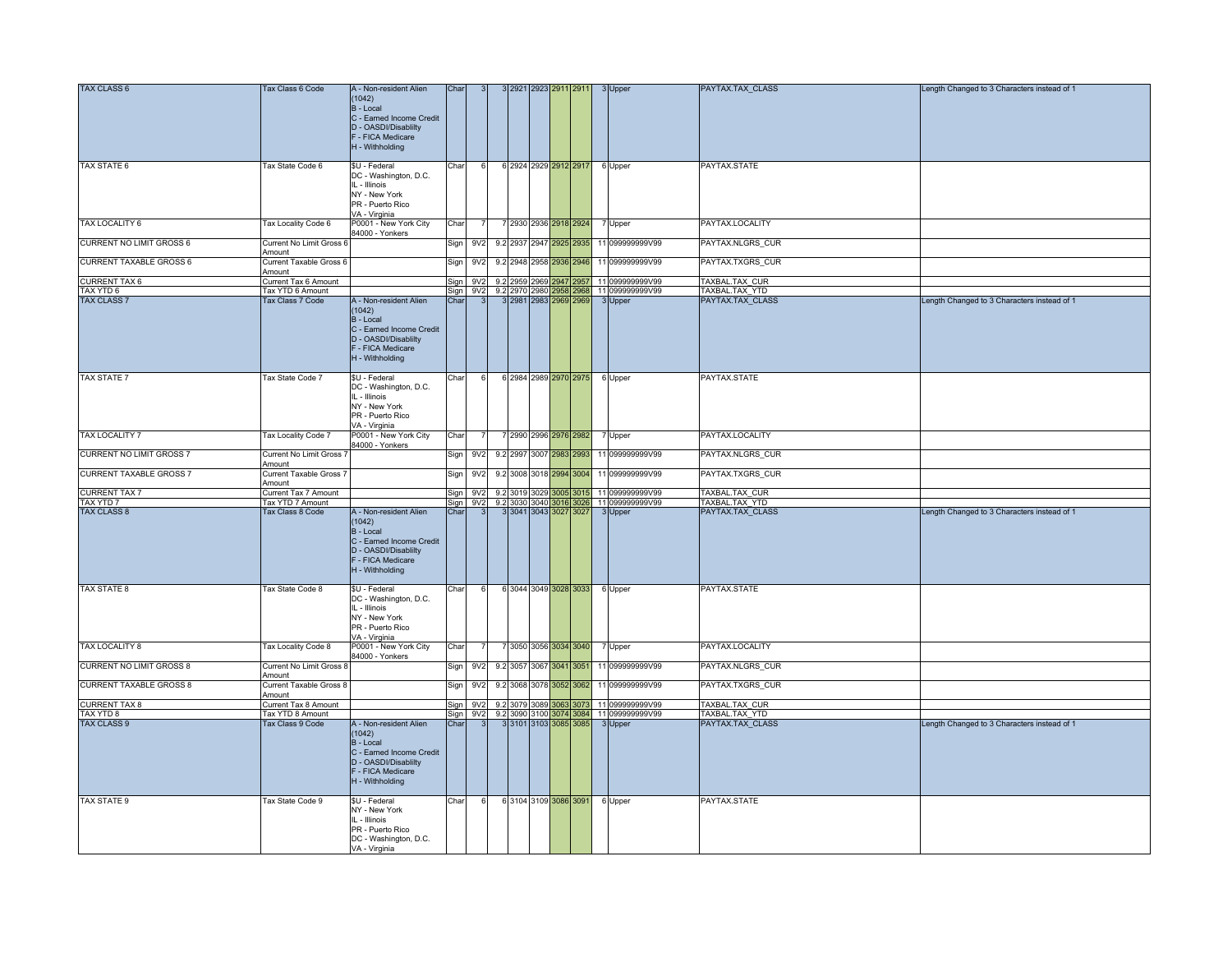| <b>TAX CLASS 6</b>              | Tax Class 6 Code         | A - Non-resident Alien                | Char              |                 |    |      |  | 3 2921 2923 2911 2911   | 3 Upper                                  | PAYTAX.TAX_CLASS | Length Changed to 3 Characters instead of 1 |
|---------------------------------|--------------------------|---------------------------------------|-------------------|-----------------|----|------|--|-------------------------|------------------------------------------|------------------|---------------------------------------------|
|                                 |                          | (1042)                                |                   |                 |    |      |  |                         |                                          |                  |                                             |
|                                 |                          | B - Local                             |                   |                 |    |      |  |                         |                                          |                  |                                             |
|                                 |                          | C - Earned Income Credit              |                   |                 |    |      |  |                         |                                          |                  |                                             |
|                                 |                          | D - OASDI/Disablilty                  |                   |                 |    |      |  |                         |                                          |                  |                                             |
|                                 |                          | F - FICA Medicare                     |                   |                 |    |      |  |                         |                                          |                  |                                             |
|                                 |                          | H - Withholding                       |                   |                 |    |      |  |                         |                                          |                  |                                             |
| <b>TAX STATE 6</b>              | Tax State Code 6         | \$U - Federal                         | Char              |                 |    |      |  |                         |                                          | PAYTAX.STATE     |                                             |
|                                 |                          | DC - Washington, D.C.                 |                   |                 |    |      |  | 6 2924 2929 2912 2917   | 6 Upper                                  |                  |                                             |
|                                 |                          | IL - Illinois                         |                   |                 |    |      |  |                         |                                          |                  |                                             |
|                                 |                          | NY - New York                         |                   |                 |    |      |  |                         |                                          |                  |                                             |
|                                 |                          | PR - Puerto Rico                      |                   |                 |    |      |  |                         |                                          |                  |                                             |
|                                 |                          | VA - Virginia                         |                   |                 |    |      |  |                         |                                          |                  |                                             |
| TAX LOCALITY 6                  | Tax Locality Code 6      | P0001 - New York City                 | Char              |                 |    |      |  | 7 2930 2936 2918 2924   | 7 Upper                                  | PAYTAX.LOCALITY  |                                             |
|                                 |                          | 34000 - Yonkers                       |                   |                 |    |      |  |                         |                                          |                  |                                             |
| CURRENT NO LIMIT GROSS 6        | Current No Limit Gross 6 |                                       | Sign              | 9V <sub>2</sub> |    |      |  | 9.2 2937 2947 2925 2935 | 11 099999999V99                          | PAYTAX.NLGRS CUR |                                             |
|                                 | Amount                   |                                       |                   |                 |    |      |  |                         |                                          |                  |                                             |
| <b>CURRENT TAXABLE GROSS 6</b>  | Current Taxable Gross 6  |                                       | Sign              | 9V <sub>2</sub> |    |      |  | 9.2 2948 2958 2936 2946 | 11 099999999V99                          | PAYTAX.TXGRS_CUR |                                             |
|                                 | Amount                   |                                       |                   |                 |    |      |  |                         |                                          |                  |                                             |
| <b>CURRENT TAX 6</b>            | Current Tax 6 Amount     |                                       |                   | Sign 9V2        |    |      |  |                         | 9.2 2959 2969 2947 2957 11 099999999 V99 | TAXBAL.TAX CUR   |                                             |
| TAX YTD 6                       | Tax YTD 6 Amount         |                                       |                   | Sign 9V2        |    |      |  |                         | 9.2 2970 2980 2958 2968 11 099999999 V99 | TAXBAL.TAX YTD   |                                             |
| <b>TAX CLASS 7</b>              | Tax Class 7 Code         | A - Non-resident Alien                | Chai              |                 |    |      |  | 3 2981 2983 2969 2969   | 3 Upper                                  | PAYTAX.TAX CLASS | Length Changed to 3 Characters instead of 1 |
|                                 |                          | (1042)                                |                   |                 |    |      |  |                         |                                          |                  |                                             |
|                                 |                          | B - Local                             |                   |                 |    |      |  |                         |                                          |                  |                                             |
|                                 |                          | C - Earned Income Credit              |                   |                 |    |      |  |                         |                                          |                  |                                             |
|                                 |                          | D - OASDI/Disablilty                  |                   |                 |    |      |  |                         |                                          |                  |                                             |
|                                 |                          | F - FICA Medicare                     |                   |                 |    |      |  |                         |                                          |                  |                                             |
|                                 |                          | H - Withholding                       |                   |                 |    |      |  |                         |                                          |                  |                                             |
| TAX STATE 7                     | Tax State Code 7         | \$U - Federal                         | Char              |                 |    |      |  | 6 2984 2989 2970 2975   | 6 Upper                                  | PAYTAX.STATE     |                                             |
|                                 |                          | DC - Washington, D.C.                 |                   |                 |    |      |  |                         |                                          |                  |                                             |
|                                 |                          | IL - Illinois                         |                   |                 |    |      |  |                         |                                          |                  |                                             |
|                                 |                          | NY - New York                         |                   |                 |    |      |  |                         |                                          |                  |                                             |
|                                 |                          | PR - Puerto Rico                      |                   |                 |    |      |  |                         |                                          |                  |                                             |
|                                 |                          | VA - Virginia                         |                   |                 |    |      |  |                         |                                          |                  |                                             |
| <b>TAX LOCALITY 7</b>           | Tax Locality Code 7      | P0001 - New York City                 | Char              |                 |    |      |  | 7 2990 2996 2976 2982   | 7 Upper                                  | PAYTAX.LOCALITY  |                                             |
|                                 |                          | 84000 - Yonkers                       |                   |                 |    |      |  |                         |                                          |                  |                                             |
| <b>CURRENT NO LIMIT GROSS 7</b> | Current No Limit Gross 7 |                                       | Sign              | 9V <sub>2</sub> |    |      |  | 9.2 2997 3007 2983 2993 | 11 099999999V99                          | PAYTAX.NLGRS_CUR |                                             |
|                                 | Amount                   |                                       |                   |                 |    |      |  |                         |                                          |                  |                                             |
| <b>CURRENT TAXABLE GROSS 7</b>  | Current Taxable Gross 7  |                                       | Sign              | 9V <sub>2</sub> |    |      |  | 9.2 3008 3018 2994 3004 | 11 099999999V99                          | PAYTAX.TXGRS_CUR |                                             |
|                                 | Amount                   |                                       |                   |                 |    |      |  |                         |                                          |                  |                                             |
| <b>CURRENT TAX 7</b>            | Current Tax 7 Amount     |                                       | Sign              | 9V2             |    |      |  |                         | 9.2 3019 3029 3005 3015 11 099999999V99  | TAXBAL.TAX CUR   |                                             |
| TAX YTD 7                       | Tax YTD 7 Amount         |                                       | Sign              | 9V <sub>2</sub> |    |      |  |                         | 9.2 3030 3040 3016 3026 11 099999999V99  | TAXBAL.TAX YTD   |                                             |
| <b>TAX CLASS 8</b>              | Tax Class 8 Code         | A - Non-resident Alien                | Char              |                 |    |      |  | 3 3041 3043 3027 3027   | 3 Upper                                  | PAYTAX.TAX CLASS | Length Changed to 3 Characters instead of 1 |
|                                 |                          | (1042)                                |                   |                 |    |      |  |                         |                                          |                  |                                             |
|                                 |                          | B - Local<br>C - Earned Income Credit |                   |                 |    |      |  |                         |                                          |                  |                                             |
|                                 |                          | D - OASDI/Disablilty                  |                   |                 |    |      |  |                         |                                          |                  |                                             |
|                                 |                          | F - FICA Medicare                     |                   |                 |    |      |  |                         |                                          |                  |                                             |
|                                 |                          | H - Withholding                       |                   |                 |    |      |  |                         |                                          |                  |                                             |
|                                 |                          |                                       |                   |                 |    |      |  |                         |                                          |                  |                                             |
| <b>TAX STATE 8</b>              | Tax State Code 8         | \$U - Federal                         | Char              |                 |    |      |  | 6 3044 3049 3028 3033   | 6 Upper                                  | PAYTAX.STATE     |                                             |
|                                 |                          | DC - Washington, D.C.                 |                   |                 |    |      |  |                         |                                          |                  |                                             |
|                                 |                          | IL - Illinois                         |                   |                 |    |      |  |                         |                                          |                  |                                             |
|                                 |                          | NY - New York                         |                   |                 |    |      |  |                         |                                          |                  |                                             |
|                                 |                          | PR - Puerto Rico                      |                   |                 |    |      |  |                         |                                          |                  |                                             |
|                                 |                          | VA - Virginia                         |                   |                 |    |      |  |                         |                                          |                  |                                             |
| TAX LOCALITY 8                  | Tax Locality Code 8      | P0001 - New York City                 | Char              |                 |    |      |  | 7 3050 3056 3034 3040   | 7 Upper                                  | PAYTAX.LOCALITY  |                                             |
|                                 |                          | 34000 - Yonkers                       |                   |                 |    |      |  |                         |                                          |                  |                                             |
| <b>CURRENT NO LIMIT GROSS 8</b> | Current No Limit Gross & |                                       | Sign              | 9V2             |    |      |  | 9.2 3057 3067 3041 3051 | 11 099999999V99                          | PAYTAX.NLGRS CUR |                                             |
|                                 | Amount                   |                                       |                   |                 |    |      |  |                         |                                          |                  |                                             |
| <b>CURRENT TAXABLE GROSS 8</b>  | Current Taxable Gross 8  |                                       | Sign              | 9V2             |    |      |  | 9.2 3068 3078 3052 3062 | 11 099999999V99                          | PAYTAX.TXGRS CUR |                                             |
|                                 | Amount                   |                                       |                   |                 |    |      |  |                         |                                          |                  |                                             |
| <b>CURRENT TAX 8</b>            | Current Tax 8 Amount     |                                       | Sign <sup>1</sup> | 9V <sub>2</sub> |    |      |  |                         | 9.2 3079 3089 3063 3073 11 099999999 V99 | TAXBAL.TAX CUR   |                                             |
| TAX YTD 8                       | Tax YTD 8 Amount         |                                       | Sian              | 9V <sub>2</sub> | 92 | 3090 |  | 100 3074 3084           | 11 099999999V99                          | TAXBAL.TAX YTD   |                                             |
| <b>TAX CLASS 9</b>              | Tax Class 9 Code         | A - Non-resident Alien                | Chai              |                 |    |      |  | 3101 3103 3085 3085     | 3 Upper                                  | PAYTAX.TAX CLASS | Length Changed to 3 Characters instead of 1 |
|                                 |                          | (1042)<br>B - Local                   |                   |                 |    |      |  |                         |                                          |                  |                                             |
|                                 |                          | C - Earned Income Credit              |                   |                 |    |      |  |                         |                                          |                  |                                             |
|                                 |                          | D - OASDI/Disablilty                  |                   |                 |    |      |  |                         |                                          |                  |                                             |
|                                 |                          | F - FICA Medicare                     |                   |                 |    |      |  |                         |                                          |                  |                                             |
|                                 |                          | H - Withholding                       |                   |                 |    |      |  |                         |                                          |                  |                                             |
|                                 |                          |                                       |                   |                 |    |      |  |                         |                                          |                  |                                             |
| <b>TAX STATE 9</b>              | Tax State Code 9         | \$U - Federal                         | Char              | 6               |    |      |  | 6 3104 3109 3086 3091   | 6 Upper                                  | PAYTAX.STATE     |                                             |
|                                 |                          | NY - New York                         |                   |                 |    |      |  |                         |                                          |                  |                                             |
|                                 |                          | IL - Illinois                         |                   |                 |    |      |  |                         |                                          |                  |                                             |
|                                 |                          | PR - Puerto Rico                      |                   |                 |    |      |  |                         |                                          |                  |                                             |
|                                 |                          | DC - Washington, D.C.                 |                   |                 |    |      |  |                         |                                          |                  |                                             |
|                                 |                          | VA - Virginia                         |                   |                 |    |      |  |                         |                                          |                  |                                             |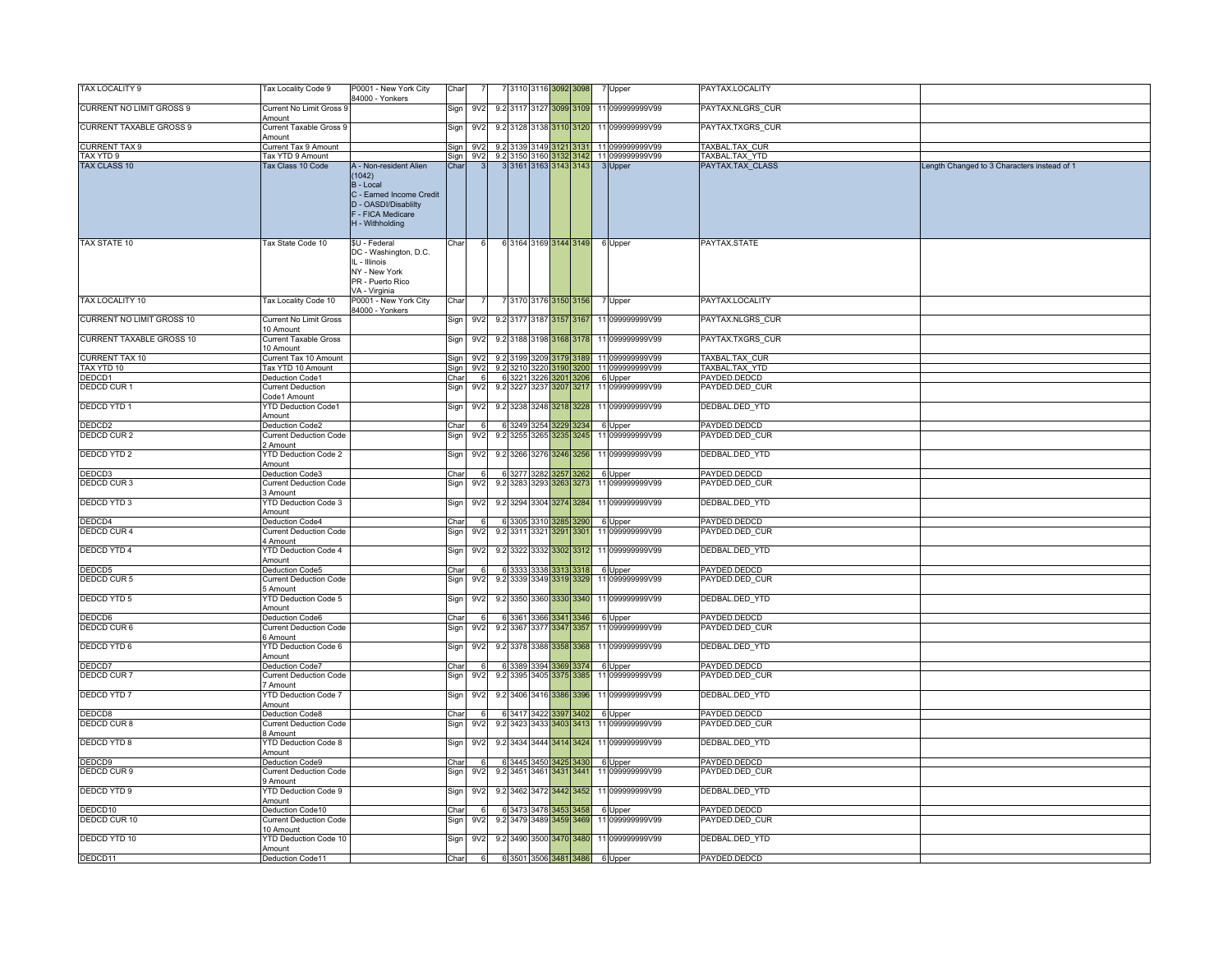| TAX LOCALITY 9                  | Tax Locality Code 9                        | P0001 - New York City                                                                                                                     | Char |                 |             | 7 3110 3116 3092 3098   |      | 7 Upper                                      | PAYTAX.LOCALITY  |                                             |
|---------------------------------|--------------------------------------------|-------------------------------------------------------------------------------------------------------------------------------------------|------|-----------------|-------------|-------------------------|------|----------------------------------------------|------------------|---------------------------------------------|
|                                 |                                            | 84000 - Yonkers                                                                                                                           |      |                 |             |                         |      |                                              |                  |                                             |
| <b>CURRENT NO LIMIT GROSS 9</b> | <b>Current No Limit Gross 9</b><br>Amount  |                                                                                                                                           | Sign | 9V2             |             | 9.2 3117 3127 3099 3109 |      | 11 099999999V99                              | PAYTAX.NLGRS_CUR |                                             |
| <b>CURRENT TAXABLE GROSS 9</b>  | Current Taxable Gross 9<br>Amount          |                                                                                                                                           | Sign | 9V <sub>2</sub> |             | 9.2 3128 3138 3110 3120 |      | 11 099999999V99                              | PAYTAX.TXGRS CUR |                                             |
| <b>CURRENT TAX 9</b>            | Current Tax 9 Amount                       |                                                                                                                                           | Sign | 9V <sub>2</sub> |             |                         |      | 9.2 3139 3149 3121 3131 11 099999999V99      | TAXBAL.TAX CUR   |                                             |
| TAX YTD 9                       | Tax YTD 9 Amount                           |                                                                                                                                           | Sian |                 |             |                         |      | 9V2 9.2 3150 3160 3132 3142 11 0999999999V99 | TAXBAL.TAX_YTD   |                                             |
| TAX CLASS 10                    | Tax Class 10 Code                          | A - Non-resident Alien<br>(1042)<br>B - Local<br>C - Earned Income Credit<br>D - OASDI/Disablilty<br>F - FICA Medicare<br>H - Withholding | Char |                 |             | 3 3161 3163 3143 3143   |      | 3 Upper                                      | PAYTAX.TAX_CLASS | Length Changed to 3 Characters instead of 1 |
| TAX STATE 10                    | Tax State Code 10                          | \$U - Federal<br>DC - Washington, D.C.<br>IL - Illinois<br>NY - New York<br>PR - Puerto Rico<br>VA - Virginia                             | Char |                 |             | 6 3164 3169 3144 3149   |      | 6 Upper                                      | PAYTAX.STATE     |                                             |
| TAX LOCALITY 10                 | Tax Locality Code 10                       | P0001 - New York City<br>84000 - Yonkers                                                                                                  | Char |                 |             | 7 3170 3176 3150 3156   |      | 7 Upper                                      | PAYTAX.LOCALITY  |                                             |
| CURRENT NO LIMIT GROSS 10       | <b>Current No Limit Gross</b><br>10 Amount |                                                                                                                                           | Sign | 9V <sub>2</sub> |             | 9.2 3177 3187 3157 3167 |      | 11 099999999V99                              | PAYTAX.NLGRS_CUR |                                             |
| <b>CURRENT TAXABLE GROSS 10</b> | <b>Current Taxable Gross</b><br>10 Amount  |                                                                                                                                           | Sign | 9V2             |             | 9.2 3188 3198 3168 3178 |      | 11 099999999V99                              | PAYTAX.TXGRS CUR |                                             |
| <b>CURRENT TAX 10</b>           | Current Tax 10 Amount                      |                                                                                                                                           | Sign | 9V <sub>2</sub> |             | 9.2 3199 3209 3179 3189 |      | 11 099999999V99                              | TAXBAL.TAX_CUR   |                                             |
| TAX YTD 10                      | Tax YTD 10 Amount                          |                                                                                                                                           | Sign | 9V <sub>2</sub> |             |                         |      | 9.2 3210 3220 3190 3200 11 099999999V99      | TAXBAL.TAX_YTD   |                                             |
| DEDCD1                          | Deduction Code1                            |                                                                                                                                           | Char | - 61            |             |                         |      | 6 3221 3226 3201 3206 6 Upper                | PAYDED.DEDCD     |                                             |
| <b>DEDCD CUR1</b>               | Current Deduction<br>Code1 Amount          |                                                                                                                                           | Sign | 9V <sub>2</sub> |             | 9.2 3227 3237 3207 3217 |      | 11 099999999V99                              | PAYDED.DED_CUR   |                                             |
| <b>DEDCD YTD 1</b>              | YTD Deduction Code1<br>Amount              |                                                                                                                                           | Sign | 9V <sub>2</sub> |             | 9.2 3238 3248 3218 3228 |      | 11 099999999V99                              | DEDBAL.DED_YTD   |                                             |
| DEDCD2                          | Deduction Code2                            |                                                                                                                                           | Char |                 |             | 6 3249 3254 3229        | 3234 | 6 Upper                                      | PAYDED.DEDCD     |                                             |
| <b>DEDCD CUR2</b>               | <b>Current Deduction Code</b><br>2 Amount  |                                                                                                                                           | Sign | 9V2             |             | 9.2 3255 3265 3235      | 3245 | 11 099999999V99                              | PAYDED.DED CUR   |                                             |
| <b>DEDCD YTD 2</b>              | YTD Deduction Code 2<br>Amount             |                                                                                                                                           | Sign | 9V <sub>2</sub> |             | 9.2 3266 3276 3246 3256 |      | 11 099999999V99                              | DEDBAL.DED_YTD   |                                             |
| DEDCD3                          | Deduction Code3                            |                                                                                                                                           | Char |                 | 6 3277 3282 | 3257                    | 3262 | 6 Upper                                      | PAYDED.DEDCD     |                                             |
| <b>DEDCD CUR3</b>               | <b>Current Deduction Code</b><br>Amount    |                                                                                                                                           | Sign | 9V <sub>2</sub> |             | 9.2 3283 3293 3263      | 3273 | 11 099999999V99                              | AYDED.DED CUR    |                                             |
| <b>DEDCD YTD 3</b>              | <b>YTD Deduction Code 3</b><br>Amount      |                                                                                                                                           | Sign | 9V <sub>2</sub> |             | 9.2 3294 3304 3274 3284 |      | 11 099999999V99                              | DEDBAL.DED YTD   |                                             |
| DEDCD4                          | Deduction Code4                            |                                                                                                                                           | Char |                 |             | 6 3305 3310 3285 3290   |      | 6 Upper                                      | PAYDED.DEDCD     |                                             |
| <b>DEDCD CUR4</b>               | Current Deduction Code<br>Amount           |                                                                                                                                           | Sign | 9V <sub>2</sub> |             | 9.2 3311 3321 3291 3301 |      | 11 099999999V99                              | PAYDED.DED_CUR   |                                             |
| <b>DEDCD YTD 4</b>              | YTD Deduction Code 4<br>Amount             |                                                                                                                                           | Sign | 9V <sub>2</sub> |             |                         |      | 9.2 3322 3332 3302 3312 11 099999999 V99     | DEDBAL.DED_YTD   |                                             |
| DEDCD5                          | Deduction Code5                            |                                                                                                                                           | Char |                 |             | 6 3333 3338 3313 3318   |      | 6 Upper                                      | PAYDED.DEDCD     |                                             |
| DEDCD CUR5                      | <b>Current Deduction Code</b><br>Amount    |                                                                                                                                           | Sign | 9V <sub>2</sub> |             | 9.2 3339 3349 3319 3329 |      | 11 099999999V99                              | PAYDED.DED_CUR   |                                             |
| <b>DEDCD YTD 5</b>              | TD Deduction Code 5<br>Amount              |                                                                                                                                           | Sign | 9V <sub>2</sub> |             |                         |      | 9.2 3350 3360 3330 3340 11 099999999 V99     | DEDBAL.DED_YTD   |                                             |
| DEDCD6                          | <b>Deduction Code6</b>                     |                                                                                                                                           | Char |                 |             |                         |      | 6 3361 3366 3341 3346 6 Upper                | PAYDED.DEDCD     |                                             |
| <b>DEDCD CUR6</b>               | Current Deduction Code<br>Amount           |                                                                                                                                           | Sign | 9 <sub>V2</sub> |             | 9.2 3367 3377 3347 3357 |      | 11 099999999V99                              | PAYDED.DED_CUR   |                                             |
| <b>DEDCD YTD 6</b>              | YTD Deduction Code 6<br>Amount             |                                                                                                                                           | Sign | 9V <sub>2</sub> |             | 9.2 3378 3388 3358      | 3368 | 11 099999999V99                              | DEDBAL.DED_YTD   |                                             |
| DEDCD7                          | eduction Code7                             |                                                                                                                                           | Char |                 |             | 6 3389 3394 3369 3374   |      | 6 Upper                                      | PAYDED.DEDCD     |                                             |
| DEDCD CUR7                      | <b>Current Deduction Code</b><br>7 Amount  |                                                                                                                                           | Sign | 9V2             |             | 9.2 3395 3405 3375 3385 |      | 11 099999999V99                              | PAYDED.DED_CUR   |                                             |
| <b>DEDCD YTD 7</b>              | <b>YTD Deduction Code 7</b><br>Amount      |                                                                                                                                           | Sign | 9V <sub>2</sub> |             | 9.2 3406 3416 3386 3396 |      | 11 099999999V99                              | DEDBAL.DED_YTD   |                                             |
| DEDCD8                          | Deduction Code8                            |                                                                                                                                           | Char |                 |             | 6 3417 3422 3397        | 3402 | 6 Upper                                      | PAYDED.DEDCD     |                                             |
| <b>DEDCD CUR8</b>               | <b>Current Deduction Code</b><br>3 Amount  |                                                                                                                                           | Sign | 9V <sub>2</sub> |             | 9.2 3423 3433 3403      | 3413 | 11 099999999V99                              | PAYDED.DED CUR   |                                             |
| <b>DEDCD YTD 8</b>              | <b>YTD Deduction Code 8</b><br>Amount      |                                                                                                                                           | Sign | 9V <sub>2</sub> |             |                         |      | 9.2 3434 3444 3414 3424 11 0999999999999     | DEDBAL.DED_YTD   |                                             |
| DEDCD9                          | Deduction Code9                            |                                                                                                                                           | Char |                 |             |                         |      | 6 3445 3450 3425 3430 6 Upper                | PAYDED.DEDCD     |                                             |
| DEDCD CUR 9                     | <b>Current Deduction Code</b><br>Amount    |                                                                                                                                           | Sign | 9V2             |             | 9.2 3451 3461 3431 3441 |      | 11 099999999V99                              | PAYDED.DED_CUR   |                                             |
| <b>DEDCD YTD 9</b>              | <b>YTD Deduction Code 9</b><br>Amount      |                                                                                                                                           | Sign | 9V <sub>2</sub> |             |                         |      | 9.2 3462 3472 3442 3452 11 099999999 99      | DEDBAL.DED_YTD   |                                             |
| DEDCD10                         | Deduction Code10                           |                                                                                                                                           | Char |                 |             | 6 3473 3478 3453 3458   |      | 6 Upper                                      | PAYDED.DEDCD     |                                             |
| DEDCD CUR 10                    | <b>Current Deduction Code</b><br>10 Amount |                                                                                                                                           | Sign | 9V <sub>2</sub> |             | 9.2 3479 3489 3459 3469 |      | 11 099999999V99                              | PAYDED.DED_CUR   |                                             |
| DEDCD YTD 10                    | TD Deduction Code 10<br>Amount             |                                                                                                                                           | Sign | 9 <sub>V2</sub> |             |                         |      | 9.2 3490 3500 3470 3480 11 099999999V99      | DEDBAL.DED YTD   |                                             |
| DEDCD11                         | Deduction Code11                           |                                                                                                                                           | Char |                 |             |                         |      | 6 6 3501 3506 3481 3486 6 Upper              | PAYDED.DEDCD     |                                             |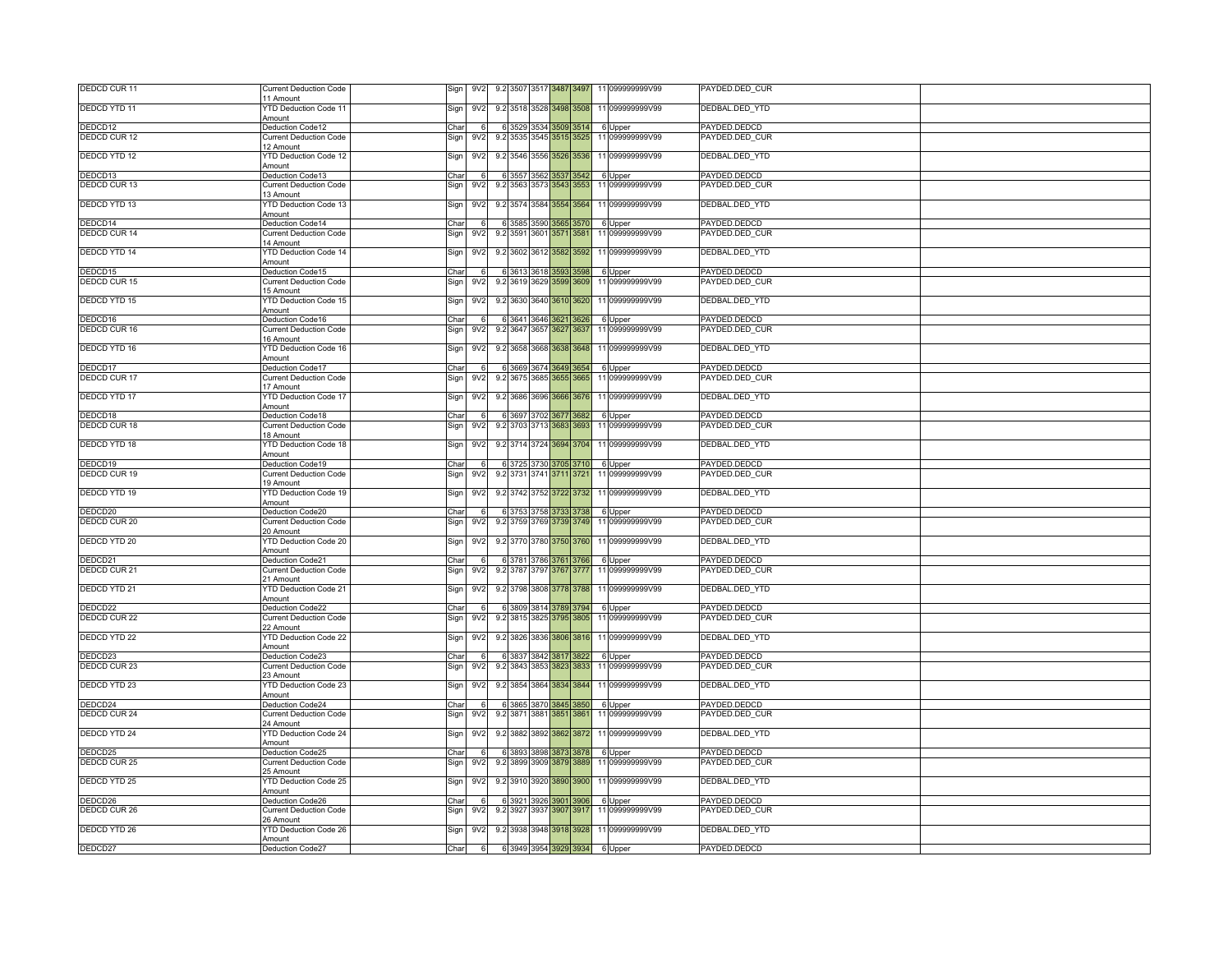| DEDCD CUR 11                   | <b>Current Deduction Code</b><br>11 Amount        | 9.2 3507 3517 3487 3497<br>Sign<br>9V2                                                     | 11 099999999V99                          | PAYDED.DED CUR                 |  |
|--------------------------------|---------------------------------------------------|--------------------------------------------------------------------------------------------|------------------------------------------|--------------------------------|--|
| DEDCD YTD 11                   | YTD Deduction Code 11                             | 9V <sub>2</sub><br>9.2 3518 3528 3498 3508<br>Sign                                         | 11 099999999V99                          | DEDBAL.DED_YTD                 |  |
|                                | Amount                                            | Char<br>6 3529 3534 3509 3514                                                              |                                          |                                |  |
| DEDCD12<br>DEDCD CUR 12        | Deduction Code12<br><b>Current Deduction Code</b> | 9.2 3535 3545 3515 3525<br>Sign<br>9V <sub>2</sub>                                         | 6 Upper<br>11 099999999V99               | PAYDED.DEDCD<br>PAYDED.DED_CUR |  |
|                                | 12 Amount                                         |                                                                                            |                                          |                                |  |
| <b>DEDCD YTD 12</b>            | YTD Deduction Code 12<br>Amount                   | 9.2 3546 3556 3526 3536<br>Sign<br>9V <sub>2</sub>                                         | 11 099999999V99                          | DEDBAL.DED_YTD                 |  |
| DEDCD13                        | Deduction Code13                                  | 6 3557 3562 3537 3542<br>Char<br>-61                                                       | 6 Upper                                  | PAYDED.DEDCD                   |  |
| DEDCD CUR 13                   | Current Deduction Code                            | Sign<br>9.2 3563 3573 3543 3553<br>9V <sub>2</sub>                                         | 11 099999999V99                          | PAYDED.DED CUR                 |  |
|                                | 3 Amount                                          |                                                                                            |                                          |                                |  |
| DEDCD YTD 13                   | YTD Deduction Code 13<br>Amount                   | 9V <sub>2</sub><br>Sign                                                                    | 9.2 3574 3584 3554 3564 11 099999999V99  | DEDBAL.DED_YTD                 |  |
| DEDCD14                        | Deduction Code14                                  | Char<br>6 3585 3590 3565 3570<br><sub>6</sub>                                              | 6 Upper                                  | PAYDED.DEDCD                   |  |
| <b>DEDCD CUR 14</b>            | <b>Current Deduction Code</b>                     | 9.2 3591 3601 3571 3581<br>Sign<br>9V2                                                     | 11 099999999V99                          | PAYDED.DED CUR                 |  |
| DEDCD YTD 14                   | 14 Amount<br>YTD Deduction Code 14                | 9V2<br>9.2 3602 3612 3582 3592<br>Sign                                                     | 11 099999999V99                          | DEDBAL.DED_YTD                 |  |
|                                | Amount                                            |                                                                                            |                                          |                                |  |
| DEDCD15                        | Deduction Code15                                  | Char<br>6 3613 3618 3593                                                                   | 6 Upper                                  | PAYDED.DEDCD<br>PAYDED.DED_CUR |  |
| DEDCD CUR 15                   | <b>Current Deduction Code</b><br>15 Amount        | 9.2 3619 3629 3599 3609<br>Sign<br>9V <sub>2</sub>                                         | 11 099999999V99                          |                                |  |
| <b>DEDCD YTD 15</b>            | YTD Deduction Code 15                             | Sign<br>9V <sub>2</sub>                                                                    | 9.2 3630 3640 3610 3620 11 099999999V99  | DEDBAL.DED_YTD                 |  |
|                                | Amount                                            |                                                                                            |                                          |                                |  |
| DEDCD16<br>DEDCD CUR 16        | Deduction Code16<br>Current Deduction Code        | 6 3641 3646 3621 3626<br>Char<br>-61<br>9.2 3647 3657 3627 3637<br>9V <sub>2</sub>         | 6 Upper                                  | PAYDED.DEDCD<br>PAYDED.DED CUR |  |
|                                | 6 Amount                                          | Sign                                                                                       | 11 099999999V99                          |                                |  |
| DEDCD YTD 16                   | TD Deduction Code 16                              | 9V2<br>Sign                                                                                | 9.2 3658 3668 3638 3648 11 099999999V99  | DEDBAL.DED_YTD                 |  |
|                                | Amount<br>Deduction Code17                        | 6 3669 3674 3649 3654<br>Char                                                              |                                          | PAYDED.DEDCD                   |  |
| DEDCD17<br><b>DEDCD CUR 17</b> | <b>Current Deduction Code</b>                     | -61<br>9.2 3675 3685 3655 3665<br>Sign<br>9V <sub>2</sub>                                  | 6 Upper<br>11 099999999V99               | PAYDED.DED CUR                 |  |
|                                | 17 Amount                                         |                                                                                            |                                          |                                |  |
| DEDCD YTD 17                   | YTD Deduction Code 17                             | 9V2<br>Sign                                                                                | 9.2 3686 3696 3666 3676 11 099999999 V99 | DEDBAL.DED_YTD                 |  |
| DEDCD18                        | Amount<br>Deduction Code18                        | Char<br>6 3697 3702 3677 3682                                                              | 6 Upper                                  | PAYDED.DEDCD                   |  |
| DEDCD CUR 18                   | <b>Current Deduction Code</b>                     | Sign<br>9V <sub>2</sub><br>9.2 3703 3713 3683 3693                                         | 11 099999999V99                          | PAYDED.DED_CUR                 |  |
|                                | 18 Amount                                         |                                                                                            |                                          |                                |  |
| <b>DEDCD YTD 18</b>            | YTD Deduction Code 18<br>Amount                   | Sign<br>9V <sub>2</sub>                                                                    | 9.2 3714 3724 3694 3704 11 0999999999999 | DEDBAL.DED_YTD                 |  |
| DEDCD19                        | Deduction Code19                                  | 6 3725 3730 3705 3710<br>Char<br>-61                                                       | 6 Upper                                  | PAYDED.DEDCD                   |  |
| DEDCD CUR 19                   | <b>Current Deduction Code</b>                     | 9.2 3731 3741 3711 3721<br>Sign<br>9V2                                                     | 11 099999999V99                          | PAYDED.DED CUR                 |  |
| DEDCD YTD 19                   | 9 Amount<br>TD Deduction Code 19                  | 9V <sub>2</sub>                                                                            | 9.2 3742 3752 3722 3732 11 099999999V99  | DEDBAL.DED_YTD                 |  |
|                                | Amount                                            | Sign                                                                                       |                                          |                                |  |
| DEDCD20                        | Deduction Code20                                  | 6 3753 3758 3733 3738<br>Char                                                              | 6 Upper                                  | PAYDED.DEDCD                   |  |
| DEDCD CUR 20                   | <b>Current Deduction Code</b><br>20 Amount        | 9.2 3759 3769 3739 3749<br>Sign<br>9V <sub>2</sub>                                         | 11 099999999V99                          | PAYDED.DED CUR                 |  |
| DEDCD YTD 20                   | YTD Deduction Code 20                             | 9V2<br>Sign                                                                                | 9.2 3770 3780 3750 3760 11 099999999 V99 | DEDBAL.DED YTD                 |  |
|                                | Amount                                            |                                                                                            |                                          |                                |  |
| DEDCD21<br>DEDCD CUR 21        | Deduction Code21<br><b>Current Deduction Code</b> | Char<br>6 3781 3786 3761 3766<br>9V <sub>2</sub>                                           | 6 Upper                                  | PAYDED.DEDCD<br>PAYDED.DED CUR |  |
|                                | 1 Amount                                          | Sign<br>9.2 3787 3797 3767 3777                                                            | 11 099999999V99                          |                                |  |
| DEDCD YTD 21                   | TD Deduction Code 21                              | 9V2<br>Sign                                                                                | 9.2 3798 3808 3778 3788 11 099999999V99  | DEDBAL.DED_YTD                 |  |
|                                | Amount                                            |                                                                                            |                                          |                                |  |
| DEDCD22<br>DEDCD CUR 22        | Deduction Code22<br><b>Current Deduction Code</b> | Char<br>6 3809 3814 3789 3794<br>9.2 3815 3825 3795 3805<br>Sign<br>9V2                    | 6 Upper<br>11 099999999V99               | PAYDED.DEDCD<br>PAYDED.DED CUR |  |
|                                | 22 Amount                                         |                                                                                            |                                          |                                |  |
| <b>DEDCD YTD 22</b>            | TD Deduction Code 22<br>Amount                    | 9V <sub>2</sub><br>Sign                                                                    | 9.2 3826 3836 3806 3816 11 099999999 99  | DEDBAL.DED_YTD                 |  |
| DEDCD23                        | Deduction Code23                                  | Char<br>6 3837 3842 3817 3822                                                              | 6 Upper                                  | PAYDED.DEDCD                   |  |
| <b>DEDCD CUR23</b>             | <b>Current Deduction Code</b>                     | 9.2 3843 3853 3823 3833<br>Sign<br>9V <sub>2</sub>                                         | 11 099999999V99                          | PAYDED.DED CUR                 |  |
|                                | 23 Amount<br>YTD Deduction Code 23                |                                                                                            |                                          |                                |  |
| DEDCD YTD 23                   | Amount                                            | 9.2 3854 3864 3834 3844<br>9V2<br>Sign                                                     | 11 099999999V99                          | DEDBAL.DED_YTD                 |  |
| DEDCD24                        | Deduction Code24                                  | Char<br>6 3865 3870 3845 3850                                                              | 6 Upper                                  | PAYDED.DEDCD                   |  |
| DEDCD CUR 24                   | Current Deduction Code                            | 9.2 3871 3881 3851 3861<br>Sign<br>9V2                                                     | 11 099999999V99                          | PAYDED.DED_CUR                 |  |
| DEDCD YTD 24                   | 4 Amount<br>YTD Deduction Code 24                 | 9V <sub>2</sub><br>Sign                                                                    | 9.2 3882 3892 3862 3872 11 099999999 V99 | DEDBAL.DED_YTD                 |  |
|                                | Amount                                            |                                                                                            |                                          |                                |  |
| DEDCD25                        | Deduction Code25                                  | 6 3893 3898 3873 3878<br>Char                                                              | 6 Upper                                  | PAYDED.DEDCD                   |  |
| DEDCD CUR 25                   | <b>Current Deduction Code</b><br>5 Amount         | 9V <sub>2</sub><br>9.2 3899 3909 3879 3889<br>Sign                                         | 11 099999999V99                          | PAYDED.DED CUR                 |  |
| <b>DEDCD YTD 25</b>            | TD Deduction Code 25                              | Sign<br>9V <sub>2</sub>                                                                    | 9.2 3910 3920 3890 3900 11 099999999 V99 | DEDBAL.DED_YTD                 |  |
|                                | Amount                                            |                                                                                            |                                          |                                |  |
| DEDCD26<br>DEDCD CUR 26        | Deduction Code26<br><b>Current Deduction Code</b> | 6 3921 3926 3901 3906<br>Char<br>-61<br>9.2 3927 3937 3907 3917<br>9V <sub>2</sub><br>Sign | 6 Upper<br>11 099999999V99               | PAYDED.DEDCD<br>PAYDED.DED CUR |  |
|                                | 6 Amount                                          |                                                                                            |                                          |                                |  |
| DEDCD YTD 26                   | YTD Deduction Code 26                             | 9V2 9.2 3938 3948 3918 3928 11 099999999 V99<br>Sign                                       |                                          | DEDBAL.DED YTD                 |  |
| DEDCD27                        | Amount<br>Deduction Code27                        | 6 6 3949 3954 3929 3934 6 Upper<br>Char                                                    |                                          | PAYDED.DEDCD                   |  |
|                                |                                                   |                                                                                            |                                          |                                |  |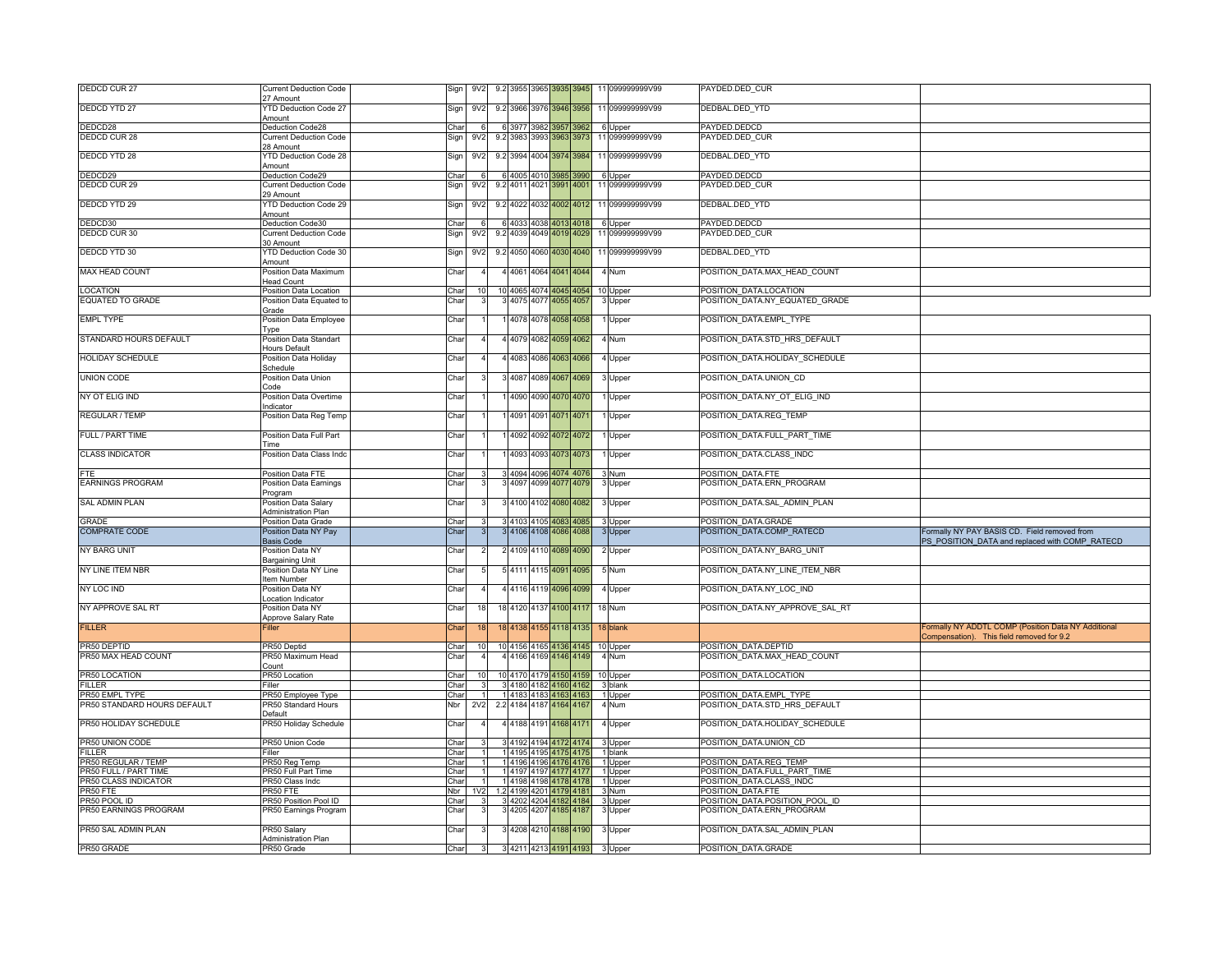| <b>DEDCD CUR 27</b>                          | <b>Current Deduction Code</b>                                 | Sign         | 9V <sub>2</sub> |                       |      | 9.2 3955 3965 3935 3945                          |           |                               |          | 11 099999999V99            | PAYDED.DED CUR                                         |                                                     |
|----------------------------------------------|---------------------------------------------------------------|--------------|-----------------|-----------------------|------|--------------------------------------------------|-----------|-------------------------------|----------|----------------------------|--------------------------------------------------------|-----------------------------------------------------|
| <b>DEDCD YTD 27</b>                          | 7 Amount<br>'TD Deduction Code 27                             | Sign         | 9V <sub>2</sub> |                       |      | 9.2 3966 3976 3946 3956                          |           |                               |          | 11 099999999V99            | DEDBAL.DED YTD                                         |                                                     |
|                                              | Amount                                                        |              |                 |                       |      |                                                  |           |                               |          |                            |                                                        |                                                     |
| DEDCD28                                      | Deduction Code28                                              | Char         |                 |                       |      | 6 3977 3982 3957 3962                            |           |                               |          | 6 Upper                    | PAYDED.DEDCD                                           |                                                     |
| <b>DEDCD CUR 28</b>                          | <b>Current Deduction Code</b><br>28 Amount                    | Sign         | 9V <sub>2</sub> |                       |      | 9.2 3983 3993 3963 3973                          |           |                               |          | 11 099999999V99            | PAYDED.DED CUR                                         |                                                     |
| <b>DEDCD YTD 28</b>                          | <b>YTD Deduction Code 28</b><br>Amount                        | Sign         | 9V <sub>2</sub> |                       |      | 9.2 3994 4004 3974 3984                          |           |                               |          | 11 099999999V99            | DEDBAL.DED_YTD                                         |                                                     |
| DEDCD29                                      | Deduction Code29                                              | Char         |                 | 4005                  | 4010 | 3985                                             |           | 3990                          |          | 6 Upper                    | PAYDED.DEDCD                                           |                                                     |
| DEDCD CUR 29                                 | Current Deduction Code<br>29 Amount                           | Sign         | 9V <sub>2</sub> | 9.2 4011              |      | 4021 3991 4001                                   |           |                               |          | 11 099999999V99            | AYDED.DED_CUR                                          |                                                     |
| <b>DEDCD YTD 29</b>                          | YTD Deduction Code 29                                         | Sign         | 9V <sub>2</sub> |                       |      | 9.2 4022 4032 4002 4012                          |           |                               |          | 11 099999999V99            | DEDBAL.DED_YTD                                         |                                                     |
|                                              | Amount                                                        |              |                 |                       |      |                                                  |           |                               |          |                            |                                                        |                                                     |
| DEDCD30<br>DEDCD CUR 30                      | Deduction Code30<br><b>Current Deduction Code</b>             | Char         | 9V <sub>2</sub> |                       |      | 6 4033 4038 4013 4018<br>9.2 4039 4049 4019 4029 |           |                               |          | 6 Upper<br>11 099999999V99 | PAYDED.DEDCD<br>PAYDED.DED CUR                         |                                                     |
|                                              | 30 Amount                                                     | Sign         |                 |                       |      |                                                  |           |                               |          |                            |                                                        |                                                     |
| DEDCD YTD 30                                 | TD Deduction Code 30<br>Amount                                | Sign         | 9V <sub>2</sub> |                       |      | 9.2 4050 4060 4030 4040                          |           |                               |          | 11 099999999V99            | DEDBAL.DED YTD                                         |                                                     |
| MAX HEAD COUNT                               | Position Data Maximum<br>Head Count                           | Char         |                 |                       |      | 4 4061 4064 4041 4044                            |           |                               | 4 Num    |                            | POSITION DATA.MAX HEAD COUNT                           |                                                     |
| <b>LOCATION</b>                              | Position Data Location                                        | Char         |                 |                       |      | 10 4065 4074 4045 4054                           |           |                               |          | 10 Upper                   | POSITION DATA.LOCATION                                 |                                                     |
| <b>EQUATED TO GRADE</b>                      | Position Data Equated to                                      | Char         |                 |                       |      | 3 4075 4077 4055 4057                            |           |                               |          | 3 Upper                    | POSITION_DATA.NY_EQUATED_GRADE                         |                                                     |
|                                              | Grade                                                         |              |                 |                       |      |                                                  |           |                               |          |                            |                                                        |                                                     |
| <b>EMPL TYPE</b>                             | Position Data Employee<br><b>Type</b>                         | Char         |                 |                       |      | 4078 4078 4058 4058                              |           |                               |          | Upper                      | POSITION DATA.EMPL TYPE                                |                                                     |
| STANDARD HOURS DEFAULT                       | Position Data Standart<br><b>Hours Default</b>                | Char         |                 |                       |      | 4 4079 4082 4059 4062                            |           |                               | 4 Num    |                            | POSITION_DATA.STD_HRS_DEFAULT                          |                                                     |
| <b>HOLIDAY SCHEDULE</b>                      | Position Data Holiday                                         | Char         |                 |                       |      | 4083 4086 4063 4066                              |           |                               |          | 4 Upper                    | POSITION DATA.HOLIDAY SCHEDULE                         |                                                     |
| <b>UNION CODE</b>                            | chedule<br>Position Data Union                                | Char         |                 | 3 4 0 8 7             |      | 4089 4067                                        | 14069     |                               |          | 3 Upper                    | POSITION DATA.UNION CD                                 |                                                     |
| NY OT ELIG IND                               | Code<br>Position Data Overtime                                | Char         |                 |                       |      | 4090 4090 4070 4070                              |           |                               |          | Upper                      | POSITION DATA.NY OT ELIG IND                           |                                                     |
|                                              | Indicator                                                     |              |                 |                       |      |                                                  |           |                               |          |                            |                                                        |                                                     |
| <b>REGULAR / TEMP</b>                        | Position Data Reg Temp                                        | Char         |                 |                       |      | 4091 4091 4071 4071                              |           |                               |          | Upper                      | POSITION DATA.REG TEMP                                 |                                                     |
| FULL / PART TIME                             | Position Data Full Part<br>Time                               | Char         |                 |                       |      | 4092 4092 4072 4072                              |           |                               |          | Upper                      | POSITION DATA.FULL PART TIME                           |                                                     |
| <b>CLASS INDICATOR</b>                       | Position Data Class Indc                                      | Char         |                 |                       |      | 4093 4093 4073 4073                              |           |                               |          | Upper                      | POSITION DATA.CLASS INDC                               |                                                     |
|                                              | Position Data FTE                                             | Char         |                 |                       |      | 4094 4096 4074 4076                              |           |                               | 3 Num    |                            | POSITION DATA.FTE                                      |                                                     |
| <b>EARNINGS PROGRAM</b>                      | Position Data Earnings                                        | Char         |                 |                       |      | 3 4097 4099 4077 4079                            |           |                               |          | 3 Upper                    | POSITION DATA.ERN PROGRAM                              |                                                     |
| <b>SAL ADMIN PLAN</b>                        | Program<br>Position Data Salary<br><b>Administration Plan</b> | Char         |                 |                       |      | 3 4100 4102 4080 4082                            |           |                               |          | 3 Upper                    | POSITION DATA.SAL ADMIN PLAN                           |                                                     |
| GRADE                                        | Position Data Grade                                           | Char         |                 |                       |      | 3 4103 4105 4083                                 | 4085      |                               |          | 3 Upper                    | POSITION DATA.GRADE                                    |                                                     |
| <b>COMPRATE CODE</b>                         | Position Data NY Pay                                          | Char         |                 |                       |      | 4106 4108 4086 4088                              |           |                               |          | 3 Upper                    | POSITION DATA.COMP RATECD                              | Formally NY PAY BASIS CD. Field removed from        |
|                                              | <b>Basis Code</b>                                             |              |                 |                       |      |                                                  |           |                               |          |                            |                                                        | PS POSITION DATA and replaced with COMP RATECD      |
| NY BARG UNIT                                 | Position Data NY<br>Bargaining Unit                           | Char         |                 |                       |      | 2 4109 4110 4089 4090                            |           |                               |          | 2 Upper                    | POSITION DATA.NY BARG UNIT                             |                                                     |
| NY LINE ITEM NBR                             | Position Data NY Line<br>tem Number                           | Char         |                 |                       |      | 5 4111 4115 4091 4095                            |           |                               | 5 Num    |                            | POSITION DATA.NY LINE ITEM NBR                         |                                                     |
| NY LOC IND                                   | Position Data NY                                              | Char         |                 |                       |      | 4 4116 4119 4096 4099                            |           |                               |          | 4 Upper                    | POSITION DATA.NY LOC IND                               |                                                     |
| NY APPROVE SAL RT                            | ocation Indicator<br>Position Data NY                         | Char         | 18              |                       |      | 18 4120 4137 4100 4117                           |           |                               | 18 Num   |                            | POSITION DATA.NY APPROVE SAL RT                        |                                                     |
| <b>FILLER</b>                                | Approve Salary Rate<br>iller                                  |              | 18              |                       |      | 18 4138 4155 4118 4135                           |           |                               |          |                            |                                                        | Formally NY ADDTL COMP (Position Data NY Additional |
|                                              |                                                               | Char         |                 |                       |      |                                                  |           |                               | 18 blank |                            |                                                        | Compensation). This field removed for 9.2           |
| PR50 DEPTID                                  | PR50 Deptid                                                   | Char         | 10              |                       |      | 10 4156 4165 4136 4145                           |           |                               |          | 10 Upper                   | POSITION DATA.DEPTID                                   |                                                     |
| PR50 MAX HEAD COUNT                          | PR50 Maximum Head<br>Count                                    | Char         |                 |                       |      | 4 4166 4169 4146 4149                            |           |                               | 4 Num    |                            | POSITION DATA.MAX HEAD COUNT                           |                                                     |
| PR50 LOCATION                                | PR50 Location                                                 | Char         | 10              |                       |      | 10 4170 4179 4150 4159                           |           |                               |          | 10 Upper                   | POSITION DATA.LOCATION                                 |                                                     |
| <b>FILLER</b>                                | Filler                                                        | Char         |                 |                       |      | 4180 4182 4160 4162                              |           |                               | 3 blank  |                            |                                                        |                                                     |
| PR50 EMPL TYPE                               | PR50 Employee Type                                            | Char         |                 |                       |      | 1 4183 4183 4163 4163                            |           |                               |          | 1 Upper                    | POSITION DATA.EMPL TYPE                                |                                                     |
| PR50 STANDARD HOURS DEFAULT                  | <b>PR50 Standard Hours</b>                                    | Nbr          | 2V <sub>2</sub> |                       |      | 2.2 4184 4187 4164 4167                          |           |                               | 4 Num    |                            | POSITION DATA.STD HRS DEFAULT                          |                                                     |
| PR50 HOLIDAY SCHEDULE                        | Default<br>PR50 Holiday Schedule                              | Char         |                 |                       |      | 4 4188 4191 4168 4171                            |           |                               |          | 4 Upper                    | POSITION DATA.HOLIDAY SCHEDULE                         |                                                     |
|                                              |                                                               |              |                 |                       |      |                                                  |           |                               |          |                            |                                                        |                                                     |
| PR50 UNION CODE                              | PR50 Union Code                                               | Char         |                 |                       |      | 4192 4194 4172 4174                              |           |                               |          | 3 Upper                    | POSITION DATA.UNION CD                                 |                                                     |
| <b>FILLER</b>                                | iller                                                         | Char         |                 | 4195                  | 4195 | 4175                                             | 4175      |                               |          | 1 blank                    |                                                        |                                                     |
| PR50 REGULAR / TEMP<br>PR50 FULL / PART TIME | R50 Reg Temp<br><b>PR50 Full Part Time</b>                    | Char<br>Char |                 | 141964196             |      |                                                  | 4176 4176 |                               |          | 1 Upper                    | POSITION DATA.REG TEMP<br>POSITION DATA.FULL PART TIME |                                                     |
| PR50 CLASS INDICATOR                         | PR50 Class Indo                                               | Char         |                 |                       |      | 14197419741774177<br>1 4198 4198 4178 4178       |           |                               |          | 1 Upper<br>1 Upper         | POSITION DATA.CLASS INDC                               |                                                     |
| PR50 FTF                                     | PR50 FTE                                                      | Nbr          | 1V2             |                       |      | 1.2 4199 4201 4179 4181                          |           |                               | 3 Num    |                            | POSITION DATA.FTE                                      |                                                     |
| PR50 POOL ID                                 | PR50 Position Pool ID                                         | Char         |                 |                       |      | 3 4202 4204 4182 4184                            |           |                               |          | 3 Upper                    | POSITION DATA.POSITION POOL ID                         |                                                     |
| PR50 EARNINGS PROGRAM                        | PR50 Earnings Program                                         | Char         |                 |                       |      | 4205 4207 4185 4187                              |           |                               |          | 3 Upper                    | POSITION DATA.ERN PROGRAM                              |                                                     |
| PR50 SAL ADMIN PLAN                          | PR50 Salary                                                   | Char         |                 | 3 4208 4210 4188 4190 |      |                                                  |           |                               |          | 3 Upper                    | POSITION DATA.SAL ADMIN PLAN                           |                                                     |
|                                              |                                                               |              |                 |                       |      |                                                  |           |                               |          |                            |                                                        |                                                     |
| PR50 GRADE                                   | Administration Plan<br>PR50 Grade                             | Char         | $3\overline{1}$ |                       |      |                                                  |           | 3 4211 4213 4191 4193 3 Upper |          |                            | POSITION DATA.GRADE                                    |                                                     |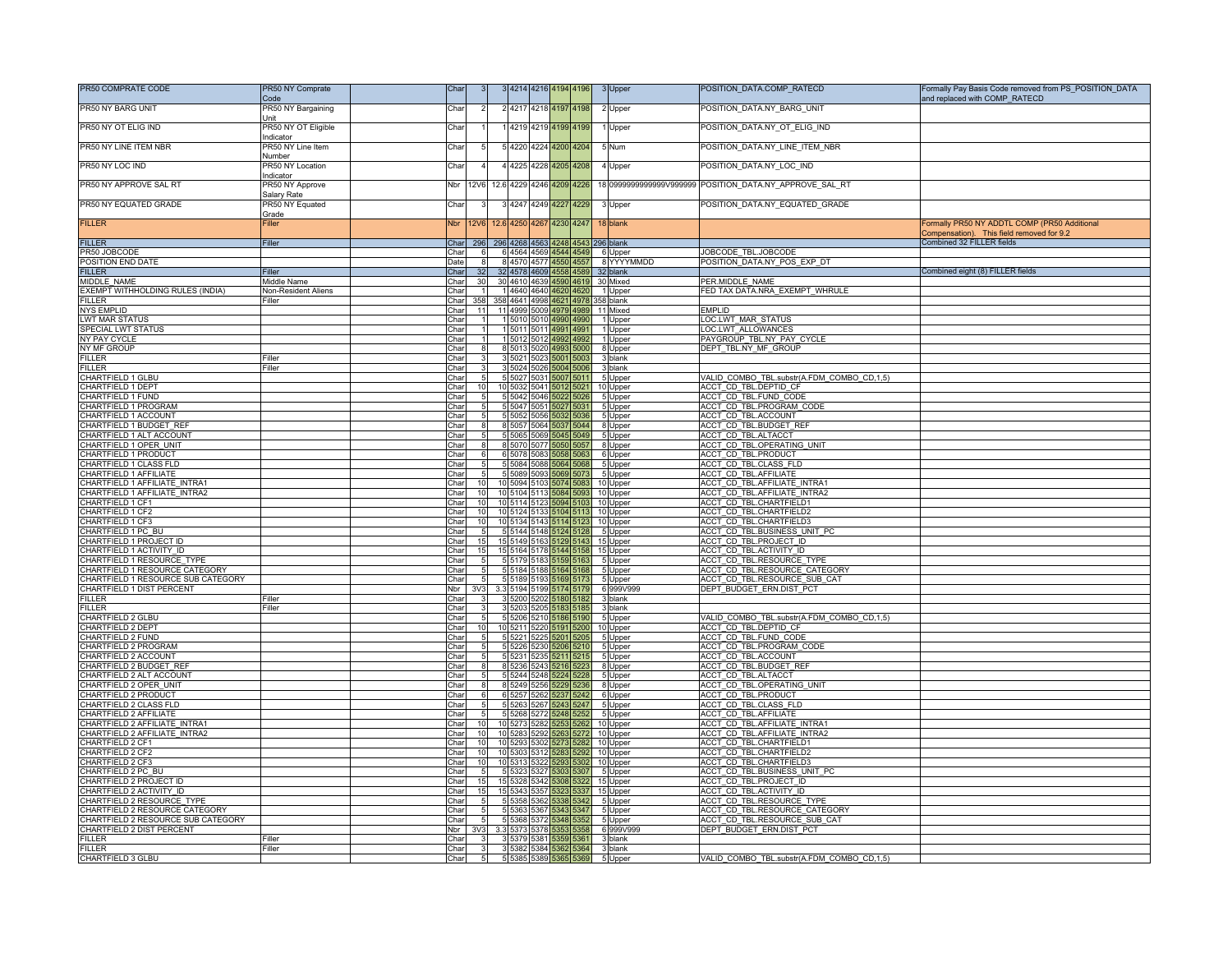| POSITION_DATA.NY_BARG_UNIT<br>PR50 NY BARG UNIT<br>PR50 NY Bargaining<br>Char<br>4217 4218 4197 4198<br>2 Upper<br>Jnit<br>POSITION_DATA.NY_OT_ELIG_IND<br>PR50 NY OT ELIG IND<br>PR50 NY OT Eligible<br>4219 4219 4199 4199<br>Char<br>Upper<br>ndicator<br>POSITION_DATA.NY_LINE_ITEM_NBR<br>PR50 NY LINE ITEM NBR<br>PR50 NY Line Item<br>Char<br>4220 4224 4200 4204<br>5 Num<br>dumher<br>PR50 NY LOC IND<br>PR50 NY Location<br>POSITION_DATA.NY_LOC_IND<br>Char<br>4225 4228 4205 4208<br>4 Upper<br>ndicator<br>PR50 NY APPROVE SAL RT<br>PR50 NY Approve<br>12.6 4229 4246 4209 4226<br>Nbr<br><b>12V6</b><br>Salary Rate<br>POSITION_DATA.NY_EQUATED_GRADE<br>PR50 NY EQUATED GRADE<br>PR50 NY Equated<br>Char<br>4247 4249 4227 4229<br>3 Upper<br>Grade<br><b>FILLER</b><br>12V6 12.6 4250 4267 4230 4247<br>Formally PR50 NY ADDTL COMP (PR50 Additional<br>Filler<br><b>Nbr</b><br>18 blank<br>Compensation). This field removed for 9.2<br>Combined 32 FILLER fields<br><b>FILLER</b><br><b>Filler</b><br>Char<br>296 296 4268 4563 4248 4543<br>296 blank<br>6 4564 4569 4544 4549<br>JOBCODE TBL.JOBCODE<br>PR50 JOBCODE<br>Char<br>6 Upper<br>POSITION END DATE<br>8 YYYYMMDD<br>POSITION DATA.NY POS EXP DT<br>Date<br>8 4570 4577 4550 4557<br>Combined eight (8) FILLER fields<br><b>FILLER</b><br>32 4578 4609<br>Char<br>32<br>4558 4589<br>32 blank<br>Filler<br>MIDDLE NAME<br>PER.MIDDLE NAME<br>Middle Name<br>Char<br>30<br>30 4610 4639<br>4590<br>4619<br>30 Mixed<br>EXEMPT WITHHOLDING RULES (INDIA)<br>ED TAX DATA.NRA EXEMPT WHRULE<br>Non-Resident Aliens<br>Char<br>1 4640 4640 4620 4620<br>1 Upper<br>358 4641 4998 4621 4978<br><b>FILLER</b><br>Char<br>358<br>358 blank<br>Filler<br>11 4999 5009 4979 4989<br><b>NYS EMPLID</b><br>Char<br>11<br>11 Mixed<br><b>EMPLID</b><br>LOC.LWT MAR STATUS<br><b>LWT MAR STATUS</b><br>Char<br>1 5010 5010 4990 4990<br>1 Upper<br><b>LOC.LWT ALLOWANCES</b><br>SPECIAL LWT STATUS<br>15011<br>Char<br>499'<br>1 Upper<br>501'<br>4991<br>NY PAY CYCLE<br>1 5012<br>PAYGROUP TBL.NY PAY CYCLE<br>Char<br>5012<br>4992<br>499<br>1 Upper<br>DEPT TBL.NY MF GROUP<br>NY MF GROUP<br>Char<br>8 5013<br>5020<br>4993 5000<br>8 Upper<br><b>FILLER</b><br>Filler<br>Char<br>3 5021<br>5023<br>5001<br>5003<br>3 blank<br><b>FILLER</b><br>Filler<br>Char<br>3 5024 5026<br>5004<br>500 <sub>€</sub><br>3 blank<br>VALID COMBO TBL.substr(A.FDM COMBO CD,1,5)<br>CHARTFIELD 1 GLBU<br>Char<br>5 5027 5031 5007 5011<br>5 Upper<br><b>CHARTFIELD 1 DEPT</b><br>ACCT CD TBL.DEPTID CF<br>Char<br>5032<br>$504 -$<br>10 Upper<br>10<br>CHARTFIELD 1 FUND<br>Char<br>5 5042 5046<br>ACCT CD TBL.FUND CODE<br>5022 5026<br>5 Upper<br>CHARTFIELD 1 PROGRAM<br>ACCT CD TBL.PROGRAM CODE<br>Char<br>5 5047 5051 5027 5031<br>5 Upper<br>CHARTFIELD 1 ACCOUNT<br>ACCT CD TBL.ACCOUNT<br>Char<br>5 5052 5056 5032 5036<br>5 Upper<br>CHARTFIELD 1 BUDGET REF<br>ACCT CD TBL.BUDGET REF<br>Char<br>8 5057 5064 5037 5044<br>8 Upper<br>CHARTFIELD 1 ALT ACCOUNT<br>ACCT CD TBL.ALTACCT<br>Char<br>5 5065 5069<br>5045<br>5049<br>5 Upper<br>ACCT CD TBL.OPERATING UNIT<br>HARTFIELD 1 OPER UNIT<br>Char<br>8 5070<br>8 Upper<br>507<br>5050<br>CHARTFIELD 1 PRODUCT<br>Char<br>6 5078 5083<br>5058<br>ACCT_CD_TBL.PRODUCT<br>5063<br>6 Upper<br><b>ACCT CD TBL.CLASS FLD</b><br>CHARTFIELD 1 CLASS FLD<br>5 5084 5088 5064 5068<br>5 Upper<br>Char<br>CHARTFIELD 1 AFFILIATE<br><b>ACCT CD TBL.AFFILIATE</b><br>Char<br>5 5089<br>5093<br>5069<br>5 Upper<br>5073<br>CHARTFIELD 1 AFFILIATE INTRA1<br>ACCT CD TBL.AFFILIATE INTRA1<br>Char<br>10 5094 5103 5074 5083<br>10 Upper<br>10<br>CHARTFIELD 1 AFFILIATE INTRA2<br>ACCT CD TBL.AFFILIATE INTRA2<br>10 5104 5113 5084<br>Char<br>10<br>10 Upper<br>5093<br>CHARTFIELD 1 CF1<br>ACCT CD TBL.CHARTFIELD1<br>Char<br>10<br>114<br>5123<br>10 Upper<br>CHARTFIELD 1 CF2<br>ACCT CD TBL.CHARTFIELD2<br>Char<br>10<br>10 5124<br>5133<br>5104<br>10 Upper<br>5113<br>CHARTFIELD 1 CF3<br>10<br>10 5134 5143 5114<br>10 Upper<br>ACCT CD TBL.CHARTFIELD3<br>Char<br>5123<br>CHARTFIELD 1 PC BU<br>ACCT CD TBL.BUSINESS UNIT PC<br>Char<br>5 5144 5148 5124<br>5128<br>5 Upper<br>CHARTFIELD 1 PROJECT ID<br>ACCT CD TBL.PROJECT ID<br>Char<br>15<br>15 5149 5163 5129 5143<br>15 Upper<br>ACCT CD TBL.ACTIVITY ID<br>CHARTFIELD 1 ACTIVITY_ID<br>15 5164 5178 5144<br>Char<br>15<br>15 Upper<br>5158<br>ACCT CD TBL.RESOURCE TYPE<br>CHARTFIELD 1 RESOURCE TYPE<br>Char<br>5179<br>5183<br>5 Upper<br>CHARTFIELD 1 RESOURCE CATEGORY<br>Char<br>5 5 1 8 4<br>5188<br>5164<br>ACCT CD TBL.RESOURCE CATEGORY<br>5168<br>5 Upper<br>CHARTFIELD 1 RESOURCE SUB CATEGORY<br>ACCT CD TBL.RESOURCE SUB CAT<br>5 5 189 5 193<br>5169<br>5 Upper<br>Char<br>5173<br>CHARTFIELD 1 DIST PERCENT<br>DEPT BUDGET ERN.DIST PCT<br>Nbr<br>3.3 5194 5199<br>5179<br>6 999V999<br><b>FILLER</b><br>Filler<br>Char<br>3 5200 5202 5180<br>3 blank<br>5182<br><b>FILLER</b><br>Filler<br>3 5203<br>5205<br>3 blank<br>Char<br>CHARTFIELD 2 GLBU<br>VALID COMBO TBL.substr(A.FDM COMBO CD,1,5)<br>Char<br>5206<br>5 Upper<br><u>CHARTFIELD 2 DEPT</u><br>ACCT CD TBL.DEPTID CF<br>10 5211<br>5191<br>5200<br>Char<br>5220<br>10 Upper<br>ACCT CD TBL.FUND CODE<br>CHARTFIELD 2 FUND<br>Char<br>5 5 2 2 1<br>5225<br>5201<br>5205<br>5 Upper<br>CHARTFIELD 2 PROGRAM<br>Char<br>5 5226 5230 5206 5210<br>ACCT CD TBL.PROGRAM CODE<br>5 Upper<br>ACCT CD TBL.ACCOUNT<br>CHARTFIELD 2 ACCOUNT<br>Char<br>5 5 2 3 1<br>5235 5211 5215<br>5 Upper<br><b>CHARTFIELD 2 BUDGET REF</b><br>Char<br>8 5 236<br>ACCT CD TBL.BUDGET REF<br>5243<br>5216<br>8 Upper<br>5223<br>CHARTFIELD 2 ALT ACCOUNT<br>5 5 244 5 248<br>ACCT_CD_TBL.ALTACCT<br>Char<br>5224 5228<br>5 Upper<br>CHARTFIELD 2 OPER_UNIT<br>8 Upper<br>ACCT_CD_TBL.OPERATING_UNIT<br>Char<br>8 5249 5256 5229 5236<br><b>ACCT CD TBL.PRODUCT</b><br>CHARTFIELD 2 PRODUCT<br>Char<br>6 5257<br>5262<br>5237<br>5242<br>6 Upper<br>CHARTFIELD 2 CLASS FLD<br>Char<br>5 5263 5267 5243<br>ACCT_CD_TBL.CLASS_FLD<br>5247<br>5 Upper<br>CHARTFIELD 2 AFFILIATE<br>5 5268 5272 5248<br>ACCT_CD_TBL.AFFILIATE<br>Char<br>5 Upper<br>CHARTFIELD 2 AFFILIATE INTRA1<br><b>ACCT CD TBL.AFFILIATE INTRA1</b><br>Char<br>10<br>5273<br>10 Upper<br>10<br>5282<br>CHARTFIELD 2 AFFILIATE INTRA2<br>Char<br>10<br>ACCT CD TBL.AFFILIATE INTRA2<br>10<br>5283<br>5292<br>5272<br>10 Upper<br>CHARTFIELD 2 CF1<br>10 5293 5302 5273 5282<br>ACCT CD TBL.CHARTFIELD1<br>10<br>Char<br>10 Upper<br>CHARTFIELD 2 CF2<br><b>ACCT CD TBL.CHARTFIELD2</b><br>Char<br>10<br>10 5303 5312<br>5283<br>5292<br>10 Upper<br>CHARTFIELD 2 CF3<br>Char<br>10<br>10 5313 5322 5293 5302<br>10 Upper<br>ACCT CD TBL.CHARTFIELD3<br>CHARTFIELD 2 PC BU<br>ACCT CD TBL.BUSINESS UNIT PC<br>Char<br>5 5 3 2 3<br>5327 5303<br>5 Upper<br>5307<br>ACCT CD TBL.PROJECT ID<br>HARTFIELD 2 PROJECT ID<br>Char<br>15<br>15 Upper<br>15<br>5328<br>5342<br>CHARTFIELD 2 ACTIVITY ID<br>Char<br>15 5343<br>5357<br>15 Upper<br>ACCT CD TBL.ACTIVITY ID<br>15<br>5323<br>CHARTFIELD 2 RESOURCE TYPE<br>5 5358 5362 5338 5342<br>5 Upper<br>ACCT_CD_TBL.RESOURCE_TYPE<br>Char<br>CHARTFIELD 2 RESOURCE CATEGORY<br>ACCT CD TBL.RESOURCE CATEGORY<br>Char<br>5 5363<br>5367<br>5343<br>5347<br>5 Upper<br>CHARTFIELD 2 RESOURCE SUB CATEGORY<br>Char<br>5 5368 5372 5348<br>ACCT_CD_TBL.RESOURCE_SUB_CAT<br>5352<br>5 Upper<br><b>CHARTFIELD 2 DIST PERCENT</b><br>DEPT BUDGET ERN.DIST PCT<br>Nbr  <br>3.3 5373 5378 5353<br>6 999V999<br>3V3<br>5358<br><b>ILLER</b><br>Char<br>38 <sup>1</sup><br>blank<br>Filler<br>5379<br><b>FILLER</b><br>iller<br>Char<br>3 5382 5384<br>5364<br>362<br>3 blank<br>CHARTFIELD 3 GLBU<br>5 5385 5389 5365 5369<br>5 Upper<br>VALID COMBO TBL.substr(A.FDM COMBO CD,1,5)<br>Char<br>5 | PR50 COMPRATE CODE | PR50 NY Comprate<br>Code | Char |  | 4214 4216 4194 |  | 4196 | 3 Upper | POSITION_DATA.COMP_RATECD | Formally Pay Basis Code removed from PS POSITION DATA<br>and replaced with COMP_RATECD |
|---------------------------------------------------------------------------------------------------------------------------------------------------------------------------------------------------------------------------------------------------------------------------------------------------------------------------------------------------------------------------------------------------------------------------------------------------------------------------------------------------------------------------------------------------------------------------------------------------------------------------------------------------------------------------------------------------------------------------------------------------------------------------------------------------------------------------------------------------------------------------------------------------------------------------------------------------------------------------------------------------------------------------------------------------------------------------------------------------------------------------------------------------------------------------------------------------------------------------------------------------------------------------------------------------------------------------------------------------------------------------------------------------------------------------------------------------------------------------------------------------------------------------------------------------------------------------------------------------------------------------------------------------------------------------------------------------------------------------------------------------------------------------------------------------------------------------------------------------------------------------------------------------------------------------------------------------------------------------------------------------------------------------------------------------------------------------------------------------------------------------------------------------------------------------------------------------------------------------------------------------------------------------------------------------------------------------------------------------------------------------------------------------------------------------------------------------------------------------------------------------------------------------------------------------------------------------------------------------------------------------------------------------------------------------------------------------------------------------------------------------------------------------------------------------------------------------------------------------------------------------------------------------------------------------------------------------------------------------------------------------------------------------------------------------------------------------------------------------------------------------------------------------------------------------------------------------------------------------------------------------------------------------------------------------------------------------------------------------------------------------------------------------------------------------------------------------------------------------------------------------------------------------------------------------------------------------------------------------------------------------------------------------------------------------------------------------------------------------------------------------------------------------------------------------------------------------------------------------------------------------------------------------------------------------------------------------------------------------------------------------------------------------------------------------------------------------------------------------------------------------------------------------------------------------------------------------------------------------------------------------------------------------------------------------------------------------------------------------------------------------------------------------------------------------------------------------------------------------------------------------------------------------------------------------------------------------------------------------------------------------------------------------------------------------------------------------------------------------------------------------------------------------------------------------------------------------------------------------------------------------------------------------------------------------------------------------------------------------------------------------------------------------------------------------------------------------------------------------------------------------------------------------------------------------------------------------------------------------------------------------------------------------------------------------------------------------------------------------------------------------------------------------------------------------------------------------------------------------------------------------------------------------------------------------------------------------------------------------------------------------------------------------------------------------------------------------------------------------------------------------------------------------------------------------------------------------------------------------------------------------------------------------------------------------------------------------------------------------------------------------------------------------------------------------------------------------------------------------------------------------------------------------------------------------------------------------------------------------------------------------------------------------------------------------------------------------------------------------------------------------------------------------------------------------------------------------------------------------------------------------------------------------------------------------------------------------------------------------------------------------------------------------------------------------------------------------------------------------------------------------------------------------------------------------------------------------------------------------------------------------------------------------------------------------------------------------------------------------------------------------------------------------------------------------------------------------------------------------------------------------------------------------------------------------------------------------------------------------------------------------------------------------------------------------------------------------------------------------------------------------------------------------------------------------------------------------------------------------------------------------------------------------------------------------------------------------------------------------------------------------------------------------------------------------------------------------------------------------------------------------------------------------------------------------------------------------------|--------------------|--------------------------|------|--|----------------|--|------|---------|---------------------------|----------------------------------------------------------------------------------------|
|                                                                                                                                                                                                                                                                                                                                                                                                                                                                                                                                                                                                                                                                                                                                                                                                                                                                                                                                                                                                                                                                                                                                                                                                                                                                                                                                                                                                                                                                                                                                                                                                                                                                                                                                                                                                                                                                                                                                                                                                                                                                                                                                                                                                                                                                                                                                                                                                                                                                                                                                                                                                                                                                                                                                                                                                                                                                                                                                                                                                                                                                                                                                                                                                                                                                                                                                                                                                                                                                                                                                                                                                                                                                                                                                                                                                                                                                                                                                                                                                                                                                                                                                                                                                                                                                                                                                                                                                                                                                                                                                                                                                                                                                                                                                                                                                                                                                                                                                                                                                                                                                                                                                                                                                                                                                                                                                                                                                                                                                                                                                                                                                                                                                                                                                                                                                                                                                                                                                                                                                                                                                                                                                                                                                                                                                                                                                                                                                                                                                                                                                                                                                                                                                                                                                                                                                                                                                                                                                                                                                                                                                                                                                                                                                                                                                                                                                                                                                                                                                                                                                                                                                                                                                                                                                                                                                                                 |                    |                          |      |  |                |  |      |         |                           |                                                                                        |
|                                                                                                                                                                                                                                                                                                                                                                                                                                                                                                                                                                                                                                                                                                                                                                                                                                                                                                                                                                                                                                                                                                                                                                                                                                                                                                                                                                                                                                                                                                                                                                                                                                                                                                                                                                                                                                                                                                                                                                                                                                                                                                                                                                                                                                                                                                                                                                                                                                                                                                                                                                                                                                                                                                                                                                                                                                                                                                                                                                                                                                                                                                                                                                                                                                                                                                                                                                                                                                                                                                                                                                                                                                                                                                                                                                                                                                                                                                                                                                                                                                                                                                                                                                                                                                                                                                                                                                                                                                                                                                                                                                                                                                                                                                                                                                                                                                                                                                                                                                                                                                                                                                                                                                                                                                                                                                                                                                                                                                                                                                                                                                                                                                                                                                                                                                                                                                                                                                                                                                                                                                                                                                                                                                                                                                                                                                                                                                                                                                                                                                                                                                                                                                                                                                                                                                                                                                                                                                                                                                                                                                                                                                                                                                                                                                                                                                                                                                                                                                                                                                                                                                                                                                                                                                                                                                                                                                 |                    |                          |      |  |                |  |      |         |                           |                                                                                        |
|                                                                                                                                                                                                                                                                                                                                                                                                                                                                                                                                                                                                                                                                                                                                                                                                                                                                                                                                                                                                                                                                                                                                                                                                                                                                                                                                                                                                                                                                                                                                                                                                                                                                                                                                                                                                                                                                                                                                                                                                                                                                                                                                                                                                                                                                                                                                                                                                                                                                                                                                                                                                                                                                                                                                                                                                                                                                                                                                                                                                                                                                                                                                                                                                                                                                                                                                                                                                                                                                                                                                                                                                                                                                                                                                                                                                                                                                                                                                                                                                                                                                                                                                                                                                                                                                                                                                                                                                                                                                                                                                                                                                                                                                                                                                                                                                                                                                                                                                                                                                                                                                                                                                                                                                                                                                                                                                                                                                                                                                                                                                                                                                                                                                                                                                                                                                                                                                                                                                                                                                                                                                                                                                                                                                                                                                                                                                                                                                                                                                                                                                                                                                                                                                                                                                                                                                                                                                                                                                                                                                                                                                                                                                                                                                                                                                                                                                                                                                                                                                                                                                                                                                                                                                                                                                                                                                                                 |                    |                          |      |  |                |  |      |         |                           |                                                                                        |
|                                                                                                                                                                                                                                                                                                                                                                                                                                                                                                                                                                                                                                                                                                                                                                                                                                                                                                                                                                                                                                                                                                                                                                                                                                                                                                                                                                                                                                                                                                                                                                                                                                                                                                                                                                                                                                                                                                                                                                                                                                                                                                                                                                                                                                                                                                                                                                                                                                                                                                                                                                                                                                                                                                                                                                                                                                                                                                                                                                                                                                                                                                                                                                                                                                                                                                                                                                                                                                                                                                                                                                                                                                                                                                                                                                                                                                                                                                                                                                                                                                                                                                                                                                                                                                                                                                                                                                                                                                                                                                                                                                                                                                                                                                                                                                                                                                                                                                                                                                                                                                                                                                                                                                                                                                                                                                                                                                                                                                                                                                                                                                                                                                                                                                                                                                                                                                                                                                                                                                                                                                                                                                                                                                                                                                                                                                                                                                                                                                                                                                                                                                                                                                                                                                                                                                                                                                                                                                                                                                                                                                                                                                                                                                                                                                                                                                                                                                                                                                                                                                                                                                                                                                                                                                                                                                                                                                 |                    |                          |      |  |                |  |      |         |                           |                                                                                        |
|                                                                                                                                                                                                                                                                                                                                                                                                                                                                                                                                                                                                                                                                                                                                                                                                                                                                                                                                                                                                                                                                                                                                                                                                                                                                                                                                                                                                                                                                                                                                                                                                                                                                                                                                                                                                                                                                                                                                                                                                                                                                                                                                                                                                                                                                                                                                                                                                                                                                                                                                                                                                                                                                                                                                                                                                                                                                                                                                                                                                                                                                                                                                                                                                                                                                                                                                                                                                                                                                                                                                                                                                                                                                                                                                                                                                                                                                                                                                                                                                                                                                                                                                                                                                                                                                                                                                                                                                                                                                                                                                                                                                                                                                                                                                                                                                                                                                                                                                                                                                                                                                                                                                                                                                                                                                                                                                                                                                                                                                                                                                                                                                                                                                                                                                                                                                                                                                                                                                                                                                                                                                                                                                                                                                                                                                                                                                                                                                                                                                                                                                                                                                                                                                                                                                                                                                                                                                                                                                                                                                                                                                                                                                                                                                                                                                                                                                                                                                                                                                                                                                                                                                                                                                                                                                                                                                                                 |                    |                          |      |  |                |  |      |         |                           |                                                                                        |
|                                                                                                                                                                                                                                                                                                                                                                                                                                                                                                                                                                                                                                                                                                                                                                                                                                                                                                                                                                                                                                                                                                                                                                                                                                                                                                                                                                                                                                                                                                                                                                                                                                                                                                                                                                                                                                                                                                                                                                                                                                                                                                                                                                                                                                                                                                                                                                                                                                                                                                                                                                                                                                                                                                                                                                                                                                                                                                                                                                                                                                                                                                                                                                                                                                                                                                                                                                                                                                                                                                                                                                                                                                                                                                                                                                                                                                                                                                                                                                                                                                                                                                                                                                                                                                                                                                                                                                                                                                                                                                                                                                                                                                                                                                                                                                                                                                                                                                                                                                                                                                                                                                                                                                                                                                                                                                                                                                                                                                                                                                                                                                                                                                                                                                                                                                                                                                                                                                                                                                                                                                                                                                                                                                                                                                                                                                                                                                                                                                                                                                                                                                                                                                                                                                                                                                                                                                                                                                                                                                                                                                                                                                                                                                                                                                                                                                                                                                                                                                                                                                                                                                                                                                                                                                                                                                                                                                 |                    |                          |      |  |                |  |      |         |                           |                                                                                        |
|                                                                                                                                                                                                                                                                                                                                                                                                                                                                                                                                                                                                                                                                                                                                                                                                                                                                                                                                                                                                                                                                                                                                                                                                                                                                                                                                                                                                                                                                                                                                                                                                                                                                                                                                                                                                                                                                                                                                                                                                                                                                                                                                                                                                                                                                                                                                                                                                                                                                                                                                                                                                                                                                                                                                                                                                                                                                                                                                                                                                                                                                                                                                                                                                                                                                                                                                                                                                                                                                                                                                                                                                                                                                                                                                                                                                                                                                                                                                                                                                                                                                                                                                                                                                                                                                                                                                                                                                                                                                                                                                                                                                                                                                                                                                                                                                                                                                                                                                                                                                                                                                                                                                                                                                                                                                                                                                                                                                                                                                                                                                                                                                                                                                                                                                                                                                                                                                                                                                                                                                                                                                                                                                                                                                                                                                                                                                                                                                                                                                                                                                                                                                                                                                                                                                                                                                                                                                                                                                                                                                                                                                                                                                                                                                                                                                                                                                                                                                                                                                                                                                                                                                                                                                                                                                                                                                                                 |                    |                          |      |  |                |  |      |         |                           |                                                                                        |
|                                                                                                                                                                                                                                                                                                                                                                                                                                                                                                                                                                                                                                                                                                                                                                                                                                                                                                                                                                                                                                                                                                                                                                                                                                                                                                                                                                                                                                                                                                                                                                                                                                                                                                                                                                                                                                                                                                                                                                                                                                                                                                                                                                                                                                                                                                                                                                                                                                                                                                                                                                                                                                                                                                                                                                                                                                                                                                                                                                                                                                                                                                                                                                                                                                                                                                                                                                                                                                                                                                                                                                                                                                                                                                                                                                                                                                                                                                                                                                                                                                                                                                                                                                                                                                                                                                                                                                                                                                                                                                                                                                                                                                                                                                                                                                                                                                                                                                                                                                                                                                                                                                                                                                                                                                                                                                                                                                                                                                                                                                                                                                                                                                                                                                                                                                                                                                                                                                                                                                                                                                                                                                                                                                                                                                                                                                                                                                                                                                                                                                                                                                                                                                                                                                                                                                                                                                                                                                                                                                                                                                                                                                                                                                                                                                                                                                                                                                                                                                                                                                                                                                                                                                                                                                                                                                                                                                 |                    |                          |      |  |                |  |      |         |                           |                                                                                        |
|                                                                                                                                                                                                                                                                                                                                                                                                                                                                                                                                                                                                                                                                                                                                                                                                                                                                                                                                                                                                                                                                                                                                                                                                                                                                                                                                                                                                                                                                                                                                                                                                                                                                                                                                                                                                                                                                                                                                                                                                                                                                                                                                                                                                                                                                                                                                                                                                                                                                                                                                                                                                                                                                                                                                                                                                                                                                                                                                                                                                                                                                                                                                                                                                                                                                                                                                                                                                                                                                                                                                                                                                                                                                                                                                                                                                                                                                                                                                                                                                                                                                                                                                                                                                                                                                                                                                                                                                                                                                                                                                                                                                                                                                                                                                                                                                                                                                                                                                                                                                                                                                                                                                                                                                                                                                                                                                                                                                                                                                                                                                                                                                                                                                                                                                                                                                                                                                                                                                                                                                                                                                                                                                                                                                                                                                                                                                                                                                                                                                                                                                                                                                                                                                                                                                                                                                                                                                                                                                                                                                                                                                                                                                                                                                                                                                                                                                                                                                                                                                                                                                                                                                                                                                                                                                                                                                                                 |                    |                          |      |  |                |  |      |         |                           |                                                                                        |
|                                                                                                                                                                                                                                                                                                                                                                                                                                                                                                                                                                                                                                                                                                                                                                                                                                                                                                                                                                                                                                                                                                                                                                                                                                                                                                                                                                                                                                                                                                                                                                                                                                                                                                                                                                                                                                                                                                                                                                                                                                                                                                                                                                                                                                                                                                                                                                                                                                                                                                                                                                                                                                                                                                                                                                                                                                                                                                                                                                                                                                                                                                                                                                                                                                                                                                                                                                                                                                                                                                                                                                                                                                                                                                                                                                                                                                                                                                                                                                                                                                                                                                                                                                                                                                                                                                                                                                                                                                                                                                                                                                                                                                                                                                                                                                                                                                                                                                                                                                                                                                                                                                                                                                                                                                                                                                                                                                                                                                                                                                                                                                                                                                                                                                                                                                                                                                                                                                                                                                                                                                                                                                                                                                                                                                                                                                                                                                                                                                                                                                                                                                                                                                                                                                                                                                                                                                                                                                                                                                                                                                                                                                                                                                                                                                                                                                                                                                                                                                                                                                                                                                                                                                                                                                                                                                                                                                 |                    |                          |      |  |                |  |      |         |                           |                                                                                        |
|                                                                                                                                                                                                                                                                                                                                                                                                                                                                                                                                                                                                                                                                                                                                                                                                                                                                                                                                                                                                                                                                                                                                                                                                                                                                                                                                                                                                                                                                                                                                                                                                                                                                                                                                                                                                                                                                                                                                                                                                                                                                                                                                                                                                                                                                                                                                                                                                                                                                                                                                                                                                                                                                                                                                                                                                                                                                                                                                                                                                                                                                                                                                                                                                                                                                                                                                                                                                                                                                                                                                                                                                                                                                                                                                                                                                                                                                                                                                                                                                                                                                                                                                                                                                                                                                                                                                                                                                                                                                                                                                                                                                                                                                                                                                                                                                                                                                                                                                                                                                                                                                                                                                                                                                                                                                                                                                                                                                                                                                                                                                                                                                                                                                                                                                                                                                                                                                                                                                                                                                                                                                                                                                                                                                                                                                                                                                                                                                                                                                                                                                                                                                                                                                                                                                                                                                                                                                                                                                                                                                                                                                                                                                                                                                                                                                                                                                                                                                                                                                                                                                                                                                                                                                                                                                                                                                                                 |                    |                          |      |  |                |  |      |         |                           |                                                                                        |
|                                                                                                                                                                                                                                                                                                                                                                                                                                                                                                                                                                                                                                                                                                                                                                                                                                                                                                                                                                                                                                                                                                                                                                                                                                                                                                                                                                                                                                                                                                                                                                                                                                                                                                                                                                                                                                                                                                                                                                                                                                                                                                                                                                                                                                                                                                                                                                                                                                                                                                                                                                                                                                                                                                                                                                                                                                                                                                                                                                                                                                                                                                                                                                                                                                                                                                                                                                                                                                                                                                                                                                                                                                                                                                                                                                                                                                                                                                                                                                                                                                                                                                                                                                                                                                                                                                                                                                                                                                                                                                                                                                                                                                                                                                                                                                                                                                                                                                                                                                                                                                                                                                                                                                                                                                                                                                                                                                                                                                                                                                                                                                                                                                                                                                                                                                                                                                                                                                                                                                                                                                                                                                                                                                                                                                                                                                                                                                                                                                                                                                                                                                                                                                                                                                                                                                                                                                                                                                                                                                                                                                                                                                                                                                                                                                                                                                                                                                                                                                                                                                                                                                                                                                                                                                                                                                                                                                 |                    |                          |      |  |                |  |      |         |                           |                                                                                        |
|                                                                                                                                                                                                                                                                                                                                                                                                                                                                                                                                                                                                                                                                                                                                                                                                                                                                                                                                                                                                                                                                                                                                                                                                                                                                                                                                                                                                                                                                                                                                                                                                                                                                                                                                                                                                                                                                                                                                                                                                                                                                                                                                                                                                                                                                                                                                                                                                                                                                                                                                                                                                                                                                                                                                                                                                                                                                                                                                                                                                                                                                                                                                                                                                                                                                                                                                                                                                                                                                                                                                                                                                                                                                                                                                                                                                                                                                                                                                                                                                                                                                                                                                                                                                                                                                                                                                                                                                                                                                                                                                                                                                                                                                                                                                                                                                                                                                                                                                                                                                                                                                                                                                                                                                                                                                                                                                                                                                                                                                                                                                                                                                                                                                                                                                                                                                                                                                                                                                                                                                                                                                                                                                                                                                                                                                                                                                                                                                                                                                                                                                                                                                                                                                                                                                                                                                                                                                                                                                                                                                                                                                                                                                                                                                                                                                                                                                                                                                                                                                                                                                                                                                                                                                                                                                                                                                                                 |                    |                          |      |  |                |  |      |         |                           |                                                                                        |
|                                                                                                                                                                                                                                                                                                                                                                                                                                                                                                                                                                                                                                                                                                                                                                                                                                                                                                                                                                                                                                                                                                                                                                                                                                                                                                                                                                                                                                                                                                                                                                                                                                                                                                                                                                                                                                                                                                                                                                                                                                                                                                                                                                                                                                                                                                                                                                                                                                                                                                                                                                                                                                                                                                                                                                                                                                                                                                                                                                                                                                                                                                                                                                                                                                                                                                                                                                                                                                                                                                                                                                                                                                                                                                                                                                                                                                                                                                                                                                                                                                                                                                                                                                                                                                                                                                                                                                                                                                                                                                                                                                                                                                                                                                                                                                                                                                                                                                                                                                                                                                                                                                                                                                                                                                                                                                                                                                                                                                                                                                                                                                                                                                                                                                                                                                                                                                                                                                                                                                                                                                                                                                                                                                                                                                                                                                                                                                                                                                                                                                                                                                                                                                                                                                                                                                                                                                                                                                                                                                                                                                                                                                                                                                                                                                                                                                                                                                                                                                                                                                                                                                                                                                                                                                                                                                                                                                 |                    |                          |      |  |                |  |      |         |                           |                                                                                        |
|                                                                                                                                                                                                                                                                                                                                                                                                                                                                                                                                                                                                                                                                                                                                                                                                                                                                                                                                                                                                                                                                                                                                                                                                                                                                                                                                                                                                                                                                                                                                                                                                                                                                                                                                                                                                                                                                                                                                                                                                                                                                                                                                                                                                                                                                                                                                                                                                                                                                                                                                                                                                                                                                                                                                                                                                                                                                                                                                                                                                                                                                                                                                                                                                                                                                                                                                                                                                                                                                                                                                                                                                                                                                                                                                                                                                                                                                                                                                                                                                                                                                                                                                                                                                                                                                                                                                                                                                                                                                                                                                                                                                                                                                                                                                                                                                                                                                                                                                                                                                                                                                                                                                                                                                                                                                                                                                                                                                                                                                                                                                                                                                                                                                                                                                                                                                                                                                                                                                                                                                                                                                                                                                                                                                                                                                                                                                                                                                                                                                                                                                                                                                                                                                                                                                                                                                                                                                                                                                                                                                                                                                                                                                                                                                                                                                                                                                                                                                                                                                                                                                                                                                                                                                                                                                                                                                                                 |                    |                          |      |  |                |  |      |         |                           |                                                                                        |
|                                                                                                                                                                                                                                                                                                                                                                                                                                                                                                                                                                                                                                                                                                                                                                                                                                                                                                                                                                                                                                                                                                                                                                                                                                                                                                                                                                                                                                                                                                                                                                                                                                                                                                                                                                                                                                                                                                                                                                                                                                                                                                                                                                                                                                                                                                                                                                                                                                                                                                                                                                                                                                                                                                                                                                                                                                                                                                                                                                                                                                                                                                                                                                                                                                                                                                                                                                                                                                                                                                                                                                                                                                                                                                                                                                                                                                                                                                                                                                                                                                                                                                                                                                                                                                                                                                                                                                                                                                                                                                                                                                                                                                                                                                                                                                                                                                                                                                                                                                                                                                                                                                                                                                                                                                                                                                                                                                                                                                                                                                                                                                                                                                                                                                                                                                                                                                                                                                                                                                                                                                                                                                                                                                                                                                                                                                                                                                                                                                                                                                                                                                                                                                                                                                                                                                                                                                                                                                                                                                                                                                                                                                                                                                                                                                                                                                                                                                                                                                                                                                                                                                                                                                                                                                                                                                                                                                 |                    |                          |      |  |                |  |      |         |                           |                                                                                        |
|                                                                                                                                                                                                                                                                                                                                                                                                                                                                                                                                                                                                                                                                                                                                                                                                                                                                                                                                                                                                                                                                                                                                                                                                                                                                                                                                                                                                                                                                                                                                                                                                                                                                                                                                                                                                                                                                                                                                                                                                                                                                                                                                                                                                                                                                                                                                                                                                                                                                                                                                                                                                                                                                                                                                                                                                                                                                                                                                                                                                                                                                                                                                                                                                                                                                                                                                                                                                                                                                                                                                                                                                                                                                                                                                                                                                                                                                                                                                                                                                                                                                                                                                                                                                                                                                                                                                                                                                                                                                                                                                                                                                                                                                                                                                                                                                                                                                                                                                                                                                                                                                                                                                                                                                                                                                                                                                                                                                                                                                                                                                                                                                                                                                                                                                                                                                                                                                                                                                                                                                                                                                                                                                                                                                                                                                                                                                                                                                                                                                                                                                                                                                                                                                                                                                                                                                                                                                                                                                                                                                                                                                                                                                                                                                                                                                                                                                                                                                                                                                                                                                                                                                                                                                                                                                                                                                                                 |                    |                          |      |  |                |  |      |         |                           |                                                                                        |
|                                                                                                                                                                                                                                                                                                                                                                                                                                                                                                                                                                                                                                                                                                                                                                                                                                                                                                                                                                                                                                                                                                                                                                                                                                                                                                                                                                                                                                                                                                                                                                                                                                                                                                                                                                                                                                                                                                                                                                                                                                                                                                                                                                                                                                                                                                                                                                                                                                                                                                                                                                                                                                                                                                                                                                                                                                                                                                                                                                                                                                                                                                                                                                                                                                                                                                                                                                                                                                                                                                                                                                                                                                                                                                                                                                                                                                                                                                                                                                                                                                                                                                                                                                                                                                                                                                                                                                                                                                                                                                                                                                                                                                                                                                                                                                                                                                                                                                                                                                                                                                                                                                                                                                                                                                                                                                                                                                                                                                                                                                                                                                                                                                                                                                                                                                                                                                                                                                                                                                                                                                                                                                                                                                                                                                                                                                                                                                                                                                                                                                                                                                                                                                                                                                                                                                                                                                                                                                                                                                                                                                                                                                                                                                                                                                                                                                                                                                                                                                                                                                                                                                                                                                                                                                                                                                                                                                 |                    |                          |      |  |                |  |      |         |                           |                                                                                        |
|                                                                                                                                                                                                                                                                                                                                                                                                                                                                                                                                                                                                                                                                                                                                                                                                                                                                                                                                                                                                                                                                                                                                                                                                                                                                                                                                                                                                                                                                                                                                                                                                                                                                                                                                                                                                                                                                                                                                                                                                                                                                                                                                                                                                                                                                                                                                                                                                                                                                                                                                                                                                                                                                                                                                                                                                                                                                                                                                                                                                                                                                                                                                                                                                                                                                                                                                                                                                                                                                                                                                                                                                                                                                                                                                                                                                                                                                                                                                                                                                                                                                                                                                                                                                                                                                                                                                                                                                                                                                                                                                                                                                                                                                                                                                                                                                                                                                                                                                                                                                                                                                                                                                                                                                                                                                                                                                                                                                                                                                                                                                                                                                                                                                                                                                                                                                                                                                                                                                                                                                                                                                                                                                                                                                                                                                                                                                                                                                                                                                                                                                                                                                                                                                                                                                                                                                                                                                                                                                                                                                                                                                                                                                                                                                                                                                                                                                                                                                                                                                                                                                                                                                                                                                                                                                                                                                                                 |                    |                          |      |  |                |  |      |         |                           |                                                                                        |
|                                                                                                                                                                                                                                                                                                                                                                                                                                                                                                                                                                                                                                                                                                                                                                                                                                                                                                                                                                                                                                                                                                                                                                                                                                                                                                                                                                                                                                                                                                                                                                                                                                                                                                                                                                                                                                                                                                                                                                                                                                                                                                                                                                                                                                                                                                                                                                                                                                                                                                                                                                                                                                                                                                                                                                                                                                                                                                                                                                                                                                                                                                                                                                                                                                                                                                                                                                                                                                                                                                                                                                                                                                                                                                                                                                                                                                                                                                                                                                                                                                                                                                                                                                                                                                                                                                                                                                                                                                                                                                                                                                                                                                                                                                                                                                                                                                                                                                                                                                                                                                                                                                                                                                                                                                                                                                                                                                                                                                                                                                                                                                                                                                                                                                                                                                                                                                                                                                                                                                                                                                                                                                                                                                                                                                                                                                                                                                                                                                                                                                                                                                                                                                                                                                                                                                                                                                                                                                                                                                                                                                                                                                                                                                                                                                                                                                                                                                                                                                                                                                                                                                                                                                                                                                                                                                                                                                 |                    |                          |      |  |                |  |      |         |                           |                                                                                        |
|                                                                                                                                                                                                                                                                                                                                                                                                                                                                                                                                                                                                                                                                                                                                                                                                                                                                                                                                                                                                                                                                                                                                                                                                                                                                                                                                                                                                                                                                                                                                                                                                                                                                                                                                                                                                                                                                                                                                                                                                                                                                                                                                                                                                                                                                                                                                                                                                                                                                                                                                                                                                                                                                                                                                                                                                                                                                                                                                                                                                                                                                                                                                                                                                                                                                                                                                                                                                                                                                                                                                                                                                                                                                                                                                                                                                                                                                                                                                                                                                                                                                                                                                                                                                                                                                                                                                                                                                                                                                                                                                                                                                                                                                                                                                                                                                                                                                                                                                                                                                                                                                                                                                                                                                                                                                                                                                                                                                                                                                                                                                                                                                                                                                                                                                                                                                                                                                                                                                                                                                                                                                                                                                                                                                                                                                                                                                                                                                                                                                                                                                                                                                                                                                                                                                                                                                                                                                                                                                                                                                                                                                                                                                                                                                                                                                                                                                                                                                                                                                                                                                                                                                                                                                                                                                                                                                                                 |                    |                          |      |  |                |  |      |         |                           |                                                                                        |
|                                                                                                                                                                                                                                                                                                                                                                                                                                                                                                                                                                                                                                                                                                                                                                                                                                                                                                                                                                                                                                                                                                                                                                                                                                                                                                                                                                                                                                                                                                                                                                                                                                                                                                                                                                                                                                                                                                                                                                                                                                                                                                                                                                                                                                                                                                                                                                                                                                                                                                                                                                                                                                                                                                                                                                                                                                                                                                                                                                                                                                                                                                                                                                                                                                                                                                                                                                                                                                                                                                                                                                                                                                                                                                                                                                                                                                                                                                                                                                                                                                                                                                                                                                                                                                                                                                                                                                                                                                                                                                                                                                                                                                                                                                                                                                                                                                                                                                                                                                                                                                                                                                                                                                                                                                                                                                                                                                                                                                                                                                                                                                                                                                                                                                                                                                                                                                                                                                                                                                                                                                                                                                                                                                                                                                                                                                                                                                                                                                                                                                                                                                                                                                                                                                                                                                                                                                                                                                                                                                                                                                                                                                                                                                                                                                                                                                                                                                                                                                                                                                                                                                                                                                                                                                                                                                                                                                 |                    |                          |      |  |                |  |      |         |                           |                                                                                        |
|                                                                                                                                                                                                                                                                                                                                                                                                                                                                                                                                                                                                                                                                                                                                                                                                                                                                                                                                                                                                                                                                                                                                                                                                                                                                                                                                                                                                                                                                                                                                                                                                                                                                                                                                                                                                                                                                                                                                                                                                                                                                                                                                                                                                                                                                                                                                                                                                                                                                                                                                                                                                                                                                                                                                                                                                                                                                                                                                                                                                                                                                                                                                                                                                                                                                                                                                                                                                                                                                                                                                                                                                                                                                                                                                                                                                                                                                                                                                                                                                                                                                                                                                                                                                                                                                                                                                                                                                                                                                                                                                                                                                                                                                                                                                                                                                                                                                                                                                                                                                                                                                                                                                                                                                                                                                                                                                                                                                                                                                                                                                                                                                                                                                                                                                                                                                                                                                                                                                                                                                                                                                                                                                                                                                                                                                                                                                                                                                                                                                                                                                                                                                                                                                                                                                                                                                                                                                                                                                                                                                                                                                                                                                                                                                                                                                                                                                                                                                                                                                                                                                                                                                                                                                                                                                                                                                                                 |                    |                          |      |  |                |  |      |         |                           |                                                                                        |
|                                                                                                                                                                                                                                                                                                                                                                                                                                                                                                                                                                                                                                                                                                                                                                                                                                                                                                                                                                                                                                                                                                                                                                                                                                                                                                                                                                                                                                                                                                                                                                                                                                                                                                                                                                                                                                                                                                                                                                                                                                                                                                                                                                                                                                                                                                                                                                                                                                                                                                                                                                                                                                                                                                                                                                                                                                                                                                                                                                                                                                                                                                                                                                                                                                                                                                                                                                                                                                                                                                                                                                                                                                                                                                                                                                                                                                                                                                                                                                                                                                                                                                                                                                                                                                                                                                                                                                                                                                                                                                                                                                                                                                                                                                                                                                                                                                                                                                                                                                                                                                                                                                                                                                                                                                                                                                                                                                                                                                                                                                                                                                                                                                                                                                                                                                                                                                                                                                                                                                                                                                                                                                                                                                                                                                                                                                                                                                                                                                                                                                                                                                                                                                                                                                                                                                                                                                                                                                                                                                                                                                                                                                                                                                                                                                                                                                                                                                                                                                                                                                                                                                                                                                                                                                                                                                                                                                 |                    |                          |      |  |                |  |      |         |                           |                                                                                        |
|                                                                                                                                                                                                                                                                                                                                                                                                                                                                                                                                                                                                                                                                                                                                                                                                                                                                                                                                                                                                                                                                                                                                                                                                                                                                                                                                                                                                                                                                                                                                                                                                                                                                                                                                                                                                                                                                                                                                                                                                                                                                                                                                                                                                                                                                                                                                                                                                                                                                                                                                                                                                                                                                                                                                                                                                                                                                                                                                                                                                                                                                                                                                                                                                                                                                                                                                                                                                                                                                                                                                                                                                                                                                                                                                                                                                                                                                                                                                                                                                                                                                                                                                                                                                                                                                                                                                                                                                                                                                                                                                                                                                                                                                                                                                                                                                                                                                                                                                                                                                                                                                                                                                                                                                                                                                                                                                                                                                                                                                                                                                                                                                                                                                                                                                                                                                                                                                                                                                                                                                                                                                                                                                                                                                                                                                                                                                                                                                                                                                                                                                                                                                                                                                                                                                                                                                                                                                                                                                                                                                                                                                                                                                                                                                                                                                                                                                                                                                                                                                                                                                                                                                                                                                                                                                                                                                                                 |                    |                          |      |  |                |  |      |         |                           |                                                                                        |
|                                                                                                                                                                                                                                                                                                                                                                                                                                                                                                                                                                                                                                                                                                                                                                                                                                                                                                                                                                                                                                                                                                                                                                                                                                                                                                                                                                                                                                                                                                                                                                                                                                                                                                                                                                                                                                                                                                                                                                                                                                                                                                                                                                                                                                                                                                                                                                                                                                                                                                                                                                                                                                                                                                                                                                                                                                                                                                                                                                                                                                                                                                                                                                                                                                                                                                                                                                                                                                                                                                                                                                                                                                                                                                                                                                                                                                                                                                                                                                                                                                                                                                                                                                                                                                                                                                                                                                                                                                                                                                                                                                                                                                                                                                                                                                                                                                                                                                                                                                                                                                                                                                                                                                                                                                                                                                                                                                                                                                                                                                                                                                                                                                                                                                                                                                                                                                                                                                                                                                                                                                                                                                                                                                                                                                                                                                                                                                                                                                                                                                                                                                                                                                                                                                                                                                                                                                                                                                                                                                                                                                                                                                                                                                                                                                                                                                                                                                                                                                                                                                                                                                                                                                                                                                                                                                                                                                 |                    |                          |      |  |                |  |      |         |                           |                                                                                        |
|                                                                                                                                                                                                                                                                                                                                                                                                                                                                                                                                                                                                                                                                                                                                                                                                                                                                                                                                                                                                                                                                                                                                                                                                                                                                                                                                                                                                                                                                                                                                                                                                                                                                                                                                                                                                                                                                                                                                                                                                                                                                                                                                                                                                                                                                                                                                                                                                                                                                                                                                                                                                                                                                                                                                                                                                                                                                                                                                                                                                                                                                                                                                                                                                                                                                                                                                                                                                                                                                                                                                                                                                                                                                                                                                                                                                                                                                                                                                                                                                                                                                                                                                                                                                                                                                                                                                                                                                                                                                                                                                                                                                                                                                                                                                                                                                                                                                                                                                                                                                                                                                                                                                                                                                                                                                                                                                                                                                                                                                                                                                                                                                                                                                                                                                                                                                                                                                                                                                                                                                                                                                                                                                                                                                                                                                                                                                                                                                                                                                                                                                                                                                                                                                                                                                                                                                                                                                                                                                                                                                                                                                                                                                                                                                                                                                                                                                                                                                                                                                                                                                                                                                                                                                                                                                                                                                                                 |                    |                          |      |  |                |  |      |         |                           |                                                                                        |
|                                                                                                                                                                                                                                                                                                                                                                                                                                                                                                                                                                                                                                                                                                                                                                                                                                                                                                                                                                                                                                                                                                                                                                                                                                                                                                                                                                                                                                                                                                                                                                                                                                                                                                                                                                                                                                                                                                                                                                                                                                                                                                                                                                                                                                                                                                                                                                                                                                                                                                                                                                                                                                                                                                                                                                                                                                                                                                                                                                                                                                                                                                                                                                                                                                                                                                                                                                                                                                                                                                                                                                                                                                                                                                                                                                                                                                                                                                                                                                                                                                                                                                                                                                                                                                                                                                                                                                                                                                                                                                                                                                                                                                                                                                                                                                                                                                                                                                                                                                                                                                                                                                                                                                                                                                                                                                                                                                                                                                                                                                                                                                                                                                                                                                                                                                                                                                                                                                                                                                                                                                                                                                                                                                                                                                                                                                                                                                                                                                                                                                                                                                                                                                                                                                                                                                                                                                                                                                                                                                                                                                                                                                                                                                                                                                                                                                                                                                                                                                                                                                                                                                                                                                                                                                                                                                                                                                 |                    |                          |      |  |                |  |      |         |                           |                                                                                        |
|                                                                                                                                                                                                                                                                                                                                                                                                                                                                                                                                                                                                                                                                                                                                                                                                                                                                                                                                                                                                                                                                                                                                                                                                                                                                                                                                                                                                                                                                                                                                                                                                                                                                                                                                                                                                                                                                                                                                                                                                                                                                                                                                                                                                                                                                                                                                                                                                                                                                                                                                                                                                                                                                                                                                                                                                                                                                                                                                                                                                                                                                                                                                                                                                                                                                                                                                                                                                                                                                                                                                                                                                                                                                                                                                                                                                                                                                                                                                                                                                                                                                                                                                                                                                                                                                                                                                                                                                                                                                                                                                                                                                                                                                                                                                                                                                                                                                                                                                                                                                                                                                                                                                                                                                                                                                                                                                                                                                                                                                                                                                                                                                                                                                                                                                                                                                                                                                                                                                                                                                                                                                                                                                                                                                                                                                                                                                                                                                                                                                                                                                                                                                                                                                                                                                                                                                                                                                                                                                                                                                                                                                                                                                                                                                                                                                                                                                                                                                                                                                                                                                                                                                                                                                                                                                                                                                                                 |                    |                          |      |  |                |  |      |         |                           |                                                                                        |
|                                                                                                                                                                                                                                                                                                                                                                                                                                                                                                                                                                                                                                                                                                                                                                                                                                                                                                                                                                                                                                                                                                                                                                                                                                                                                                                                                                                                                                                                                                                                                                                                                                                                                                                                                                                                                                                                                                                                                                                                                                                                                                                                                                                                                                                                                                                                                                                                                                                                                                                                                                                                                                                                                                                                                                                                                                                                                                                                                                                                                                                                                                                                                                                                                                                                                                                                                                                                                                                                                                                                                                                                                                                                                                                                                                                                                                                                                                                                                                                                                                                                                                                                                                                                                                                                                                                                                                                                                                                                                                                                                                                                                                                                                                                                                                                                                                                                                                                                                                                                                                                                                                                                                                                                                                                                                                                                                                                                                                                                                                                                                                                                                                                                                                                                                                                                                                                                                                                                                                                                                                                                                                                                                                                                                                                                                                                                                                                                                                                                                                                                                                                                                                                                                                                                                                                                                                                                                                                                                                                                                                                                                                                                                                                                                                                                                                                                                                                                                                                                                                                                                                                                                                                                                                                                                                                                                                 |                    |                          |      |  |                |  |      |         |                           |                                                                                        |
|                                                                                                                                                                                                                                                                                                                                                                                                                                                                                                                                                                                                                                                                                                                                                                                                                                                                                                                                                                                                                                                                                                                                                                                                                                                                                                                                                                                                                                                                                                                                                                                                                                                                                                                                                                                                                                                                                                                                                                                                                                                                                                                                                                                                                                                                                                                                                                                                                                                                                                                                                                                                                                                                                                                                                                                                                                                                                                                                                                                                                                                                                                                                                                                                                                                                                                                                                                                                                                                                                                                                                                                                                                                                                                                                                                                                                                                                                                                                                                                                                                                                                                                                                                                                                                                                                                                                                                                                                                                                                                                                                                                                                                                                                                                                                                                                                                                                                                                                                                                                                                                                                                                                                                                                                                                                                                                                                                                                                                                                                                                                                                                                                                                                                                                                                                                                                                                                                                                                                                                                                                                                                                                                                                                                                                                                                                                                                                                                                                                                                                                                                                                                                                                                                                                                                                                                                                                                                                                                                                                                                                                                                                                                                                                                                                                                                                                                                                                                                                                                                                                                                                                                                                                                                                                                                                                                                                 |                    |                          |      |  |                |  |      |         |                           |                                                                                        |
|                                                                                                                                                                                                                                                                                                                                                                                                                                                                                                                                                                                                                                                                                                                                                                                                                                                                                                                                                                                                                                                                                                                                                                                                                                                                                                                                                                                                                                                                                                                                                                                                                                                                                                                                                                                                                                                                                                                                                                                                                                                                                                                                                                                                                                                                                                                                                                                                                                                                                                                                                                                                                                                                                                                                                                                                                                                                                                                                                                                                                                                                                                                                                                                                                                                                                                                                                                                                                                                                                                                                                                                                                                                                                                                                                                                                                                                                                                                                                                                                                                                                                                                                                                                                                                                                                                                                                                                                                                                                                                                                                                                                                                                                                                                                                                                                                                                                                                                                                                                                                                                                                                                                                                                                                                                                                                                                                                                                                                                                                                                                                                                                                                                                                                                                                                                                                                                                                                                                                                                                                                                                                                                                                                                                                                                                                                                                                                                                                                                                                                                                                                                                                                                                                                                                                                                                                                                                                                                                                                                                                                                                                                                                                                                                                                                                                                                                                                                                                                                                                                                                                                                                                                                                                                                                                                                                                                 |                    |                          |      |  |                |  |      |         |                           |                                                                                        |
|                                                                                                                                                                                                                                                                                                                                                                                                                                                                                                                                                                                                                                                                                                                                                                                                                                                                                                                                                                                                                                                                                                                                                                                                                                                                                                                                                                                                                                                                                                                                                                                                                                                                                                                                                                                                                                                                                                                                                                                                                                                                                                                                                                                                                                                                                                                                                                                                                                                                                                                                                                                                                                                                                                                                                                                                                                                                                                                                                                                                                                                                                                                                                                                                                                                                                                                                                                                                                                                                                                                                                                                                                                                                                                                                                                                                                                                                                                                                                                                                                                                                                                                                                                                                                                                                                                                                                                                                                                                                                                                                                                                                                                                                                                                                                                                                                                                                                                                                                                                                                                                                                                                                                                                                                                                                                                                                                                                                                                                                                                                                                                                                                                                                                                                                                                                                                                                                                                                                                                                                                                                                                                                                                                                                                                                                                                                                                                                                                                                                                                                                                                                                                                                                                                                                                                                                                                                                                                                                                                                                                                                                                                                                                                                                                                                                                                                                                                                                                                                                                                                                                                                                                                                                                                                                                                                                                                 |                    |                          |      |  |                |  |      |         |                           |                                                                                        |
|                                                                                                                                                                                                                                                                                                                                                                                                                                                                                                                                                                                                                                                                                                                                                                                                                                                                                                                                                                                                                                                                                                                                                                                                                                                                                                                                                                                                                                                                                                                                                                                                                                                                                                                                                                                                                                                                                                                                                                                                                                                                                                                                                                                                                                                                                                                                                                                                                                                                                                                                                                                                                                                                                                                                                                                                                                                                                                                                                                                                                                                                                                                                                                                                                                                                                                                                                                                                                                                                                                                                                                                                                                                                                                                                                                                                                                                                                                                                                                                                                                                                                                                                                                                                                                                                                                                                                                                                                                                                                                                                                                                                                                                                                                                                                                                                                                                                                                                                                                                                                                                                                                                                                                                                                                                                                                                                                                                                                                                                                                                                                                                                                                                                                                                                                                                                                                                                                                                                                                                                                                                                                                                                                                                                                                                                                                                                                                                                                                                                                                                                                                                                                                                                                                                                                                                                                                                                                                                                                                                                                                                                                                                                                                                                                                                                                                                                                                                                                                                                                                                                                                                                                                                                                                                                                                                                                                 |                    |                          |      |  |                |  |      |         |                           |                                                                                        |
|                                                                                                                                                                                                                                                                                                                                                                                                                                                                                                                                                                                                                                                                                                                                                                                                                                                                                                                                                                                                                                                                                                                                                                                                                                                                                                                                                                                                                                                                                                                                                                                                                                                                                                                                                                                                                                                                                                                                                                                                                                                                                                                                                                                                                                                                                                                                                                                                                                                                                                                                                                                                                                                                                                                                                                                                                                                                                                                                                                                                                                                                                                                                                                                                                                                                                                                                                                                                                                                                                                                                                                                                                                                                                                                                                                                                                                                                                                                                                                                                                                                                                                                                                                                                                                                                                                                                                                                                                                                                                                                                                                                                                                                                                                                                                                                                                                                                                                                                                                                                                                                                                                                                                                                                                                                                                                                                                                                                                                                                                                                                                                                                                                                                                                                                                                                                                                                                                                                                                                                                                                                                                                                                                                                                                                                                                                                                                                                                                                                                                                                                                                                                                                                                                                                                                                                                                                                                                                                                                                                                                                                                                                                                                                                                                                                                                                                                                                                                                                                                                                                                                                                                                                                                                                                                                                                                                                 |                    |                          |      |  |                |  |      |         |                           |                                                                                        |
|                                                                                                                                                                                                                                                                                                                                                                                                                                                                                                                                                                                                                                                                                                                                                                                                                                                                                                                                                                                                                                                                                                                                                                                                                                                                                                                                                                                                                                                                                                                                                                                                                                                                                                                                                                                                                                                                                                                                                                                                                                                                                                                                                                                                                                                                                                                                                                                                                                                                                                                                                                                                                                                                                                                                                                                                                                                                                                                                                                                                                                                                                                                                                                                                                                                                                                                                                                                                                                                                                                                                                                                                                                                                                                                                                                                                                                                                                                                                                                                                                                                                                                                                                                                                                                                                                                                                                                                                                                                                                                                                                                                                                                                                                                                                                                                                                                                                                                                                                                                                                                                                                                                                                                                                                                                                                                                                                                                                                                                                                                                                                                                                                                                                                                                                                                                                                                                                                                                                                                                                                                                                                                                                                                                                                                                                                                                                                                                                                                                                                                                                                                                                                                                                                                                                                                                                                                                                                                                                                                                                                                                                                                                                                                                                                                                                                                                                                                                                                                                                                                                                                                                                                                                                                                                                                                                                                                 |                    |                          |      |  |                |  |      |         |                           |                                                                                        |
|                                                                                                                                                                                                                                                                                                                                                                                                                                                                                                                                                                                                                                                                                                                                                                                                                                                                                                                                                                                                                                                                                                                                                                                                                                                                                                                                                                                                                                                                                                                                                                                                                                                                                                                                                                                                                                                                                                                                                                                                                                                                                                                                                                                                                                                                                                                                                                                                                                                                                                                                                                                                                                                                                                                                                                                                                                                                                                                                                                                                                                                                                                                                                                                                                                                                                                                                                                                                                                                                                                                                                                                                                                                                                                                                                                                                                                                                                                                                                                                                                                                                                                                                                                                                                                                                                                                                                                                                                                                                                                                                                                                                                                                                                                                                                                                                                                                                                                                                                                                                                                                                                                                                                                                                                                                                                                                                                                                                                                                                                                                                                                                                                                                                                                                                                                                                                                                                                                                                                                                                                                                                                                                                                                                                                                                                                                                                                                                                                                                                                                                                                                                                                                                                                                                                                                                                                                                                                                                                                                                                                                                                                                                                                                                                                                                                                                                                                                                                                                                                                                                                                                                                                                                                                                                                                                                                                                 |                    |                          |      |  |                |  |      |         |                           |                                                                                        |
|                                                                                                                                                                                                                                                                                                                                                                                                                                                                                                                                                                                                                                                                                                                                                                                                                                                                                                                                                                                                                                                                                                                                                                                                                                                                                                                                                                                                                                                                                                                                                                                                                                                                                                                                                                                                                                                                                                                                                                                                                                                                                                                                                                                                                                                                                                                                                                                                                                                                                                                                                                                                                                                                                                                                                                                                                                                                                                                                                                                                                                                                                                                                                                                                                                                                                                                                                                                                                                                                                                                                                                                                                                                                                                                                                                                                                                                                                                                                                                                                                                                                                                                                                                                                                                                                                                                                                                                                                                                                                                                                                                                                                                                                                                                                                                                                                                                                                                                                                                                                                                                                                                                                                                                                                                                                                                                                                                                                                                                                                                                                                                                                                                                                                                                                                                                                                                                                                                                                                                                                                                                                                                                                                                                                                                                                                                                                                                                                                                                                                                                                                                                                                                                                                                                                                                                                                                                                                                                                                                                                                                                                                                                                                                                                                                                                                                                                                                                                                                                                                                                                                                                                                                                                                                                                                                                                                                 |                    |                          |      |  |                |  |      |         |                           |                                                                                        |
|                                                                                                                                                                                                                                                                                                                                                                                                                                                                                                                                                                                                                                                                                                                                                                                                                                                                                                                                                                                                                                                                                                                                                                                                                                                                                                                                                                                                                                                                                                                                                                                                                                                                                                                                                                                                                                                                                                                                                                                                                                                                                                                                                                                                                                                                                                                                                                                                                                                                                                                                                                                                                                                                                                                                                                                                                                                                                                                                                                                                                                                                                                                                                                                                                                                                                                                                                                                                                                                                                                                                                                                                                                                                                                                                                                                                                                                                                                                                                                                                                                                                                                                                                                                                                                                                                                                                                                                                                                                                                                                                                                                                                                                                                                                                                                                                                                                                                                                                                                                                                                                                                                                                                                                                                                                                                                                                                                                                                                                                                                                                                                                                                                                                                                                                                                                                                                                                                                                                                                                                                                                                                                                                                                                                                                                                                                                                                                                                                                                                                                                                                                                                                                                                                                                                                                                                                                                                                                                                                                                                                                                                                                                                                                                                                                                                                                                                                                                                                                                                                                                                                                                                                                                                                                                                                                                                                                 |                    |                          |      |  |                |  |      |         |                           |                                                                                        |
|                                                                                                                                                                                                                                                                                                                                                                                                                                                                                                                                                                                                                                                                                                                                                                                                                                                                                                                                                                                                                                                                                                                                                                                                                                                                                                                                                                                                                                                                                                                                                                                                                                                                                                                                                                                                                                                                                                                                                                                                                                                                                                                                                                                                                                                                                                                                                                                                                                                                                                                                                                                                                                                                                                                                                                                                                                                                                                                                                                                                                                                                                                                                                                                                                                                                                                                                                                                                                                                                                                                                                                                                                                                                                                                                                                                                                                                                                                                                                                                                                                                                                                                                                                                                                                                                                                                                                                                                                                                                                                                                                                                                                                                                                                                                                                                                                                                                                                                                                                                                                                                                                                                                                                                                                                                                                                                                                                                                                                                                                                                                                                                                                                                                                                                                                                                                                                                                                                                                                                                                                                                                                                                                                                                                                                                                                                                                                                                                                                                                                                                                                                                                                                                                                                                                                                                                                                                                                                                                                                                                                                                                                                                                                                                                                                                                                                                                                                                                                                                                                                                                                                                                                                                                                                                                                                                                                                 |                    |                          |      |  |                |  |      |         |                           |                                                                                        |
|                                                                                                                                                                                                                                                                                                                                                                                                                                                                                                                                                                                                                                                                                                                                                                                                                                                                                                                                                                                                                                                                                                                                                                                                                                                                                                                                                                                                                                                                                                                                                                                                                                                                                                                                                                                                                                                                                                                                                                                                                                                                                                                                                                                                                                                                                                                                                                                                                                                                                                                                                                                                                                                                                                                                                                                                                                                                                                                                                                                                                                                                                                                                                                                                                                                                                                                                                                                                                                                                                                                                                                                                                                                                                                                                                                                                                                                                                                                                                                                                                                                                                                                                                                                                                                                                                                                                                                                                                                                                                                                                                                                                                                                                                                                                                                                                                                                                                                                                                                                                                                                                                                                                                                                                                                                                                                                                                                                                                                                                                                                                                                                                                                                                                                                                                                                                                                                                                                                                                                                                                                                                                                                                                                                                                                                                                                                                                                                                                                                                                                                                                                                                                                                                                                                                                                                                                                                                                                                                                                                                                                                                                                                                                                                                                                                                                                                                                                                                                                                                                                                                                                                                                                                                                                                                                                                                                                 |                    |                          |      |  |                |  |      |         |                           |                                                                                        |
|                                                                                                                                                                                                                                                                                                                                                                                                                                                                                                                                                                                                                                                                                                                                                                                                                                                                                                                                                                                                                                                                                                                                                                                                                                                                                                                                                                                                                                                                                                                                                                                                                                                                                                                                                                                                                                                                                                                                                                                                                                                                                                                                                                                                                                                                                                                                                                                                                                                                                                                                                                                                                                                                                                                                                                                                                                                                                                                                                                                                                                                                                                                                                                                                                                                                                                                                                                                                                                                                                                                                                                                                                                                                                                                                                                                                                                                                                                                                                                                                                                                                                                                                                                                                                                                                                                                                                                                                                                                                                                                                                                                                                                                                                                                                                                                                                                                                                                                                                                                                                                                                                                                                                                                                                                                                                                                                                                                                                                                                                                                                                                                                                                                                                                                                                                                                                                                                                                                                                                                                                                                                                                                                                                                                                                                                                                                                                                                                                                                                                                                                                                                                                                                                                                                                                                                                                                                                                                                                                                                                                                                                                                                                                                                                                                                                                                                                                                                                                                                                                                                                                                                                                                                                                                                                                                                                                                 |                    |                          |      |  |                |  |      |         |                           |                                                                                        |
|                                                                                                                                                                                                                                                                                                                                                                                                                                                                                                                                                                                                                                                                                                                                                                                                                                                                                                                                                                                                                                                                                                                                                                                                                                                                                                                                                                                                                                                                                                                                                                                                                                                                                                                                                                                                                                                                                                                                                                                                                                                                                                                                                                                                                                                                                                                                                                                                                                                                                                                                                                                                                                                                                                                                                                                                                                                                                                                                                                                                                                                                                                                                                                                                                                                                                                                                                                                                                                                                                                                                                                                                                                                                                                                                                                                                                                                                                                                                                                                                                                                                                                                                                                                                                                                                                                                                                                                                                                                                                                                                                                                                                                                                                                                                                                                                                                                                                                                                                                                                                                                                                                                                                                                                                                                                                                                                                                                                                                                                                                                                                                                                                                                                                                                                                                                                                                                                                                                                                                                                                                                                                                                                                                                                                                                                                                                                                                                                                                                                                                                                                                                                                                                                                                                                                                                                                                                                                                                                                                                                                                                                                                                                                                                                                                                                                                                                                                                                                                                                                                                                                                                                                                                                                                                                                                                                                                 |                    |                          |      |  |                |  |      |         |                           |                                                                                        |
|                                                                                                                                                                                                                                                                                                                                                                                                                                                                                                                                                                                                                                                                                                                                                                                                                                                                                                                                                                                                                                                                                                                                                                                                                                                                                                                                                                                                                                                                                                                                                                                                                                                                                                                                                                                                                                                                                                                                                                                                                                                                                                                                                                                                                                                                                                                                                                                                                                                                                                                                                                                                                                                                                                                                                                                                                                                                                                                                                                                                                                                                                                                                                                                                                                                                                                                                                                                                                                                                                                                                                                                                                                                                                                                                                                                                                                                                                                                                                                                                                                                                                                                                                                                                                                                                                                                                                                                                                                                                                                                                                                                                                                                                                                                                                                                                                                                                                                                                                                                                                                                                                                                                                                                                                                                                                                                                                                                                                                                                                                                                                                                                                                                                                                                                                                                                                                                                                                                                                                                                                                                                                                                                                                                                                                                                                                                                                                                                                                                                                                                                                                                                                                                                                                                                                                                                                                                                                                                                                                                                                                                                                                                                                                                                                                                                                                                                                                                                                                                                                                                                                                                                                                                                                                                                                                                                                                 |                    |                          |      |  |                |  |      |         |                           |                                                                                        |
|                                                                                                                                                                                                                                                                                                                                                                                                                                                                                                                                                                                                                                                                                                                                                                                                                                                                                                                                                                                                                                                                                                                                                                                                                                                                                                                                                                                                                                                                                                                                                                                                                                                                                                                                                                                                                                                                                                                                                                                                                                                                                                                                                                                                                                                                                                                                                                                                                                                                                                                                                                                                                                                                                                                                                                                                                                                                                                                                                                                                                                                                                                                                                                                                                                                                                                                                                                                                                                                                                                                                                                                                                                                                                                                                                                                                                                                                                                                                                                                                                                                                                                                                                                                                                                                                                                                                                                                                                                                                                                                                                                                                                                                                                                                                                                                                                                                                                                                                                                                                                                                                                                                                                                                                                                                                                                                                                                                                                                                                                                                                                                                                                                                                                                                                                                                                                                                                                                                                                                                                                                                                                                                                                                                                                                                                                                                                                                                                                                                                                                                                                                                                                                                                                                                                                                                                                                                                                                                                                                                                                                                                                                                                                                                                                                                                                                                                                                                                                                                                                                                                                                                                                                                                                                                                                                                                                                 |                    |                          |      |  |                |  |      |         |                           |                                                                                        |
|                                                                                                                                                                                                                                                                                                                                                                                                                                                                                                                                                                                                                                                                                                                                                                                                                                                                                                                                                                                                                                                                                                                                                                                                                                                                                                                                                                                                                                                                                                                                                                                                                                                                                                                                                                                                                                                                                                                                                                                                                                                                                                                                                                                                                                                                                                                                                                                                                                                                                                                                                                                                                                                                                                                                                                                                                                                                                                                                                                                                                                                                                                                                                                                                                                                                                                                                                                                                                                                                                                                                                                                                                                                                                                                                                                                                                                                                                                                                                                                                                                                                                                                                                                                                                                                                                                                                                                                                                                                                                                                                                                                                                                                                                                                                                                                                                                                                                                                                                                                                                                                                                                                                                                                                                                                                                                                                                                                                                                                                                                                                                                                                                                                                                                                                                                                                                                                                                                                                                                                                                                                                                                                                                                                                                                                                                                                                                                                                                                                                                                                                                                                                                                                                                                                                                                                                                                                                                                                                                                                                                                                                                                                                                                                                                                                                                                                                                                                                                                                                                                                                                                                                                                                                                                                                                                                                                                 |                    |                          |      |  |                |  |      |         |                           |                                                                                        |
|                                                                                                                                                                                                                                                                                                                                                                                                                                                                                                                                                                                                                                                                                                                                                                                                                                                                                                                                                                                                                                                                                                                                                                                                                                                                                                                                                                                                                                                                                                                                                                                                                                                                                                                                                                                                                                                                                                                                                                                                                                                                                                                                                                                                                                                                                                                                                                                                                                                                                                                                                                                                                                                                                                                                                                                                                                                                                                                                                                                                                                                                                                                                                                                                                                                                                                                                                                                                                                                                                                                                                                                                                                                                                                                                                                                                                                                                                                                                                                                                                                                                                                                                                                                                                                                                                                                                                                                                                                                                                                                                                                                                                                                                                                                                                                                                                                                                                                                                                                                                                                                                                                                                                                                                                                                                                                                                                                                                                                                                                                                                                                                                                                                                                                                                                                                                                                                                                                                                                                                                                                                                                                                                                                                                                                                                                                                                                                                                                                                                                                                                                                                                                                                                                                                                                                                                                                                                                                                                                                                                                                                                                                                                                                                                                                                                                                                                                                                                                                                                                                                                                                                                                                                                                                                                                                                                                                 |                    |                          |      |  |                |  |      |         |                           |                                                                                        |
|                                                                                                                                                                                                                                                                                                                                                                                                                                                                                                                                                                                                                                                                                                                                                                                                                                                                                                                                                                                                                                                                                                                                                                                                                                                                                                                                                                                                                                                                                                                                                                                                                                                                                                                                                                                                                                                                                                                                                                                                                                                                                                                                                                                                                                                                                                                                                                                                                                                                                                                                                                                                                                                                                                                                                                                                                                                                                                                                                                                                                                                                                                                                                                                                                                                                                                                                                                                                                                                                                                                                                                                                                                                                                                                                                                                                                                                                                                                                                                                                                                                                                                                                                                                                                                                                                                                                                                                                                                                                                                                                                                                                                                                                                                                                                                                                                                                                                                                                                                                                                                                                                                                                                                                                                                                                                                                                                                                                                                                                                                                                                                                                                                                                                                                                                                                                                                                                                                                                                                                                                                                                                                                                                                                                                                                                                                                                                                                                                                                                                                                                                                                                                                                                                                                                                                                                                                                                                                                                                                                                                                                                                                                                                                                                                                                                                                                                                                                                                                                                                                                                                                                                                                                                                                                                                                                                                                 |                    |                          |      |  |                |  |      |         |                           |                                                                                        |
|                                                                                                                                                                                                                                                                                                                                                                                                                                                                                                                                                                                                                                                                                                                                                                                                                                                                                                                                                                                                                                                                                                                                                                                                                                                                                                                                                                                                                                                                                                                                                                                                                                                                                                                                                                                                                                                                                                                                                                                                                                                                                                                                                                                                                                                                                                                                                                                                                                                                                                                                                                                                                                                                                                                                                                                                                                                                                                                                                                                                                                                                                                                                                                                                                                                                                                                                                                                                                                                                                                                                                                                                                                                                                                                                                                                                                                                                                                                                                                                                                                                                                                                                                                                                                                                                                                                                                                                                                                                                                                                                                                                                                                                                                                                                                                                                                                                                                                                                                                                                                                                                                                                                                                                                                                                                                                                                                                                                                                                                                                                                                                                                                                                                                                                                                                                                                                                                                                                                                                                                                                                                                                                                                                                                                                                                                                                                                                                                                                                                                                                                                                                                                                                                                                                                                                                                                                                                                                                                                                                                                                                                                                                                                                                                                                                                                                                                                                                                                                                                                                                                                                                                                                                                                                                                                                                                                                 |                    |                          |      |  |                |  |      |         |                           |                                                                                        |
|                                                                                                                                                                                                                                                                                                                                                                                                                                                                                                                                                                                                                                                                                                                                                                                                                                                                                                                                                                                                                                                                                                                                                                                                                                                                                                                                                                                                                                                                                                                                                                                                                                                                                                                                                                                                                                                                                                                                                                                                                                                                                                                                                                                                                                                                                                                                                                                                                                                                                                                                                                                                                                                                                                                                                                                                                                                                                                                                                                                                                                                                                                                                                                                                                                                                                                                                                                                                                                                                                                                                                                                                                                                                                                                                                                                                                                                                                                                                                                                                                                                                                                                                                                                                                                                                                                                                                                                                                                                                                                                                                                                                                                                                                                                                                                                                                                                                                                                                                                                                                                                                                                                                                                                                                                                                                                                                                                                                                                                                                                                                                                                                                                                                                                                                                                                                                                                                                                                                                                                                                                                                                                                                                                                                                                                                                                                                                                                                                                                                                                                                                                                                                                                                                                                                                                                                                                                                                                                                                                                                                                                                                                                                                                                                                                                                                                                                                                                                                                                                                                                                                                                                                                                                                                                                                                                                                                 |                    |                          |      |  |                |  |      |         |                           |                                                                                        |
|                                                                                                                                                                                                                                                                                                                                                                                                                                                                                                                                                                                                                                                                                                                                                                                                                                                                                                                                                                                                                                                                                                                                                                                                                                                                                                                                                                                                                                                                                                                                                                                                                                                                                                                                                                                                                                                                                                                                                                                                                                                                                                                                                                                                                                                                                                                                                                                                                                                                                                                                                                                                                                                                                                                                                                                                                                                                                                                                                                                                                                                                                                                                                                                                                                                                                                                                                                                                                                                                                                                                                                                                                                                                                                                                                                                                                                                                                                                                                                                                                                                                                                                                                                                                                                                                                                                                                                                                                                                                                                                                                                                                                                                                                                                                                                                                                                                                                                                                                                                                                                                                                                                                                                                                                                                                                                                                                                                                                                                                                                                                                                                                                                                                                                                                                                                                                                                                                                                                                                                                                                                                                                                                                                                                                                                                                                                                                                                                                                                                                                                                                                                                                                                                                                                                                                                                                                                                                                                                                                                                                                                                                                                                                                                                                                                                                                                                                                                                                                                                                                                                                                                                                                                                                                                                                                                                                                 |                    |                          |      |  |                |  |      |         |                           |                                                                                        |
|                                                                                                                                                                                                                                                                                                                                                                                                                                                                                                                                                                                                                                                                                                                                                                                                                                                                                                                                                                                                                                                                                                                                                                                                                                                                                                                                                                                                                                                                                                                                                                                                                                                                                                                                                                                                                                                                                                                                                                                                                                                                                                                                                                                                                                                                                                                                                                                                                                                                                                                                                                                                                                                                                                                                                                                                                                                                                                                                                                                                                                                                                                                                                                                                                                                                                                                                                                                                                                                                                                                                                                                                                                                                                                                                                                                                                                                                                                                                                                                                                                                                                                                                                                                                                                                                                                                                                                                                                                                                                                                                                                                                                                                                                                                                                                                                                                                                                                                                                                                                                                                                                                                                                                                                                                                                                                                                                                                                                                                                                                                                                                                                                                                                                                                                                                                                                                                                                                                                                                                                                                                                                                                                                                                                                                                                                                                                                                                                                                                                                                                                                                                                                                                                                                                                                                                                                                                                                                                                                                                                                                                                                                                                                                                                                                                                                                                                                                                                                                                                                                                                                                                                                                                                                                                                                                                                                                 |                    |                          |      |  |                |  |      |         |                           |                                                                                        |
|                                                                                                                                                                                                                                                                                                                                                                                                                                                                                                                                                                                                                                                                                                                                                                                                                                                                                                                                                                                                                                                                                                                                                                                                                                                                                                                                                                                                                                                                                                                                                                                                                                                                                                                                                                                                                                                                                                                                                                                                                                                                                                                                                                                                                                                                                                                                                                                                                                                                                                                                                                                                                                                                                                                                                                                                                                                                                                                                                                                                                                                                                                                                                                                                                                                                                                                                                                                                                                                                                                                                                                                                                                                                                                                                                                                                                                                                                                                                                                                                                                                                                                                                                                                                                                                                                                                                                                                                                                                                                                                                                                                                                                                                                                                                                                                                                                                                                                                                                                                                                                                                                                                                                                                                                                                                                                                                                                                                                                                                                                                                                                                                                                                                                                                                                                                                                                                                                                                                                                                                                                                                                                                                                                                                                                                                                                                                                                                                                                                                                                                                                                                                                                                                                                                                                                                                                                                                                                                                                                                                                                                                                                                                                                                                                                                                                                                                                                                                                                                                                                                                                                                                                                                                                                                                                                                                                                 |                    |                          |      |  |                |  |      |         |                           |                                                                                        |
|                                                                                                                                                                                                                                                                                                                                                                                                                                                                                                                                                                                                                                                                                                                                                                                                                                                                                                                                                                                                                                                                                                                                                                                                                                                                                                                                                                                                                                                                                                                                                                                                                                                                                                                                                                                                                                                                                                                                                                                                                                                                                                                                                                                                                                                                                                                                                                                                                                                                                                                                                                                                                                                                                                                                                                                                                                                                                                                                                                                                                                                                                                                                                                                                                                                                                                                                                                                                                                                                                                                                                                                                                                                                                                                                                                                                                                                                                                                                                                                                                                                                                                                                                                                                                                                                                                                                                                                                                                                                                                                                                                                                                                                                                                                                                                                                                                                                                                                                                                                                                                                                                                                                                                                                                                                                                                                                                                                                                                                                                                                                                                                                                                                                                                                                                                                                                                                                                                                                                                                                                                                                                                                                                                                                                                                                                                                                                                                                                                                                                                                                                                                                                                                                                                                                                                                                                                                                                                                                                                                                                                                                                                                                                                                                                                                                                                                                                                                                                                                                                                                                                                                                                                                                                                                                                                                                                                 |                    |                          |      |  |                |  |      |         |                           |                                                                                        |
|                                                                                                                                                                                                                                                                                                                                                                                                                                                                                                                                                                                                                                                                                                                                                                                                                                                                                                                                                                                                                                                                                                                                                                                                                                                                                                                                                                                                                                                                                                                                                                                                                                                                                                                                                                                                                                                                                                                                                                                                                                                                                                                                                                                                                                                                                                                                                                                                                                                                                                                                                                                                                                                                                                                                                                                                                                                                                                                                                                                                                                                                                                                                                                                                                                                                                                                                                                                                                                                                                                                                                                                                                                                                                                                                                                                                                                                                                                                                                                                                                                                                                                                                                                                                                                                                                                                                                                                                                                                                                                                                                                                                                                                                                                                                                                                                                                                                                                                                                                                                                                                                                                                                                                                                                                                                                                                                                                                                                                                                                                                                                                                                                                                                                                                                                                                                                                                                                                                                                                                                                                                                                                                                                                                                                                                                                                                                                                                                                                                                                                                                                                                                                                                                                                                                                                                                                                                                                                                                                                                                                                                                                                                                                                                                                                                                                                                                                                                                                                                                                                                                                                                                                                                                                                                                                                                                                                 |                    |                          |      |  |                |  |      |         |                           |                                                                                        |
|                                                                                                                                                                                                                                                                                                                                                                                                                                                                                                                                                                                                                                                                                                                                                                                                                                                                                                                                                                                                                                                                                                                                                                                                                                                                                                                                                                                                                                                                                                                                                                                                                                                                                                                                                                                                                                                                                                                                                                                                                                                                                                                                                                                                                                                                                                                                                                                                                                                                                                                                                                                                                                                                                                                                                                                                                                                                                                                                                                                                                                                                                                                                                                                                                                                                                                                                                                                                                                                                                                                                                                                                                                                                                                                                                                                                                                                                                                                                                                                                                                                                                                                                                                                                                                                                                                                                                                                                                                                                                                                                                                                                                                                                                                                                                                                                                                                                                                                                                                                                                                                                                                                                                                                                                                                                                                                                                                                                                                                                                                                                                                                                                                                                                                                                                                                                                                                                                                                                                                                                                                                                                                                                                                                                                                                                                                                                                                                                                                                                                                                                                                                                                                                                                                                                                                                                                                                                                                                                                                                                                                                                                                                                                                                                                                                                                                                                                                                                                                                                                                                                                                                                                                                                                                                                                                                                                                 |                    |                          |      |  |                |  |      |         |                           |                                                                                        |
|                                                                                                                                                                                                                                                                                                                                                                                                                                                                                                                                                                                                                                                                                                                                                                                                                                                                                                                                                                                                                                                                                                                                                                                                                                                                                                                                                                                                                                                                                                                                                                                                                                                                                                                                                                                                                                                                                                                                                                                                                                                                                                                                                                                                                                                                                                                                                                                                                                                                                                                                                                                                                                                                                                                                                                                                                                                                                                                                                                                                                                                                                                                                                                                                                                                                                                                                                                                                                                                                                                                                                                                                                                                                                                                                                                                                                                                                                                                                                                                                                                                                                                                                                                                                                                                                                                                                                                                                                                                                                                                                                                                                                                                                                                                                                                                                                                                                                                                                                                                                                                                                                                                                                                                                                                                                                                                                                                                                                                                                                                                                                                                                                                                                                                                                                                                                                                                                                                                                                                                                                                                                                                                                                                                                                                                                                                                                                                                                                                                                                                                                                                                                                                                                                                                                                                                                                                                                                                                                                                                                                                                                                                                                                                                                                                                                                                                                                                                                                                                                                                                                                                                                                                                                                                                                                                                                                                 |                    |                          |      |  |                |  |      |         |                           |                                                                                        |
|                                                                                                                                                                                                                                                                                                                                                                                                                                                                                                                                                                                                                                                                                                                                                                                                                                                                                                                                                                                                                                                                                                                                                                                                                                                                                                                                                                                                                                                                                                                                                                                                                                                                                                                                                                                                                                                                                                                                                                                                                                                                                                                                                                                                                                                                                                                                                                                                                                                                                                                                                                                                                                                                                                                                                                                                                                                                                                                                                                                                                                                                                                                                                                                                                                                                                                                                                                                                                                                                                                                                                                                                                                                                                                                                                                                                                                                                                                                                                                                                                                                                                                                                                                                                                                                                                                                                                                                                                                                                                                                                                                                                                                                                                                                                                                                                                                                                                                                                                                                                                                                                                                                                                                                                                                                                                                                                                                                                                                                                                                                                                                                                                                                                                                                                                                                                                                                                                                                                                                                                                                                                                                                                                                                                                                                                                                                                                                                                                                                                                                                                                                                                                                                                                                                                                                                                                                                                                                                                                                                                                                                                                                                                                                                                                                                                                                                                                                                                                                                                                                                                                                                                                                                                                                                                                                                                                                 |                    |                          |      |  |                |  |      |         |                           |                                                                                        |
|                                                                                                                                                                                                                                                                                                                                                                                                                                                                                                                                                                                                                                                                                                                                                                                                                                                                                                                                                                                                                                                                                                                                                                                                                                                                                                                                                                                                                                                                                                                                                                                                                                                                                                                                                                                                                                                                                                                                                                                                                                                                                                                                                                                                                                                                                                                                                                                                                                                                                                                                                                                                                                                                                                                                                                                                                                                                                                                                                                                                                                                                                                                                                                                                                                                                                                                                                                                                                                                                                                                                                                                                                                                                                                                                                                                                                                                                                                                                                                                                                                                                                                                                                                                                                                                                                                                                                                                                                                                                                                                                                                                                                                                                                                                                                                                                                                                                                                                                                                                                                                                                                                                                                                                                                                                                                                                                                                                                                                                                                                                                                                                                                                                                                                                                                                                                                                                                                                                                                                                                                                                                                                                                                                                                                                                                                                                                                                                                                                                                                                                                                                                                                                                                                                                                                                                                                                                                                                                                                                                                                                                                                                                                                                                                                                                                                                                                                                                                                                                                                                                                                                                                                                                                                                                                                                                                                                 |                    |                          |      |  |                |  |      |         |                           |                                                                                        |
|                                                                                                                                                                                                                                                                                                                                                                                                                                                                                                                                                                                                                                                                                                                                                                                                                                                                                                                                                                                                                                                                                                                                                                                                                                                                                                                                                                                                                                                                                                                                                                                                                                                                                                                                                                                                                                                                                                                                                                                                                                                                                                                                                                                                                                                                                                                                                                                                                                                                                                                                                                                                                                                                                                                                                                                                                                                                                                                                                                                                                                                                                                                                                                                                                                                                                                                                                                                                                                                                                                                                                                                                                                                                                                                                                                                                                                                                                                                                                                                                                                                                                                                                                                                                                                                                                                                                                                                                                                                                                                                                                                                                                                                                                                                                                                                                                                                                                                                                                                                                                                                                                                                                                                                                                                                                                                                                                                                                                                                                                                                                                                                                                                                                                                                                                                                                                                                                                                                                                                                                                                                                                                                                                                                                                                                                                                                                                                                                                                                                                                                                                                                                                                                                                                                                                                                                                                                                                                                                                                                                                                                                                                                                                                                                                                                                                                                                                                                                                                                                                                                                                                                                                                                                                                                                                                                                                                 |                    |                          |      |  |                |  |      |         |                           |                                                                                        |
|                                                                                                                                                                                                                                                                                                                                                                                                                                                                                                                                                                                                                                                                                                                                                                                                                                                                                                                                                                                                                                                                                                                                                                                                                                                                                                                                                                                                                                                                                                                                                                                                                                                                                                                                                                                                                                                                                                                                                                                                                                                                                                                                                                                                                                                                                                                                                                                                                                                                                                                                                                                                                                                                                                                                                                                                                                                                                                                                                                                                                                                                                                                                                                                                                                                                                                                                                                                                                                                                                                                                                                                                                                                                                                                                                                                                                                                                                                                                                                                                                                                                                                                                                                                                                                                                                                                                                                                                                                                                                                                                                                                                                                                                                                                                                                                                                                                                                                                                                                                                                                                                                                                                                                                                                                                                                                                                                                                                                                                                                                                                                                                                                                                                                                                                                                                                                                                                                                                                                                                                                                                                                                                                                                                                                                                                                                                                                                                                                                                                                                                                                                                                                                                                                                                                                                                                                                                                                                                                                                                                                                                                                                                                                                                                                                                                                                                                                                                                                                                                                                                                                                                                                                                                                                                                                                                                                                 |                    |                          |      |  |                |  |      |         |                           |                                                                                        |
|                                                                                                                                                                                                                                                                                                                                                                                                                                                                                                                                                                                                                                                                                                                                                                                                                                                                                                                                                                                                                                                                                                                                                                                                                                                                                                                                                                                                                                                                                                                                                                                                                                                                                                                                                                                                                                                                                                                                                                                                                                                                                                                                                                                                                                                                                                                                                                                                                                                                                                                                                                                                                                                                                                                                                                                                                                                                                                                                                                                                                                                                                                                                                                                                                                                                                                                                                                                                                                                                                                                                                                                                                                                                                                                                                                                                                                                                                                                                                                                                                                                                                                                                                                                                                                                                                                                                                                                                                                                                                                                                                                                                                                                                                                                                                                                                                                                                                                                                                                                                                                                                                                                                                                                                                                                                                                                                                                                                                                                                                                                                                                                                                                                                                                                                                                                                                                                                                                                                                                                                                                                                                                                                                                                                                                                                                                                                                                                                                                                                                                                                                                                                                                                                                                                                                                                                                                                                                                                                                                                                                                                                                                                                                                                                                                                                                                                                                                                                                                                                                                                                                                                                                                                                                                                                                                                                                                 |                    |                          |      |  |                |  |      |         |                           |                                                                                        |
|                                                                                                                                                                                                                                                                                                                                                                                                                                                                                                                                                                                                                                                                                                                                                                                                                                                                                                                                                                                                                                                                                                                                                                                                                                                                                                                                                                                                                                                                                                                                                                                                                                                                                                                                                                                                                                                                                                                                                                                                                                                                                                                                                                                                                                                                                                                                                                                                                                                                                                                                                                                                                                                                                                                                                                                                                                                                                                                                                                                                                                                                                                                                                                                                                                                                                                                                                                                                                                                                                                                                                                                                                                                                                                                                                                                                                                                                                                                                                                                                                                                                                                                                                                                                                                                                                                                                                                                                                                                                                                                                                                                                                                                                                                                                                                                                                                                                                                                                                                                                                                                                                                                                                                                                                                                                                                                                                                                                                                                                                                                                                                                                                                                                                                                                                                                                                                                                                                                                                                                                                                                                                                                                                                                                                                                                                                                                                                                                                                                                                                                                                                                                                                                                                                                                                                                                                                                                                                                                                                                                                                                                                                                                                                                                                                                                                                                                                                                                                                                                                                                                                                                                                                                                                                                                                                                                                                 |                    |                          |      |  |                |  |      |         |                           |                                                                                        |
|                                                                                                                                                                                                                                                                                                                                                                                                                                                                                                                                                                                                                                                                                                                                                                                                                                                                                                                                                                                                                                                                                                                                                                                                                                                                                                                                                                                                                                                                                                                                                                                                                                                                                                                                                                                                                                                                                                                                                                                                                                                                                                                                                                                                                                                                                                                                                                                                                                                                                                                                                                                                                                                                                                                                                                                                                                                                                                                                                                                                                                                                                                                                                                                                                                                                                                                                                                                                                                                                                                                                                                                                                                                                                                                                                                                                                                                                                                                                                                                                                                                                                                                                                                                                                                                                                                                                                                                                                                                                                                                                                                                                                                                                                                                                                                                                                                                                                                                                                                                                                                                                                                                                                                                                                                                                                                                                                                                                                                                                                                                                                                                                                                                                                                                                                                                                                                                                                                                                                                                                                                                                                                                                                                                                                                                                                                                                                                                                                                                                                                                                                                                                                                                                                                                                                                                                                                                                                                                                                                                                                                                                                                                                                                                                                                                                                                                                                                                                                                                                                                                                                                                                                                                                                                                                                                                                                                 |                    |                          |      |  |                |  |      |         |                           |                                                                                        |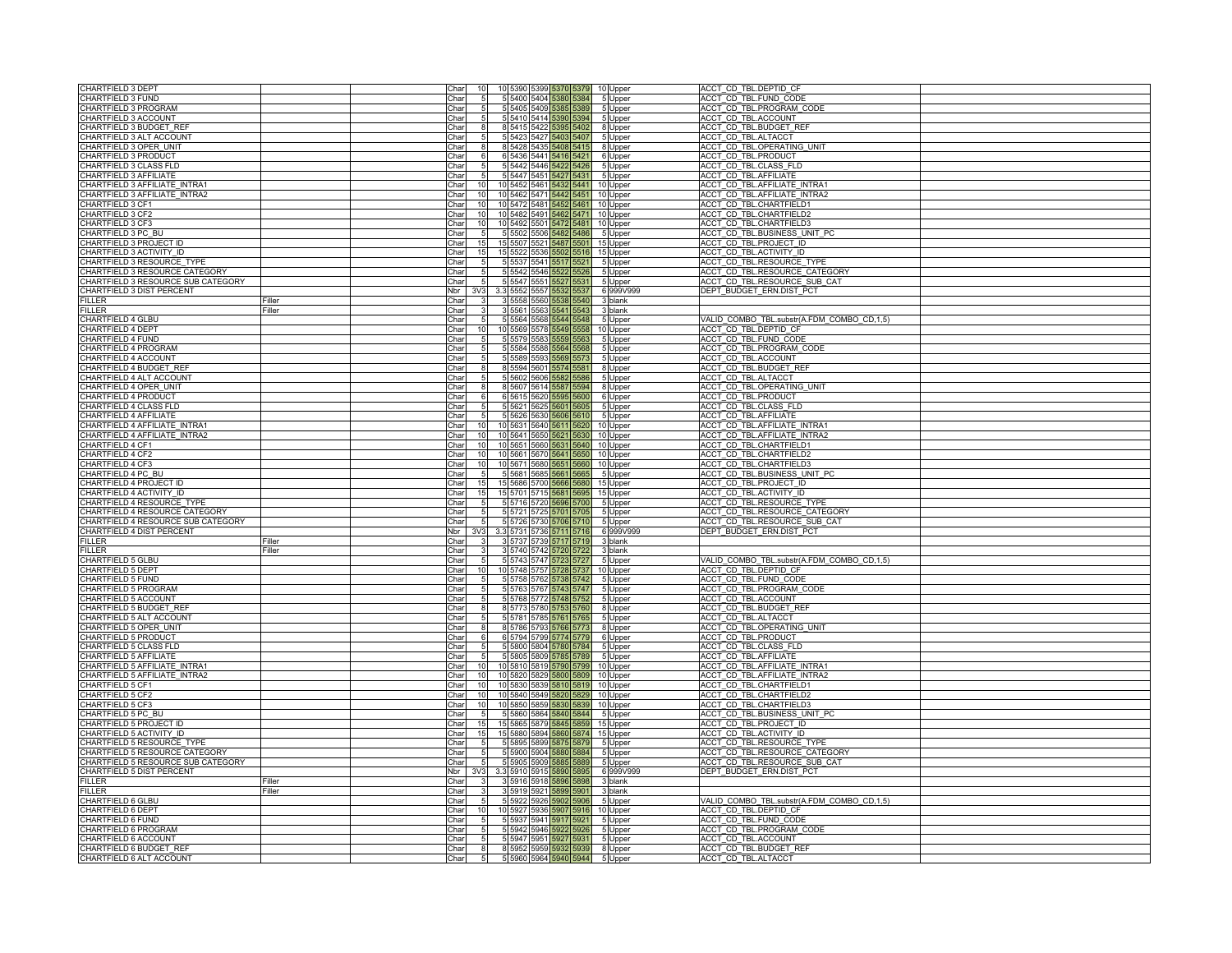| CHARTFIELD 3 DEPT                  |        | Char       |                 |                |           |      |                         | 10 5390 5399 5370 5379 10 Upper |                    | ACCT CD TBL.DEPTID CF                      |
|------------------------------------|--------|------------|-----------------|----------------|-----------|------|-------------------------|---------------------------------|--------------------|--------------------------------------------|
| CHARTFIELD 3 FUND                  |        | Char       |                 |                |           |      |                         | 5 5400 5404 5380 5384 5 Upper   |                    | ACCT CD TBL.FUND CODE                      |
|                                    |        | Char       |                 |                |           |      |                         |                                 |                    |                                            |
| CHARTFIELD 3 PROGRAM               |        |            |                 |                |           |      | 5 5405 5409 5385 5389   |                                 | 5 Upper            | ACCT CD TBL.PROGRAM CODE                   |
| <b>HARTFIELD 3 ACCOUNT</b>         |        | Char       |                 |                | 5 5410    | 5414 | 5390 I                  | 5394                            | 5 Upper            | ACCT CD TBL.ACCOUNT                        |
| CHARTFIELD 3 BUDGET_RE             |        | Char       |                 |                | 8 5 4 1 5 | 5422 | 395                     | 5402                            | 8 Upper            | ACCT CD TBL.BUDGET REI                     |
| CHARTFIELD 3 ALT ACCOUNT           |        | Char       |                 |                |           |      | 5 5423 5427 5403 5407   |                                 | 5 Upper            | ACCT_CD_TBL.ALTACCT                        |
| CHARTFIELD 3 OPER UNIT             |        | Char       |                 |                | 8 5428    |      | 5435 5408 5415          |                                 | 8 Upper            | ACCT CD TBL.OPERATING UNIT                 |
| CHARTFIELD 3 PRODUCT               |        | Char       |                 |                | 6 5436    |      | 5441 5416 5421          |                                 | 6 Upper            | ACCT CD TBL.PRODUCT                        |
| CHARTFIELD 3 CLASS FLD             |        | Char       |                 |                | 5 5442    |      | 5446 5422 5426          |                                 | 5 Upper            | ACCT_CD_TBL.CLASS_FLD                      |
| CHARTFIELD 3 AFFILIATE             |        | Char       |                 |                | 5447      | 5451 | 5427                    | 5431                            | 5 Upper            | <b>ACCT CD TBL.AFFILIATE</b>               |
| CHARTFIELD 3 AFFILIATE_INTRA1      |        | Char       |                 |                | 10 5452   |      | 5461 5432 5441          |                                 | 10 Upper           | ACCT CD TBL.AFFILIATE INTRA1               |
| CHARTFIELD 3 AFFILIATE INTRA2      |        | Char       | 10              |                |           |      |                         | 10 5462 5471 5442 5451 10 Upper |                    | ACCT CD TBL.AFFILIATE INTRA2               |
| CHARTFIELD 3 CF1                   |        | Char       |                 |                |           |      | 10 5472 5481 5452 5461  |                                 | 10 Upper           | ACCT CD TBL.CHARTFIELD1                    |
| CHARTFIELD 3 CF2                   |        | Char       | 10              |                |           |      |                         | 10 5482 5491 5462 5471 10 Upper |                    | ACCT CD TBL.CHARTFIELD2                    |
| CHARTFIELD 3 CF3                   |        | Char       | 10              |                |           |      |                         | 10 5492 5501 5472 5481 10 Upper |                    | ACCT_CD_TBL.CHARTFIELD3                    |
| CHARTFIELD 3 PC BU                 |        | Char       |                 | $\overline{5}$ | 5502      | 5506 | 5482                    | 5486                            | 5 Upper            | ACCT CD TBL.BUSINESS UNIT PC               |
| CHARTFIELD 3 PROJECT ID            |        | Char       | 15              |                | 15 5507   |      | 5521 5487               | 5501                            | 15 Upper           | ACCT CD TBL.PROJECT ID                     |
| CHARTFIELD 3 ACTIVITY_ID           |        | Char       | 15              |                |           |      |                         | 15 5522 5536 5502 5516 15 Upper |                    | ACCT CD TBL.ACTIVITY ID                    |
| CHARTFIELD 3 RESOURCE TYPE         |        | Char       |                 |                |           |      | 5 5537 5541 5517 5521   |                                 | 5 Upper            | ACCT CD TBL.RESOURCE TYPE                  |
| CHARTFIELD 3 RESOURCE CATEGORY     |        | Char       |                 |                |           |      | 5 5542 5546 5522 5526   |                                 | 5 Upper            | ACCT CD TBL.RESOURCE CATEGORY              |
| CHARTFIELD 3 RESOURCE SUB CATEGORY |        | Char       |                 |                |           |      | 5 5547 5551 5527 5531   |                                 | 5 Upper            | ACCT_CD_TBL.RESOURCE_SUB_CAT               |
| CHARTFIELD 3 DIST PERCENT          |        | Nbr        | 3V <sub>3</sub> |                | 3.3 5552  |      | 5557 5532               | 5537                            | 6 999V999          | DEPT BUDGET ERN.DIST PCT                   |
| FILLER                             | Filler | Char       |                 |                | 5558      | 5560 | 538                     | 540                             | 3 blank            |                                            |
| <b>FILLER</b>                      | Filler | Char       |                 |                | 3 5561    | 5563 |                         | 5541 5543                       | 3 blank            |                                            |
| CHARTFIELD 4 GLBU                  |        | Char       |                 |                |           |      | 5 5564 5568 5544 5548   |                                 | 5 Upper            | VALID COMBO TBL.substr(A.FDM COMBO CD,1,5) |
| CHARTFIELD 4 DEPT                  |        | Char       |                 |                | 10 5569   |      | 5578 5549 5558          |                                 | 10 Upper           | ACCT CD TBL.DEPTID CF                      |
| CHARTFIELD 4 FUND                  |        | Char       |                 |                |           |      | 5 5579 5583 5559 5563   |                                 | 5 Upper            | ACCT CD TBL.FUND CODE                      |
| CHARTFIELD 4 PROGRAM               |        | Char       |                 |                |           |      | 5 5584 5588 5564 5568   |                                 | 5 Upper            | ACCT CD TBL.PROGRAM CODE                   |
| CHARTFIELD 4 ACCOUNT               |        | Char       |                 |                | 5 5 5 8 9 | 5593 | 5569 5573               |                                 | 5 Upper            | ACCT CD TBL.ACCOUNT                        |
| CHARTFIELD 4 BUDGET_RE             |        | Char       |                 |                | 8 5594    |      | 5601 5574 5581          |                                 | 8 Upper            | ACCT CD TBL.BUDGET REF                     |
| CHARTFIELD 4 ALT ACCOUNT           |        | Charl      |                 |                |           |      | 5 5602 5606 5582 5586   |                                 | 5 Upper            | ACCT CD TBL.ALTACCT                        |
| CHARTFIELD 4 OPER UNIT             |        | Char       |                 |                | 8 5 6 0 7 |      | 5614 5587 5594          |                                 | 8 Upper            | ACCT CD TBL.OPERATING UNIT                 |
| CHARTFIELD 4 PRODUCT               |        | Char       |                 |                | 6 5615    | 5620 |                         | 5595 5600                       | 6 Upper            | ACCT CD TBL.PRODUCT                        |
| CHARTFIELD 4 CLASS FLD             |        | Char       |                 |                | 5 5 6 2 1 |      | 5625 5601 5605          |                                 | 5 Upper            | ACCT_CD_TBL.CLASS_FLD                      |
| CHARTFIELD 4 AFFILIATE             |        | Char       |                 |                | 5626      | 5630 | 5606                    | 561                             | 5 Upper            | <b>ACCT CD TBL.AFFILIATE</b>               |
| CHARTFIELD 4 AFFILIATE_INTRA1      |        | Char       |                 |                |           |      | 10 5631 5640 5611 562   |                                 | 10 Upper           | ACCT CD TBL.AFFILIATE INTRA1               |
| CHARTFIELD 4 AFFILIATE INTRA2      |        | Char       | 10              |                |           |      | 10 5641 5650 5621 563   |                                 | 10 Upper           | ACCT CD TBL.AFFILIATE INTRA2               |
| CHARTFIELD 4 CF1                   |        | Char       |                 |                |           |      | 10 5651 5660 5631 5640  |                                 | 10 Upper           | <b>ACCT CD TBL.CHARTFIELD1</b>             |
| CHARTFIELD 4 CF2                   |        | Char       | 10              |                |           |      | 10 5661 5670 5641 565   |                                 | 10 Upper           | ACCT CD TBL.CHARTFIELD2                    |
| CHARTFIELD 4 CF3                   |        | Char       | 10              |                |           |      | 10 5671 5680 5651 566   |                                 | 10 Upper           | ACCT CD TBL.CHARTFIELD3                    |
| CHARTFIELD 4 PC BU                 |        | Char       |                 |                | 5 5 6 8 1 | 5685 | 5661                    | 566                             | 5 Upper            | ACCT CD TBL.BUSINESS UNIT PC               |
| CHARTFIELD 4 PROJECT ID            |        | Char       |                 |                | 15 5 68 6 | 5700 | 5666                    |                                 | 15 Upper           | ACCT_CD_TBL.PROJECT_ID                     |
| CHARTFIELD 4 ACTIVITY ID           |        | Char       | 15              |                |           |      | 15 5701 5715 5681 5695  |                                 | 15 Upper           | ACCT CD TBL.ACTIVITY ID                    |
| CHARTFIELD 4 RESOURCE TYPE         |        | Char       |                 |                |           |      | 5 5716 5720 5696 5700   |                                 | 5 Upper            | ACCT CD TBL.RESOURCE TYPE                  |
| CHARTFIELD 4 RESOURCE CATEGORY     |        | Char       |                 |                | 5 5721    |      | 5725 5701 570           |                                 | 5 Upper            | ACCT CD TBL.RESOURCE CATEGORY              |
| CHARTFIELD 4 RESOURCE SUB CATEGORY |        | Char       |                 |                |           |      | 5 5726 5730 5706 5710   |                                 | 5 Upper            | ACCT CD TBL.RESOURCE SUB CAT               |
| CHARTFIELD 4 DIST PERCENT          |        | <b>Nbr</b> | 3V3             |                |           |      | 3.3 5731 5736 5711 5716 |                                 | 6 999V999          | DEPT BUDGET ERN.DIST PCT                   |
| FILLER                             | Filler | Char       |                 |                | 5731      |      | 717                     | 5719                            | 3 blank            |                                            |
| <b>FILLER</b>                      | Filler | Char       |                 |                | 3 5740    | 5742 | 5720                    | 5722                            | 3 blank            |                                            |
| CHARTFIELD 5 GLBU                  |        | Char       |                 |                |           |      | 5 5743 5747 5723 5727   |                                 | 5 Upper            | VALID_COMBO_TBL.substr(A.FDM_COMBO_CD,1,5) |
| CHARTFIELD 5 DEPT                  |        | Char       |                 |                | 10 5748   |      | 5757 5728 5737          |                                 | 10 Upper           | ACCT CD TBL.DEPTID CF                      |
| CHARTFIELD 5 FUND                  |        | Char       |                 |                |           |      | 5 5758 5762 5738 5742   |                                 | 5 Upper            | ACCT CD TBL.FUND CODE                      |
| CHARTFIELD 5 PROGRAM               |        | Char       |                 |                |           |      | 5 5763 5767 5743 5747   |                                 | 5 Upper            | ACCT CD TBL.PROGRAM CODE                   |
| CHARTFIELD 5 ACCOUNT               |        | Char       |                 |                | 5768      |      | 5772 5748 5752          |                                 | 5 Upper            | ACCT CD TBL.ACCOUNT                        |
| CHARTFIELD 5 BUDGET_REI            |        | Char       |                 |                | 8 5773    | 5780 | 5753                    | 5760                            | 8 Upper            | ACCT CD TBL.BUDGET REF                     |
| CHARTFIELD 5 ALT ACCOUNT           |        | Char       |                 |                |           |      | 5 5781 5785 5761 5765   |                                 | 5 Upper            | ACCT_CD_TBL.ALTACCT                        |
| CHARTFIELD 5 OPER UNIT             |        | Char       |                 |                | 8 5786    |      | 5793 5766               | 5773                            | 8 Upper            | ACCT CD TBL.OPERATING UNIT                 |
| CHARTFIELD 5 PRODUCT               |        | Char       |                 |                |           |      | 6 5794 5799 5774 5779   |                                 | 6 Upper            | ACCT CD TBL.PRODUCT                        |
| CHARTFIELD 5 CLASS FLD             |        | Char       |                 |                | 5 5800    |      | 5804 5780 5784          |                                 | 5 Upper            | ACCT_CD_TBL.CLASS_FLD                      |
| CHARTFIELD 5 AFFILIATE             |        | Char       |                 |                | 580       | 809  | 578                     | 78                              | 5 Upper            | <b>ACCT CD TBL.AFFILIATE</b>               |
| CHARTFIELD 5 AFFILIATE_INTRA1      |        | Charl      | 1(              |                | 10 5810   | 5819 | 5790                    | 5799                            | 10 Upper           | ACCT CD TBL.AFFILIATE INTRA1               |
| CHARTFIELD 5 AFFILIATE INTRA2      |        | Char       | 10              |                |           |      | 10 5820 5829 5800 5809  |                                 | 10 Upper           | ACCT CD TBL.AFFILIATE INTRA2               |
| CHARTFIELD 5 CF1                   |        | Char       |                 |                | 10 5830   |      | 5839 5810 5819          |                                 | 10 Upper           | <b>ACCT CD TBL.CHARTFIELD1</b>             |
| CHARTFIELD 5 CF2                   |        | Char       | 10              |                |           |      | 10 5840 5849 5820 5829  |                                 | 10 Upper           | ACCT CD TBL.CHARTFIELD2                    |
| CHARTFIELD 5 CF3                   |        | Char       | 10              |                |           |      |                         | 10 5850 5859 5830 5839 10 Upper |                    | ACCT CD TBL.CHARTFIELD3                    |
| CHARTFIELD 5 PC BU                 |        | Char       |                 |                | 5 5860    |      | 5864 5840 5844          |                                 | 5 Upper            | ACCT CD TBL.BUSINESS UNIT PC               |
| CHARTFIELD 5 PROJECT ID            |        | Char       |                 |                | 15 5865   |      | 5879 5845               | 85                              | 15 Upper           | ACCT CD TBL.PROJECT ID                     |
| CHARTFIELD 5 ACTIVITY_ID           |        | Char       | 15              |                | 15 5880   | 5894 | 5860                    | 587                             | 15 Upper           | ACCT_CD_TBL.ACTIVITY_ID                    |
| CHARTFIELD 5 RESOURCE_TYPE         |        | Char       |                 |                |           |      | 5 5895 5899 5875 5879   |                                 | 5 Upper            | ACCT CD TBL.RESOURCE TYPE                  |
| CHARTFIELD 5 RESOURCE CATEGORY     |        | Char       |                 |                | 5 5900    |      | 5904 5880 5884          |                                 | 5 Upper            | ACCT CD TBL.RESOURCE CATEGORY              |
| CHARTFIELD 5 RESOURCE SUB CATEGORY |        | Char       |                 |                |           |      | 5 5905 5909 5885 5889   |                                 | 5 Upper            | ACCT_CD_TBL.RESOURCE_SUB_CAT               |
| CHARTFIELD 5 DIST PERCENT          |        | Nbr        | 3V <sub>3</sub> |                |           |      | 3.3 5910 5915 5890      | 5895                            | 6 999V999          | DEPT BUDGET ERN.DIST PCT                   |
| FILLER                             | Filler | Char       |                 |                | 3 5916    | 5918 | 896                     | 89                              | 3 blank            |                                            |
| <b>FILLER</b>                      | Filler | Char       |                 |                | 3 5 9 1 9 |      | 5921<br>5899            | 5901                            | 3 blank            |                                            |
| CHARTFIELD 6 GLBU                  |        | Char       |                 |                |           |      | 5 5922 5926 5902 5906   |                                 | 5 Upper            | VALID_COMBO_TBL.substr(A.FDM_COMBO_CD,1,5) |
| <b>CHARTFIELD 6 DEPT</b>           |        | Char       | 10              |                |           |      | 10 5927 5936 5907 5916  |                                 | 10 Upper           | ACCT CD TBL.DEPTID CF                      |
| CHARTFIELD 6 FUND                  |        | Char       |                 |                |           |      | 5 5937 5941 5917 5921   |                                 | 5 Upper            | ACCT CD TBL.FUND CODE                      |
| CHARTFIELD 6 PROGRAM               |        | Char       |                 |                |           |      |                         | 5 5942 5946 5922 5926 5 Upper   |                    | ACCT_CD_TBL.PROGRAM_CODE                   |
| CHARTFIELD 6 ACCOUNT               |        | Char       |                 |                |           |      | 5 5947 5951 5927 5931   |                                 |                    | ACCT CD TBL.ACCOUNT                        |
| CHARTFIELD 6 BUDGET REF            |        | Char       |                 |                |           |      | 8 5952 5959 5932 5939   |                                 | 5 Upper<br>8 Upper | ACCT CD TBL.BUDGET REF                     |
| CHARTFIELD 6 ALT ACCOUNT           |        | Charl      | 5 <sub>l</sub>  |                |           |      |                         | 5 5960 5964 5940 5944 5 Upper   |                    | ACCT_CD_TBL.ALTACCT                        |
|                                    |        |            |                 |                |           |      |                         |                                 |                    |                                            |